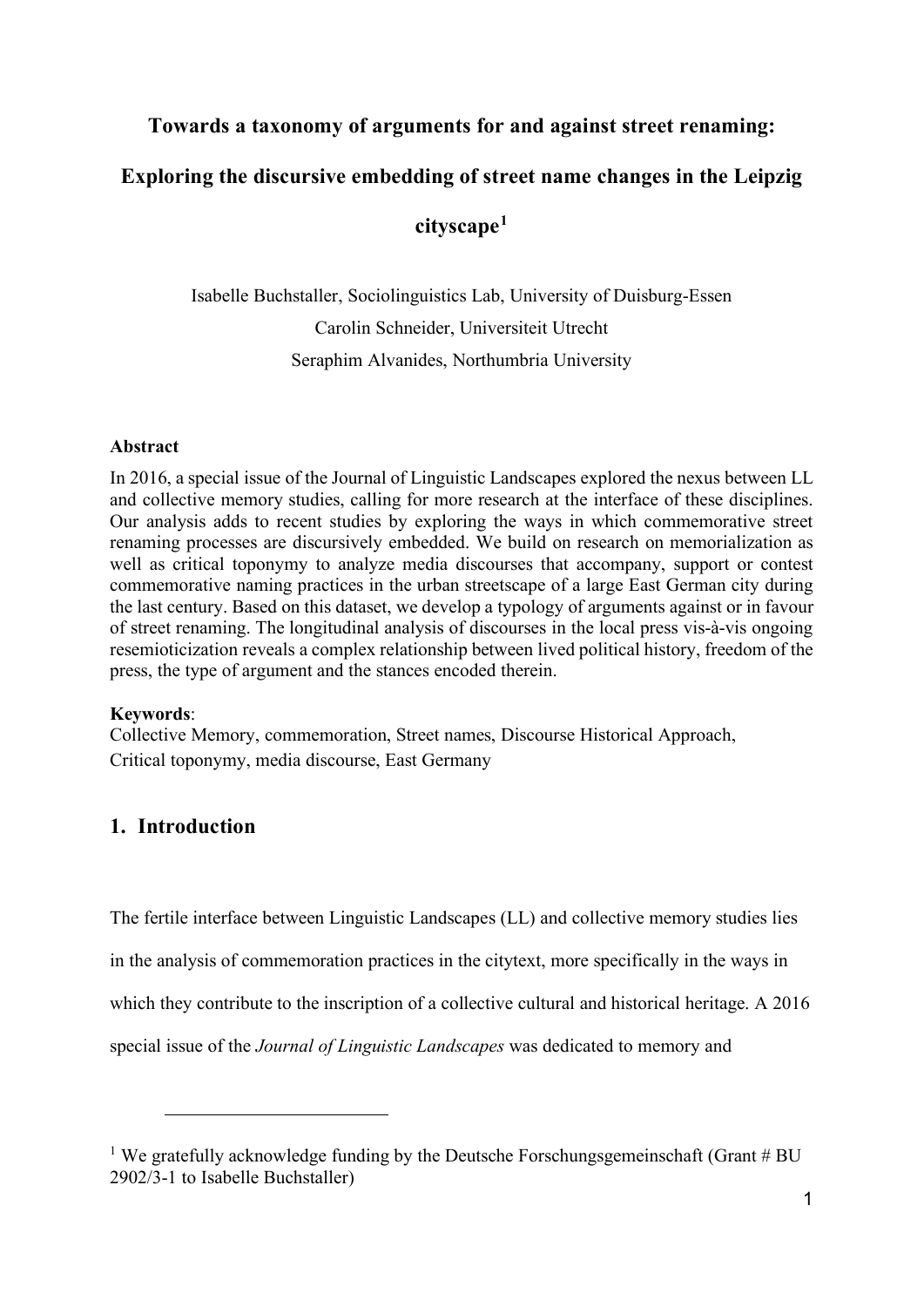# **Towards a taxonomy of arguments for and against street renaming:**

# **Exploring the discursive embedding of street name changes in the Leipzig**

# **cityscape[1](#page-0-0)**

Isabelle Buchstaller, Sociolinguistics Lab, University of Duisburg-Essen Carolin Schneider, Universiteit Utrecht Seraphim Alvanides, Northumbria University

#### **Abstract**

In 2016, a special issue of the Journal of Linguistic Landscapes explored the nexus between LL and collective memory studies, calling for more research at the interface of these disciplines. Our analysis adds to recent studies by exploring the ways in which commemorative street renaming processes are discursively embedded. We build on research on memorialization as well as critical toponymy to analyze media discourses that accompany, support or contest commemorative naming practices in the urban streetscape of a large East German city during the last century. Based on this dataset, we develop a typology of arguments against or in favour of street renaming. The longitudinal analysis of discourses in the local press vis-à-vis ongoing resemioticization reveals a complex relationship between lived political history, freedom of the press, the type of argument and the stances encoded therein.

#### **Keywords**:

Collective Memory, commemoration, Street names, Discourse Historical Approach, Critical toponymy, media discourse, East Germany

# **1. Introduction**

The fertile interface between Linguistic Landscapes (LL) and collective memory studies lies in the analysis of commemoration practices in the citytext, more specifically in the ways in which they contribute to the inscription of a collective cultural and historical heritage. A 2016 special issue of the *Journal of Linguistic Landscapes* was dedicated to memory and

<span id="page-0-0"></span><sup>&</sup>lt;sup>1</sup> We gratefully acknowledge funding by the Deutsche Forschungsgemeinschaft (Grant  $#$  BU 2902/3-1 to Isabelle Buchstaller)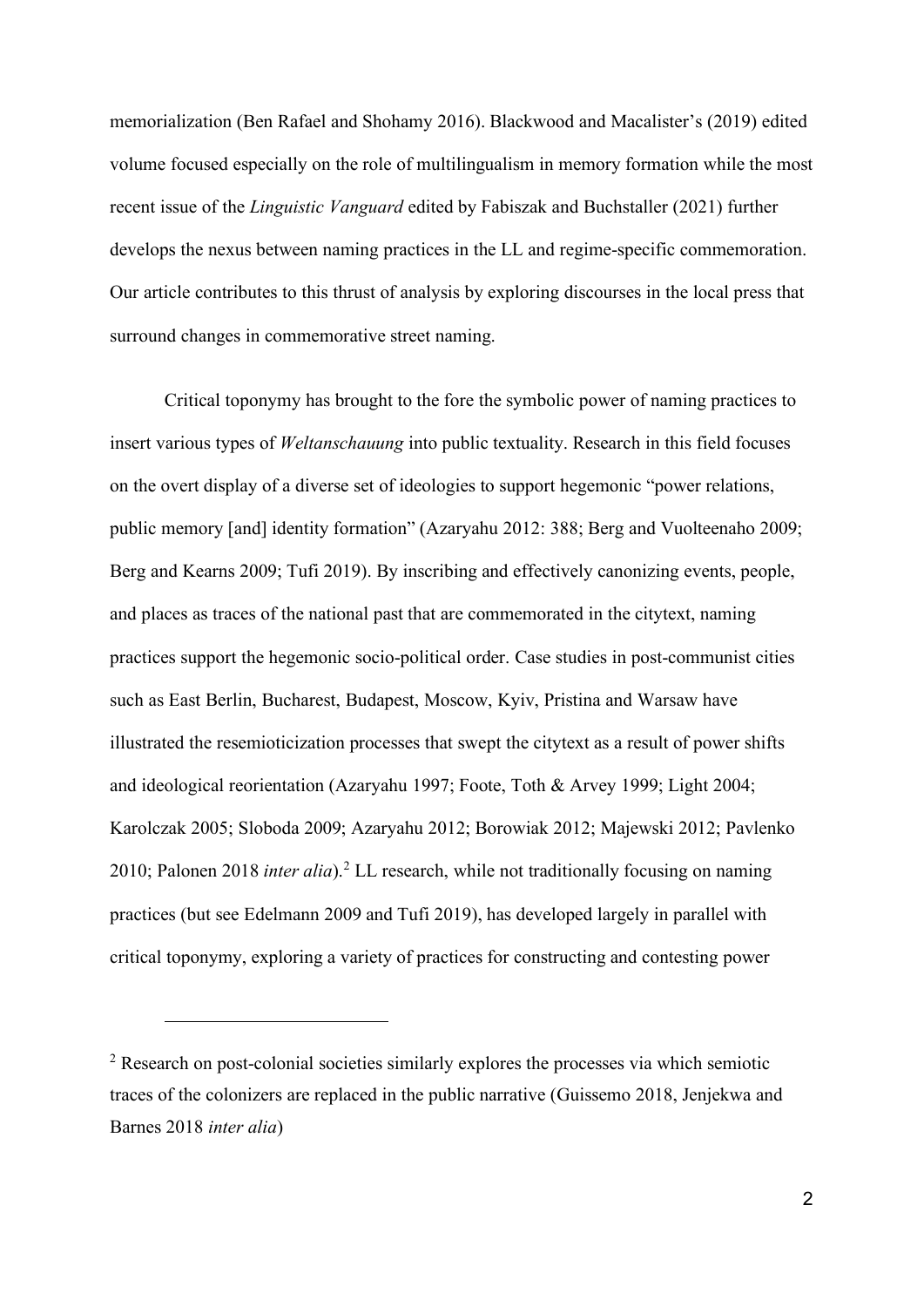memorialization (Ben Rafael and Shohamy 2016). Blackwood and Macalister's (2019) edited volume focused especially on the role of multilingualism in memory formation while the most recent issue of the *Linguistic Vanguard* edited by Fabiszak and Buchstaller (2021) further develops the nexus between naming practices in the LL and regime-specific commemoration. Our article contributes to this thrust of analysis by exploring discourses in the local press that surround changes in commemorative street naming.

Critical toponymy has brought to the fore the symbolic power of naming practices to insert various types of *Weltanschauung* into public textuality. Research in this field focuses on the overt display of a diverse set of ideologies to support hegemonic "power relations, public memory [and] identity formation" (Azaryahu 2012: 388; Berg and Vuolteenaho 2009; Berg and Kearns 2009; Tufi 2019). By inscribing and effectively canonizing events, people, and places as traces of the national past that are commemorated in the citytext, naming practices support the hegemonic socio-political order. Case studies in post-communist cities such as East Berlin, Bucharest, Budapest, Moscow, Kyiv, Pristina and Warsaw have illustrated the resemioticization processes that swept the citytext as a result of power shifts and ideological reorientation (Azaryahu 1997; Foote, Toth & Arvey 1999; Light 2004; Karolczak 2005; Sloboda 2009; Azaryahu 2012; Borowiak 2012; Majewski 2012; Pavlenko 2010; Palonen 2018 *inter alia*).[2](#page-1-0) LL research, while not traditionally focusing on naming practices (but see Edelmann 2009 and Tufi 2019), has developed largely in parallel with critical toponymy, exploring a variety of practices for constructing and contesting power

<span id="page-1-0"></span> $2$  Research on post-colonial societies similarly explores the processes via which semiotic traces of the colonizers are replaced in the public narrative (Guissemo 2018, Jenjekwa and Barnes 2018 *inter alia*)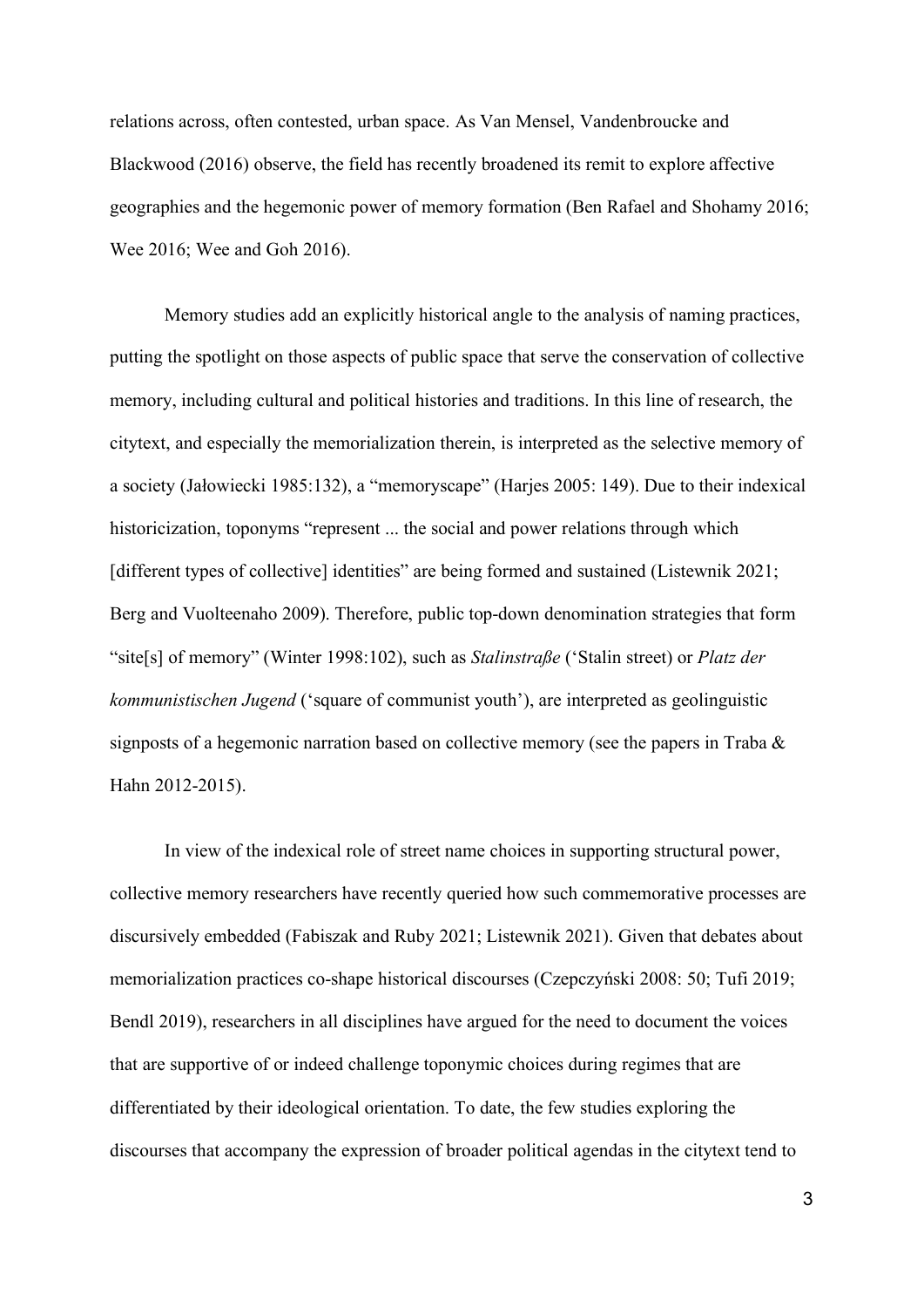relations across, often contested, urban space. As Van Mensel, Vandenbroucke and Blackwood (2016) observe, the field has recently broadened its remit to explore affective geographies and the hegemonic power of memory formation (Ben Rafael and Shohamy 2016; Wee 2016; Wee and Goh 2016).

Memory studies add an explicitly historical angle to the analysis of naming practices, putting the spotlight on those aspects of public space that serve the conservation of collective memory, including cultural and political histories and traditions. In this line of research, the citytext, and especially the memorialization therein, is interpreted as the selective memory of a society (Jałowiecki 1985:132), a "memoryscape" (Harjes 2005: 149). Due to their indexical historicization, toponyms "represent ... the social and power relations through which [different types of collective] identities" are being formed and sustained (Listewnik 2021; Berg and Vuolteenaho 2009). Therefore, public top-down denomination strategies that form "site[s] of memory" (Winter 1998:102), such as *Stalinstraße* ('Stalin street) or *Platz der kommunistischen Jugend* ('square of communist youth'), are interpreted as geolinguistic signposts of a hegemonic narration based on collective memory (see the papers in Traba & Hahn 2012-2015).

In view of the indexical role of street name choices in supporting structural power, collective memory researchers have recently queried how such commemorative processes are discursively embedded (Fabiszak and Ruby 2021; Listewnik 2021). Given that debates about memorialization practices co-shape historical discourses (Czepczyński 2008: 50; Tufi 2019; Bendl 2019), researchers in all disciplines have argued for the need to document the voices that are supportive of or indeed challenge toponymic choices during regimes that are differentiated by their ideological orientation. To date, the few studies exploring the discourses that accompany the expression of broader political agendas in the citytext tend to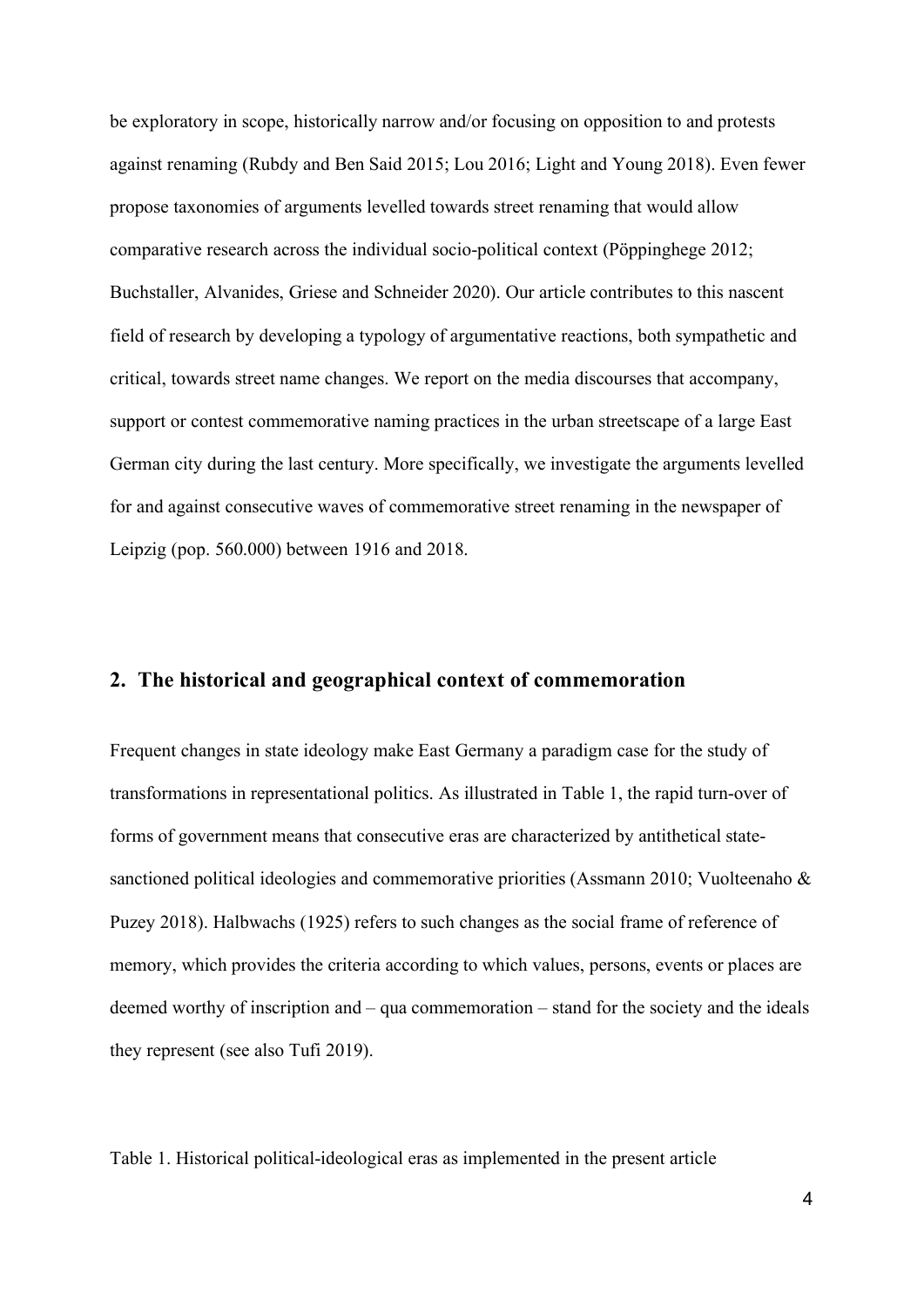be exploratory in scope, historically narrow and/or focusing on opposition to and protests against renaming (Rubdy and Ben Said 2015; Lou 2016; Light and Young 2018). Even fewer propose taxonomies of arguments levelled towards street renaming that would allow comparative research across the individual socio-political context (Pöppinghege 2012; Buchstaller, Alvanides, Griese and Schneider 2020). Our article contributes to this nascent field of research by developing a typology of argumentative reactions, both sympathetic and critical, towards street name changes. We report on the media discourses that accompany, support or contest commemorative naming practices in the urban streetscape of a large East German city during the last century. More specifically, we investigate the arguments levelled for and against consecutive waves of commemorative street renaming in the newspaper of Leipzig (pop. 560.000) between 1916 and 2018.

## **2. The historical and geographical context of commemoration**

Frequent changes in state ideology make East Germany a paradigm case for the study of transformations in representational politics. As illustrated in Table 1, the rapid turn-over of forms of government means that consecutive eras are characterized by antithetical statesanctioned political ideologies and commemorative priorities (Assmann 2010; Vuolteenaho & Puzey 2018). Halbwachs (1925) refers to such changes as the social frame of reference of memory, which provides the criteria according to which values, persons, events or places are deemed worthy of inscription and – qua commemoration – stand for the society and the ideals they represent (see also Tufi 2019).

Table 1. Historical political-ideological eras as implemented in the present article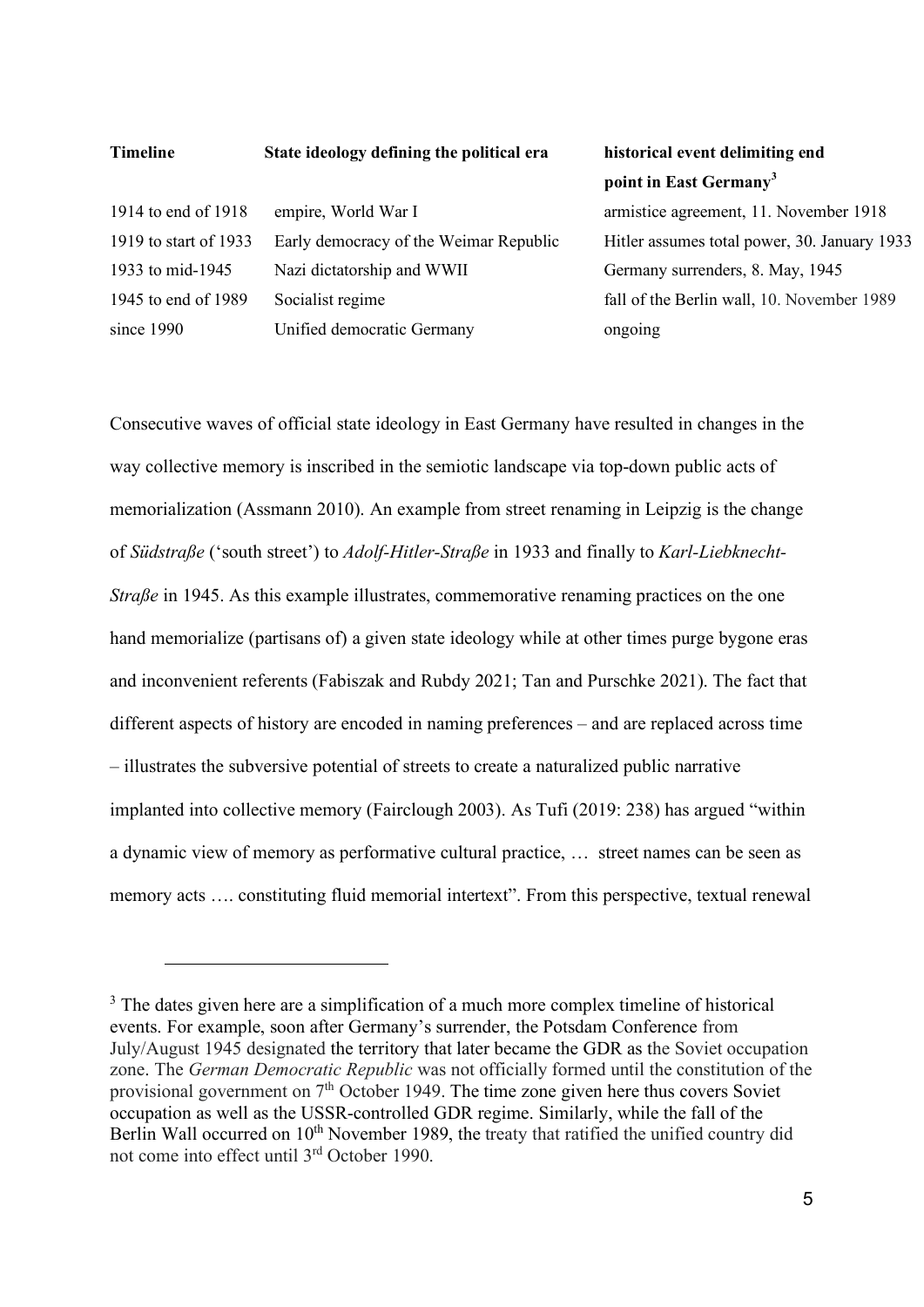#### **Timeline State ideology defining the political era historical event delimiting end**

1914 to end of 1918 empire, World War I armistice agreement, 11. November 1918 1919 to start of 1933 Early democracy of the Weimar Republic Hitler assumes total power, 30. January 1933 1933 to mid-1945 Nazi dictatorship and WWII Germany surrenders, 8. May, 1945 1945 to end of 1989 Socialist regime fall of the Berlin wall, 10. November 1989 since 1990 Unified democratic Germany ongoing

# **point in East Germany[3](#page-4-0)**

Consecutive waves of official state ideology in East Germany have resulted in changes in the way collective memory is inscribed in the semiotic landscape via top-down public acts of memorialization (Assmann 2010). An example from street renaming in Leipzig is the change of *Südstraße* ('south street') to *Adolf-Hitler-Straße* in 1933 and finally to *Karl-Liebknecht-Straße* in 1945. As this example illustrates, commemorative renaming practices on the one hand memorialize (partisans of) a given state ideology while at other times purge bygone eras and inconvenient referents (Fabiszak and Rubdy 2021; Tan and Purschke 2021). The fact that different aspects of history are encoded in naming preferences – and are replaced across time – illustrates the subversive potential of streets to create a naturalized public narrative implanted into collective memory (Fairclough 2003). As Tufi (2019: 238) has argued "within a dynamic view of memory as performative cultural practice, … street names can be seen as memory acts …. constituting fluid memorial intertext". From this perspective, textual renewal

<span id="page-4-0"></span><sup>&</sup>lt;sup>3</sup> The dates given here are a simplification of a much more complex timeline of historical events. For example, soon after Germany's surrender, the Potsdam Conference from July/August 1945 designated the territory that later became the GDR as the Soviet occupation zone. The *German Democratic Republic* was not officially formed until the constitution of the provisional government on  $7<sup>th</sup>$  October 1949. The time zone given here thus covers Soviet occupation as well as the USSR-controlled GDR regime. Similarly, while the fall of the Berlin Wall occurred on 10<sup>th</sup> November 1989, the treaty that ratified the unified country did not come into effect until 3rd October 1990.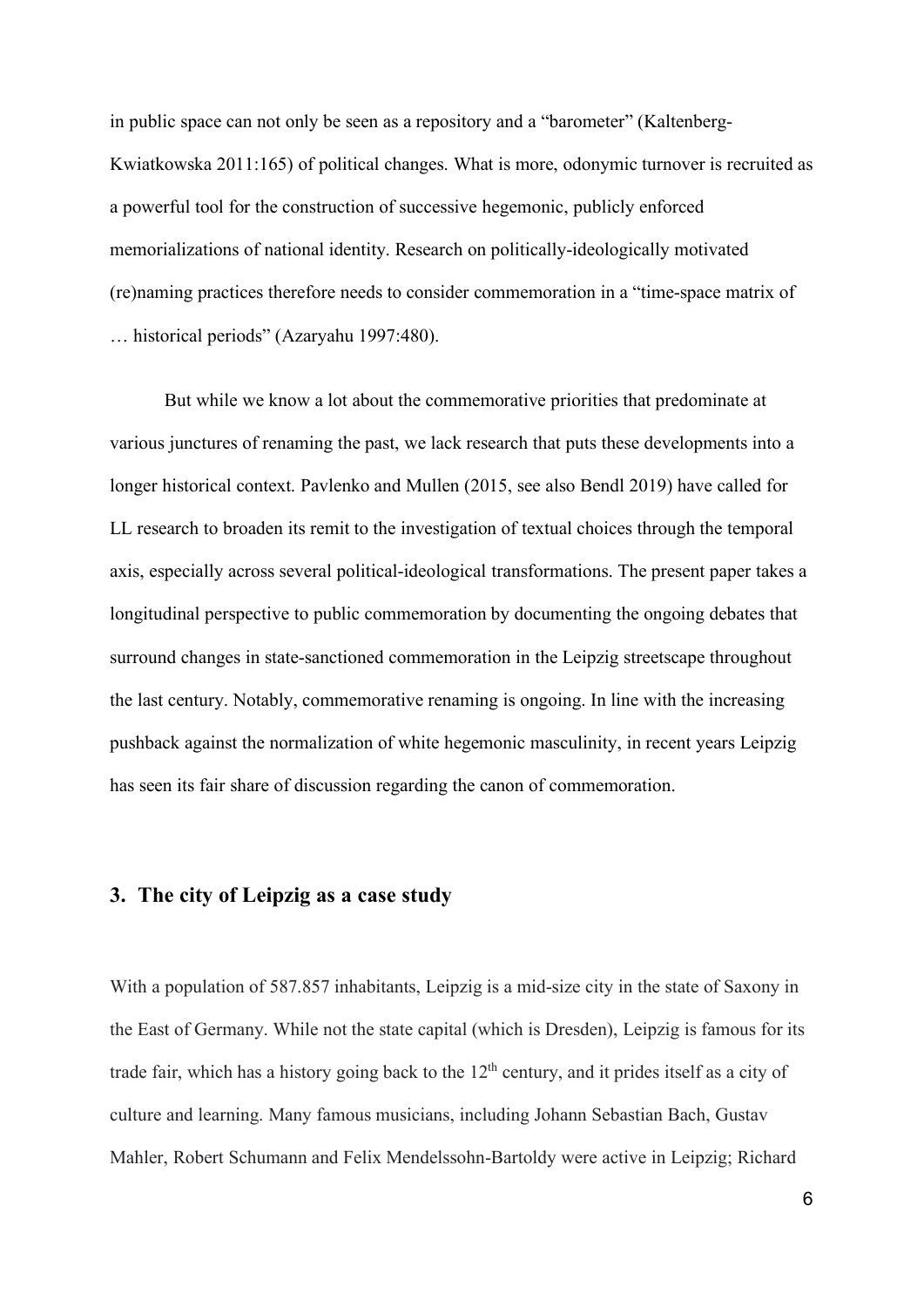in public space can not only be seen as a repository and a "barometer" (Kaltenberg-Kwiatkowska 2011:165) of political changes. What is more, odonymic turnover is recruited as a powerful tool for the construction of successive hegemonic, publicly enforced memorializations of national identity. Research on politically-ideologically motivated (re)naming practices therefore needs to consider commemoration in a "time-space matrix of … historical periods" (Azaryahu 1997:480).

But while we know a lot about the commemorative priorities that predominate at various junctures of renaming the past, we lack research that puts these developments into a longer historical context. Pavlenko and Mullen (2015, see also Bendl 2019) have called for LL research to broaden its remit to the investigation of textual choices through the temporal axis, especially across several political-ideological transformations. The present paper takes a longitudinal perspective to public commemoration by documenting the ongoing debates that surround changes in state-sanctioned commemoration in the Leipzig streetscape throughout the last century. Notably, commemorative renaming is ongoing. In line with the increasing pushback against the normalization of white hegemonic masculinity, in recent years Leipzig has seen its fair share of discussion regarding the canon of commemoration.

# **3. The city of Leipzig as a case study**

With a population of 587.857 inhabitants, Leipzig is a mid-size city in the state of Saxony in the East of Germany. While not the state capital (which is Dresden), Leipzig is famous for its trade fair, which has a history going back to the  $12<sup>th</sup>$  century, and it prides itself as a city of culture and learning. Many famous musicians, including Johann Sebastian Bach, Gustav Mahler, Robert Schumann and Felix Mendelssohn-Bartoldy were active in Leipzig; Richard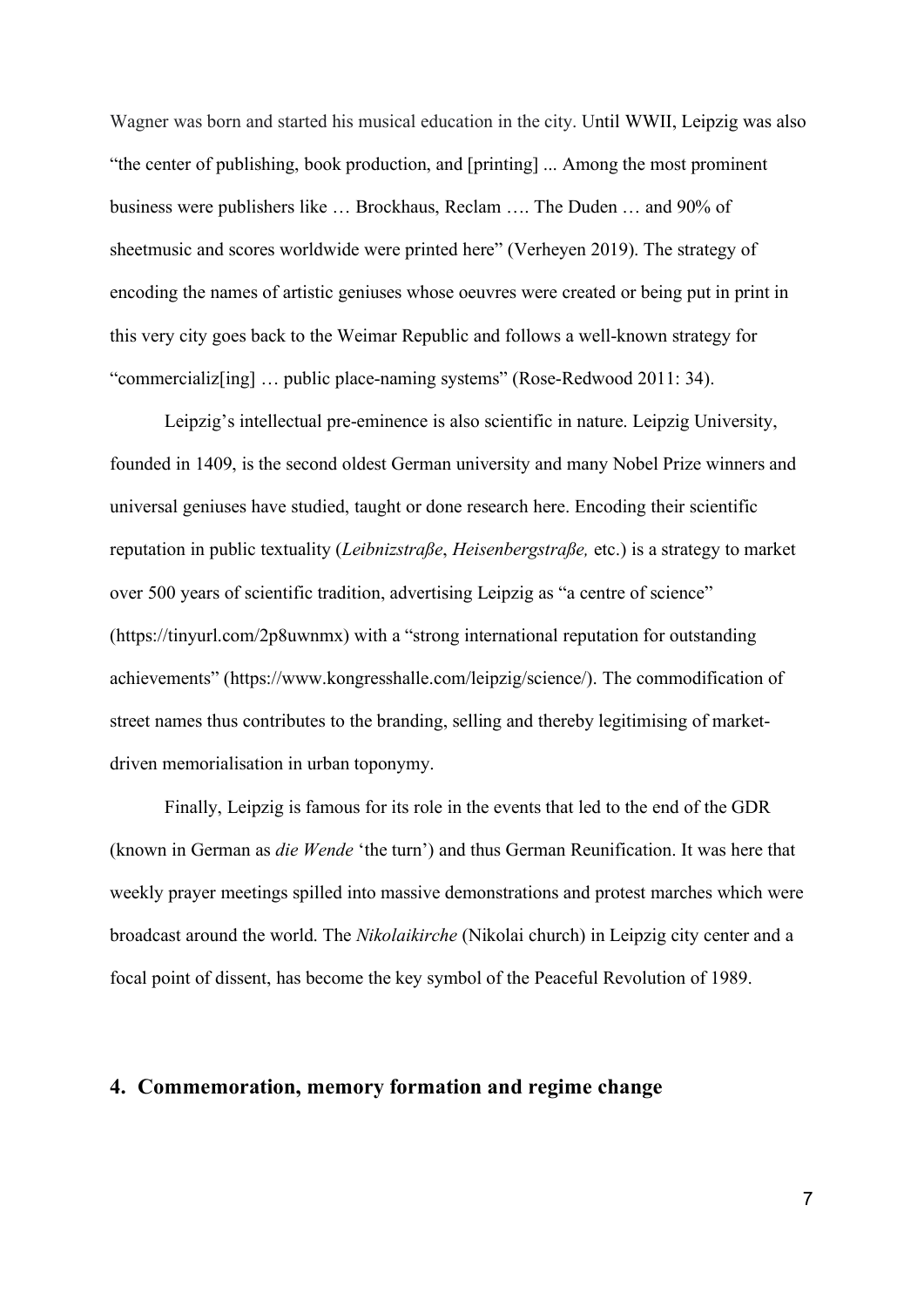Wagner was born and started his musical education in the city. Until WWII, Leipzig was also "the center of publishing, book production, and [printing] ... Among the most prominent business were publishers like … Brockhaus, Reclam …. The Duden … and 90% of sheetmusic and scores worldwide were printed here" (Verheyen 2019). The strategy of encoding the names of artistic geniuses whose oeuvres were created or being put in print in this very city goes back to the Weimar Republic and follows a well-known strategy for "commercializ[ing] … public place-naming systems" (Rose-Redwood 2011: 34).

Leipzig's intellectual pre-eminence is also scientific in nature. Leipzig University, founded in 1409, is the second oldest German university and many Nobel Prize winners and universal geniuses have studied, taught or done research here. Encoding their scientific reputation in public textuality (*Leibnizstraße*, *Heisenbergstraße,* etc.) is a strategy to market over 500 years of scientific tradition, advertising Leipzig as "a centre of science" (https://tinyurl.com/2p8uwnmx) with a "strong international reputation for outstanding achievements" (https://www.kongresshalle.com/leipzig/science/). The commodification of street names thus contributes to the branding, selling and thereby legitimising of marketdriven memorialisation in urban toponymy.

Finally, Leipzig is famous for its role in the events that led to the end of the GDR (known in German as *die Wende* 'the turn') and thus German Reunification. It was here that weekly prayer meetings spilled into massive demonstrations and protest marches which were broadcast around the world. The *Nikolaikirche* (Nikolai church) in Leipzig city center and a focal point of dissent, has become the key symbol of the Peaceful Revolution of 1989.

## **4. Commemoration, memory formation and regime change**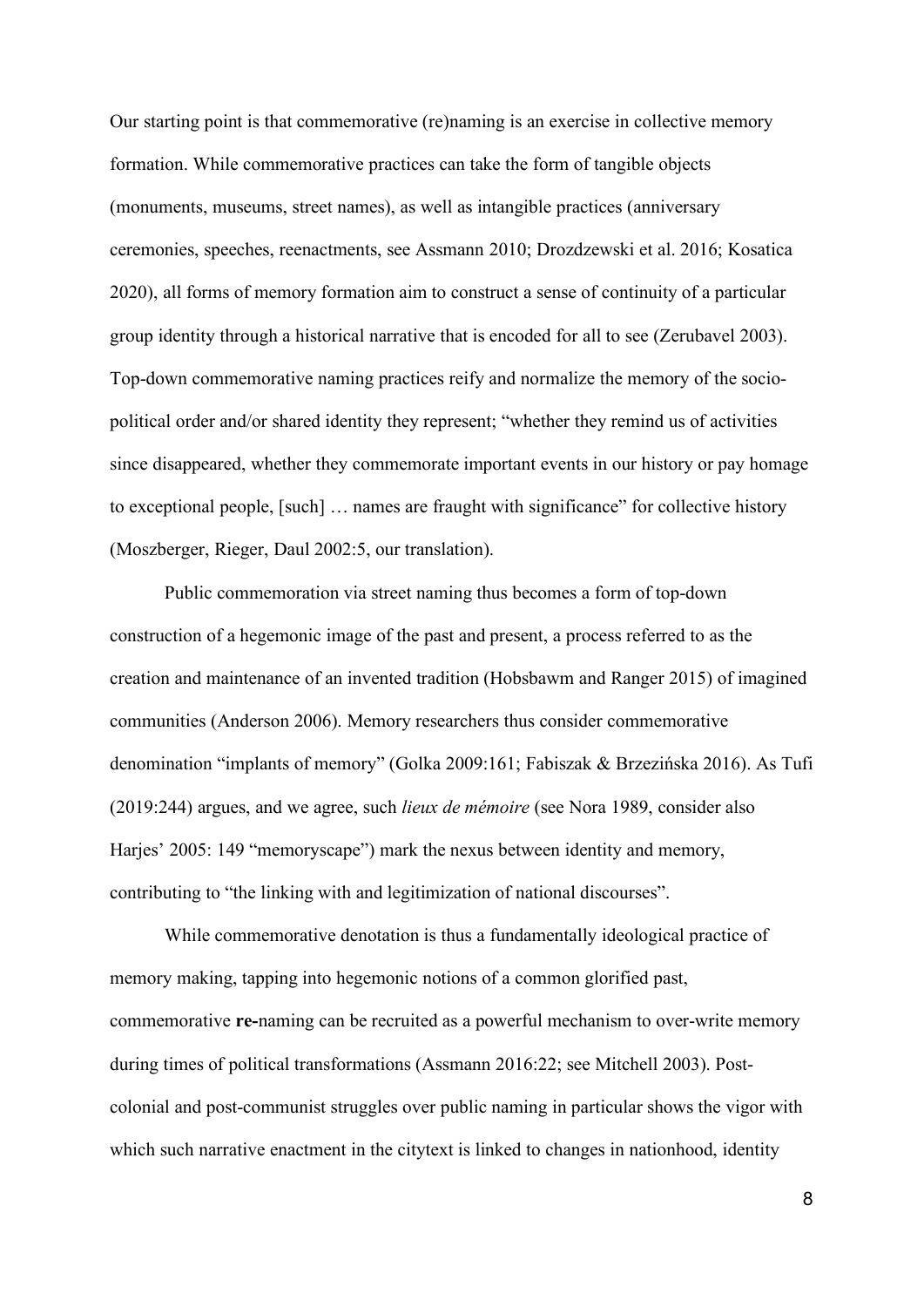Our starting point is that commemorative (re)naming is an exercise in collective memory formation. While commemorative practices can take the form of tangible objects (monuments, museums, street names), as well as intangible practices (anniversary ceremonies, speeches, reenactments, see Assmann 2010; Drozdzewski et al. 2016; Kosatica 2020), all forms of memory formation aim to construct a sense of continuity of a particular group identity through a historical narrative that is encoded for all to see (Zerubavel 2003). Top-down commemorative naming practices reify and normalize the memory of the sociopolitical order and/or shared identity they represent; "whether they remind us of activities since disappeared, whether they commemorate important events in our history or pay homage to exceptional people, [such] … names are fraught with significance" for collective history (Moszberger, Rieger, Daul 2002:5, our translation).

Public commemoration via street naming thus becomes a form of top-down construction of a hegemonic image of the past and present, a process referred to as the creation and maintenance of an invented tradition (Hobsbawm and Ranger 2015) of imagined communities (Anderson 2006). Memory researchers thus consider commemorative denomination "implants of memory" (Golka 2009:161; Fabiszak & Brzezińska 2016). As Tufi (2019:244) argues, and we agree, such *lieux de mémoire* (see Nora 1989, consider also Harjes' 2005: 149 "memoryscape") mark the nexus between identity and memory, contributing to "the linking with and legitimization of national discourses".

While commemorative denotation is thus a fundamentally ideological practice of memory making, tapping into hegemonic notions of a common glorified past, commemorative **re-**naming can be recruited as a powerful mechanism to over-write memory during times of political transformations (Assmann 2016:22; see Mitchell 2003). Postcolonial and post-communist struggles over public naming in particular shows the vigor with which such narrative enactment in the citytext is linked to changes in nationhood, identity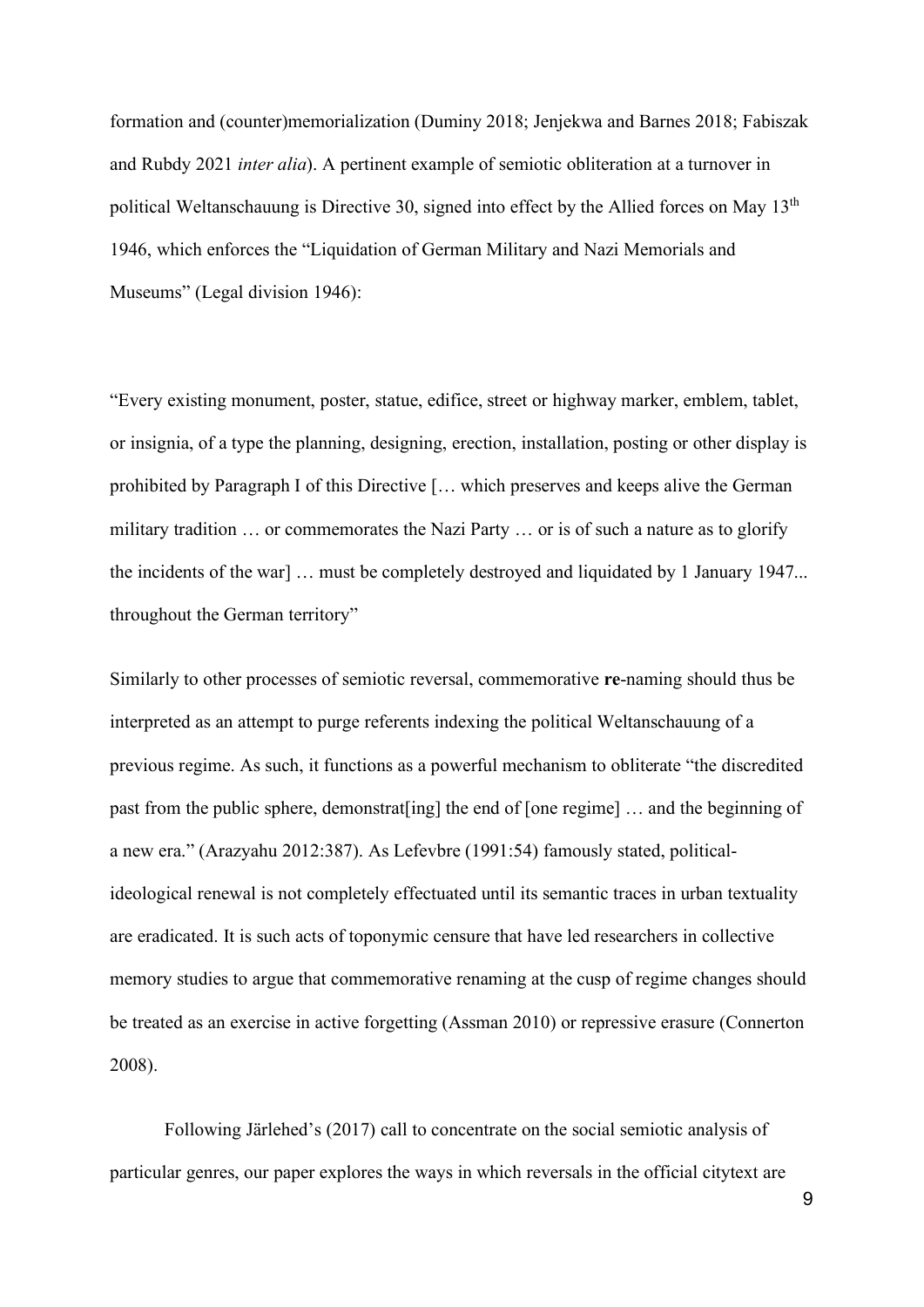formation and (counter)memorialization (Duminy 2018; Jenjekwa and Barnes 2018; Fabiszak and Rubdy 2021 *inter alia*). A pertinent example of semiotic obliteration at a turnover in political Weltanschauung is Directive 30, signed into effect by the Allied forces on May  $13<sup>th</sup>$ 1946, which enforces the "Liquidation of German Military and Nazi Memorials and Museums" (Legal division 1946):

"Every existing monument, poster, statue, edifice, street or highway marker, emblem, tablet, or insignia, of a type the planning, designing, erection, installation, posting or other display is prohibited by Paragraph I of this Directive [… which preserves and keeps alive the German military tradition … or commemorates the Nazi Party … or is of such a nature as to glorify the incidents of the war] … must be completely destroyed and liquidated by 1 January 1947... throughout the German territory"

Similarly to other processes of semiotic reversal, commemorative **re**-naming should thus be interpreted as an attempt to purge referents indexing the political Weltanschauung of a previous regime. As such, it functions as a powerful mechanism to obliterate "the discredited past from the public sphere, demonstrat[ing] the end of [one regime] … and the beginning of a new era." (Arazyahu 2012:387). As Lefevbre (1991:54) famously stated, politicalideological renewal is not completely effectuated until its semantic traces in urban textuality are eradicated. It is such acts of toponymic censure that have led researchers in collective memory studies to argue that commemorative renaming at the cusp of regime changes should be treated as an exercise in active forgetting (Assman 2010) or repressive erasure (Connerton 2008).

Following Järlehed's (2017) call to concentrate on the social semiotic analysis of particular genres, our paper explores the ways in which reversals in the official citytext are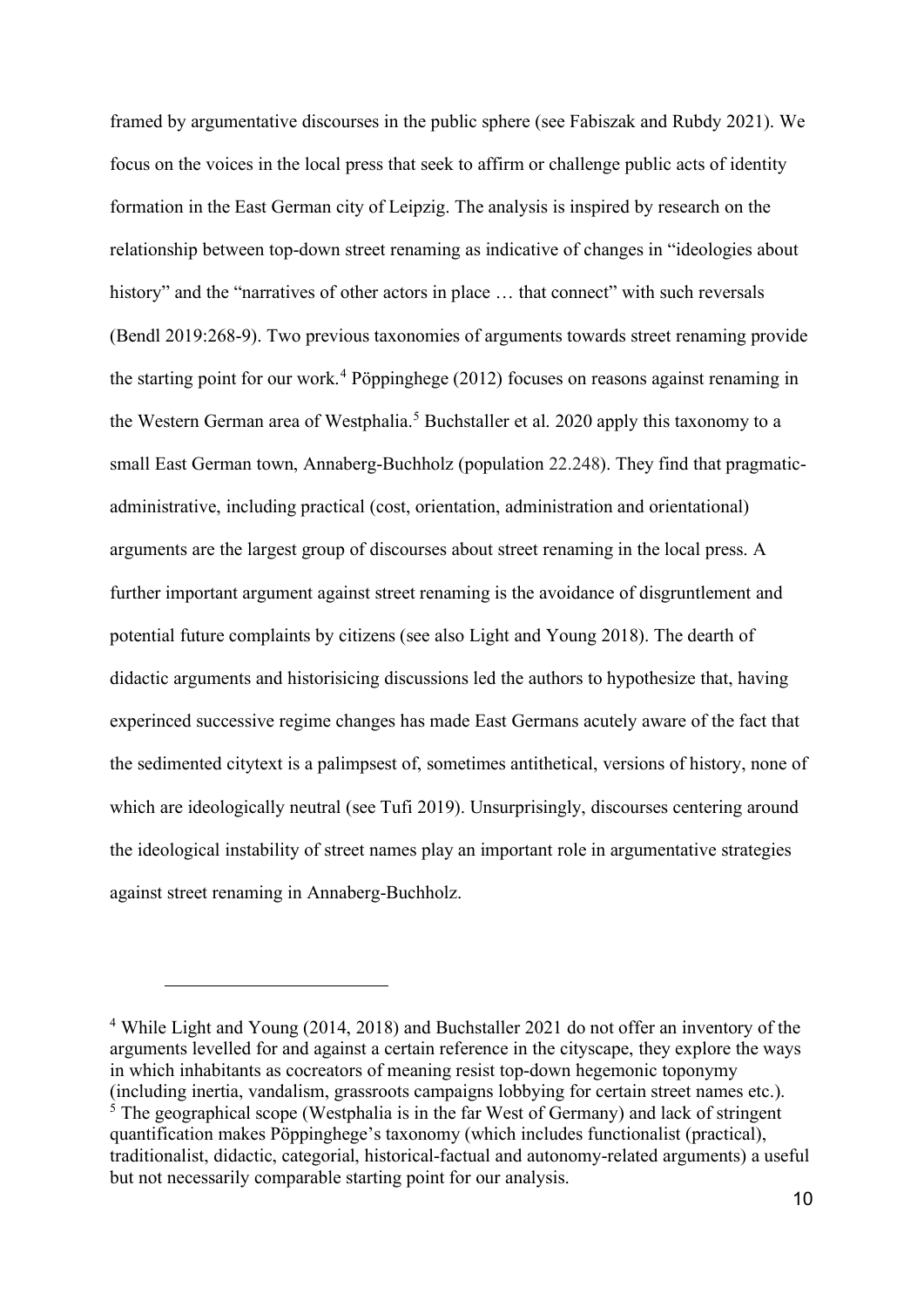framed by argumentative discourses in the public sphere (see Fabiszak and Rubdy 2021). We focus on the voices in the local press that seek to affirm or challenge public acts of identity formation in the East German city of Leipzig. The analysis is inspired by research on the relationship between top-down street renaming as indicative of changes in "ideologies about history" and the "narratives of other actors in place ... that connect" with such reversals (Bendl 2019:268-9). Two previous taxonomies of arguments towards street renaming provide the starting point for our work. [4](#page-9-0) Pöppinghege (2012) focuses on reasons against renaming in the Western German area of Westphalia. [5](#page-9-1) Buchstaller et al. 2020 apply this taxonomy to a small East German town, Annaberg-Buchholz (population 22.248). They find that pragmaticadministrative, including practical (cost, orientation, administration and orientational) arguments are the largest group of discourses about street renaming in the local press. A further important argument against street renaming is the avoidance of disgruntlement and potential future complaints by citizens (see also Light and Young 2018). The dearth of didactic arguments and historisicing discussions led the authors to hypothesize that, having experinced successive regime changes has made East Germans acutely aware of the fact that the sedimented citytext is a palimpsest of, sometimes antithetical, versions of history, none of which are ideologically neutral (see Tufi 2019). Unsurprisingly, discourses centering around the ideological instability of street names play an important role in argumentative strategies against street renaming in Annaberg-Buchholz.

<span id="page-9-1"></span><span id="page-9-0"></span><sup>4</sup> While Light and Young (2014, 2018) and Buchstaller 2021 do not offer an inventory of the arguments levelled for and against a certain reference in the cityscape, they explore the ways in which inhabitants as cocreators of meaning resist top-down hegemonic toponymy (including inertia, vandalism, grassroots campaigns lobbying for certain street names etc.).  $5$  The geographical scope (Westphalia is in the far West of Germany) and lack of stringent quantification makes Pöppinghege's taxonomy (which includes functionalist (practical), traditionalist, didactic, categorial, historical-factual and autonomy-related arguments) a useful but not necessarily comparable starting point for our analysis.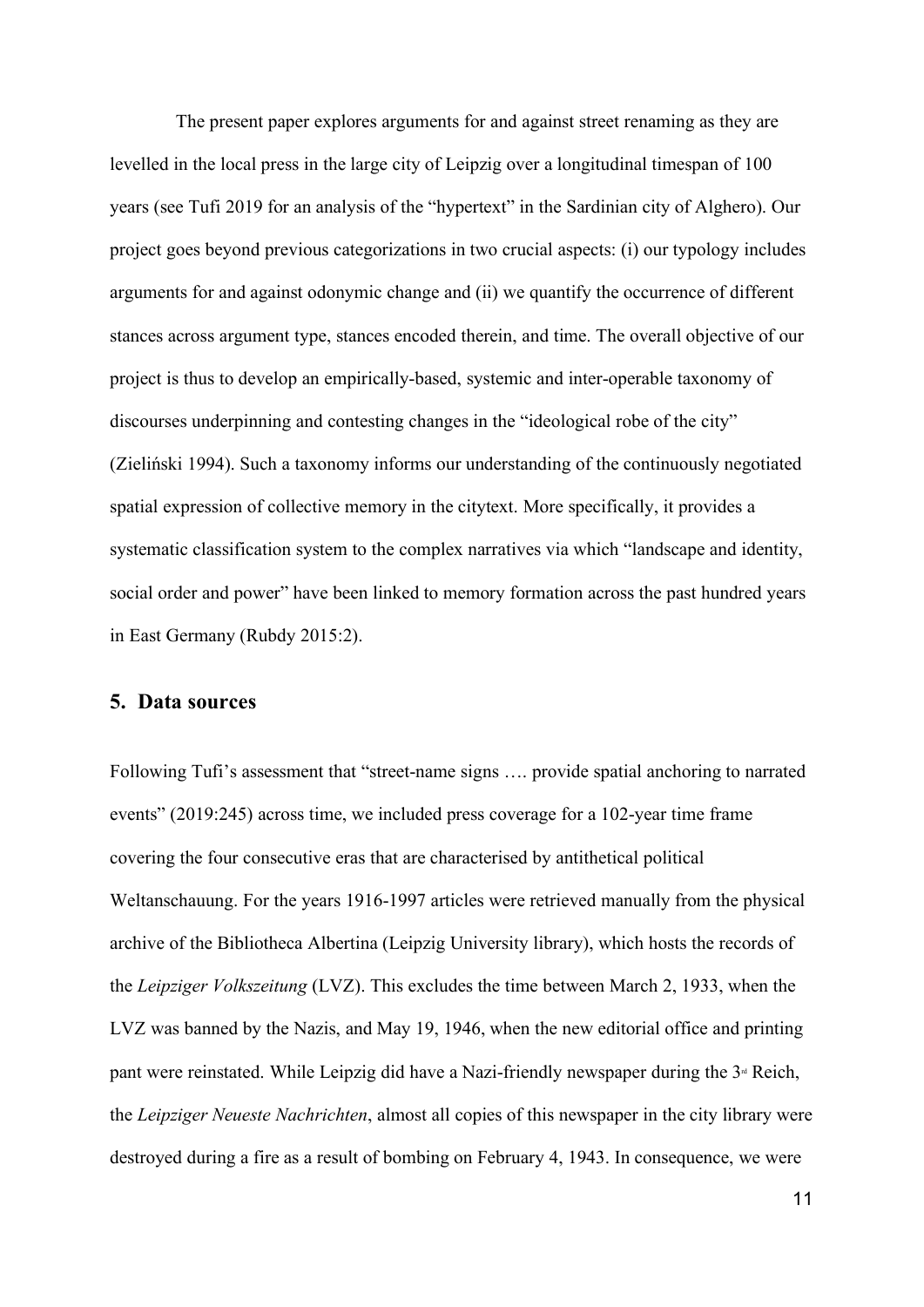The present paper explores arguments for and against street renaming as they are levelled in the local press in the large city of Leipzig over a longitudinal timespan of 100 years (see Tufi 2019 for an analysis of the "hypertext" in the Sardinian city of Alghero). Our project goes beyond previous categorizations in two crucial aspects: (i) our typology includes arguments for and against odonymic change and (ii) we quantify the occurrence of different stances across argument type, stances encoded therein, and time. The overall objective of our project is thus to develop an empirically-based, systemic and inter-operable taxonomy of discourses underpinning and contesting changes in the "ideological robe of the city" (Zieliński 1994). Such a taxonomy informs our understanding of the continuously negotiated spatial expression of collective memory in the citytext. More specifically, it provides a systematic classification system to the complex narratives via which "landscape and identity, social order and power" have been linked to memory formation across the past hundred years in East Germany (Rubdy 2015:2).

#### **5. Data sources**

Following Tufi's assessment that "street-name signs …. provide spatial anchoring to narrated events" (2019:245) across time, we included press coverage for a 102-year time frame covering the four consecutive eras that are characterised by antithetical political Weltanschauung. For the years 1916-1997 articles were retrieved manually from the physical archive of the Bibliotheca Albertina (Leipzig University library), which hosts the records of the *Leipziger Volkszeitung* (LVZ). This excludes the time between March 2, 1933, when the LVZ was banned by the Nazis, and May 19, 1946, when the new editorial office and printing pant were reinstated. While Leipzig did have a Nazi-friendly newspaper during the  $3<sup>d</sup>$  Reich, the *Leipziger Neueste Nachrichten*, almost all copies of this newspaper in the city library were destroyed during a fire as a result of bombing on February 4, 1943. In consequence, we were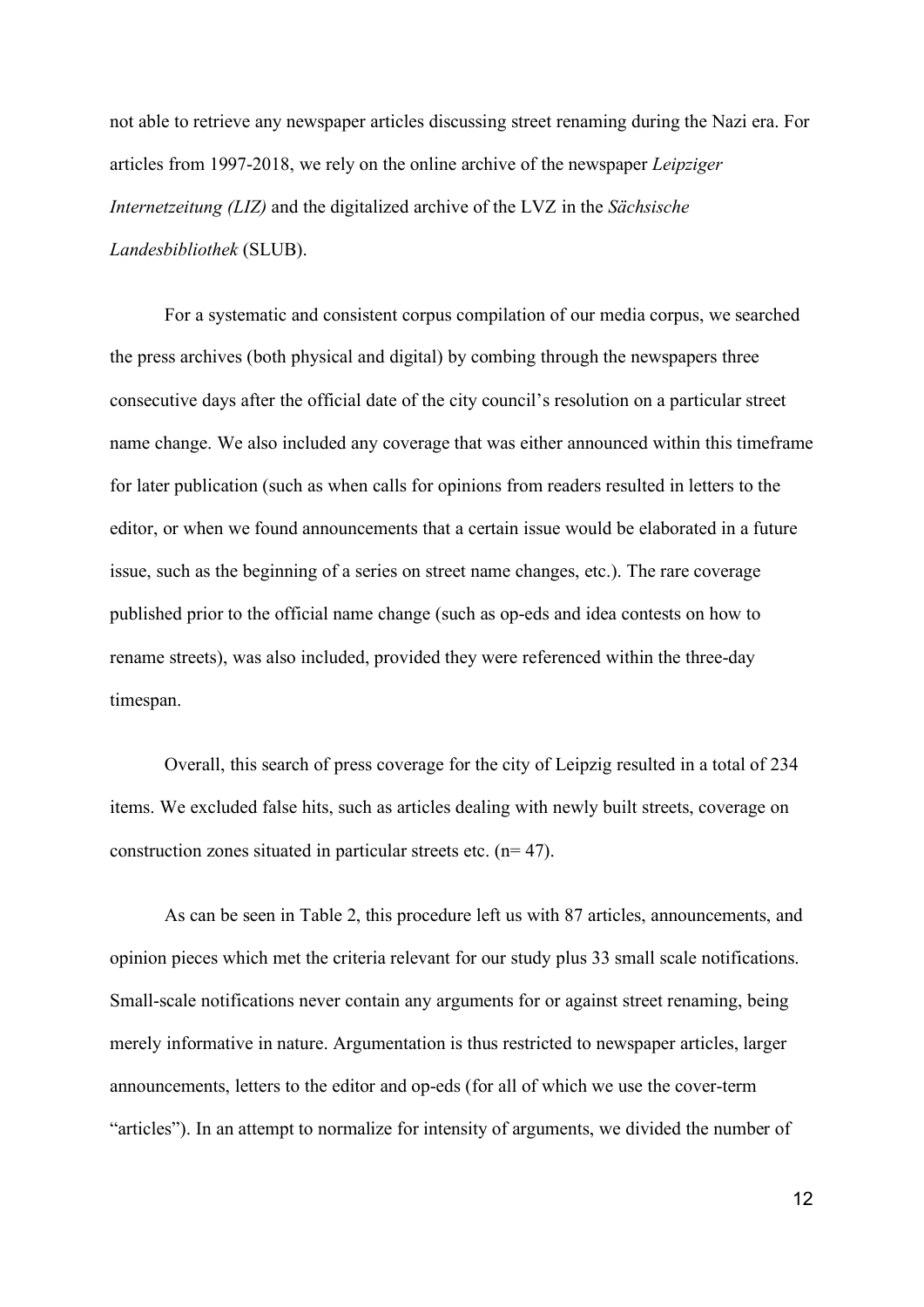not able to retrieve any newspaper articles discussing street renaming during the Nazi era. For articles from 1997-2018, we rely on the online archive of the newspaper *Leipziger Internetzeitung (LIZ)* and the digitalized archive of the LVZ in the *Sächsische Landesbibliothek* (SLUB).

For a systematic and consistent corpus compilation of our media corpus, we searched the press archives (both physical and digital) by combing through the newspapers three consecutive days after the official date of the city council's resolution on a particular street name change. We also included any coverage that was either announced within this timeframe for later publication (such as when calls for opinions from readers resulted in letters to the editor, or when we found announcements that a certain issue would be elaborated in a future issue, such as the beginning of a series on street name changes, etc.). The rare coverage published prior to the official name change (such as op-eds and idea contests on how to rename streets), was also included, provided they were referenced within the three-day timespan.

Overall, this search of press coverage for the city of Leipzig resulted in a total of 234 items. We excluded false hits, such as articles dealing with newly built streets, coverage on construction zones situated in particular streets etc. (n= 47).

As can be seen in Table 2, this procedure left us with 87 articles, announcements, and opinion pieces which met the criteria relevant for our study plus 33 small scale notifications. Small-scale notifications never contain any arguments for or against street renaming, being merely informative in nature. Argumentation is thus restricted to newspaper articles, larger announcements, letters to the editor and op-eds (for all of which we use the cover-term "articles"). In an attempt to normalize for intensity of arguments, we divided the number of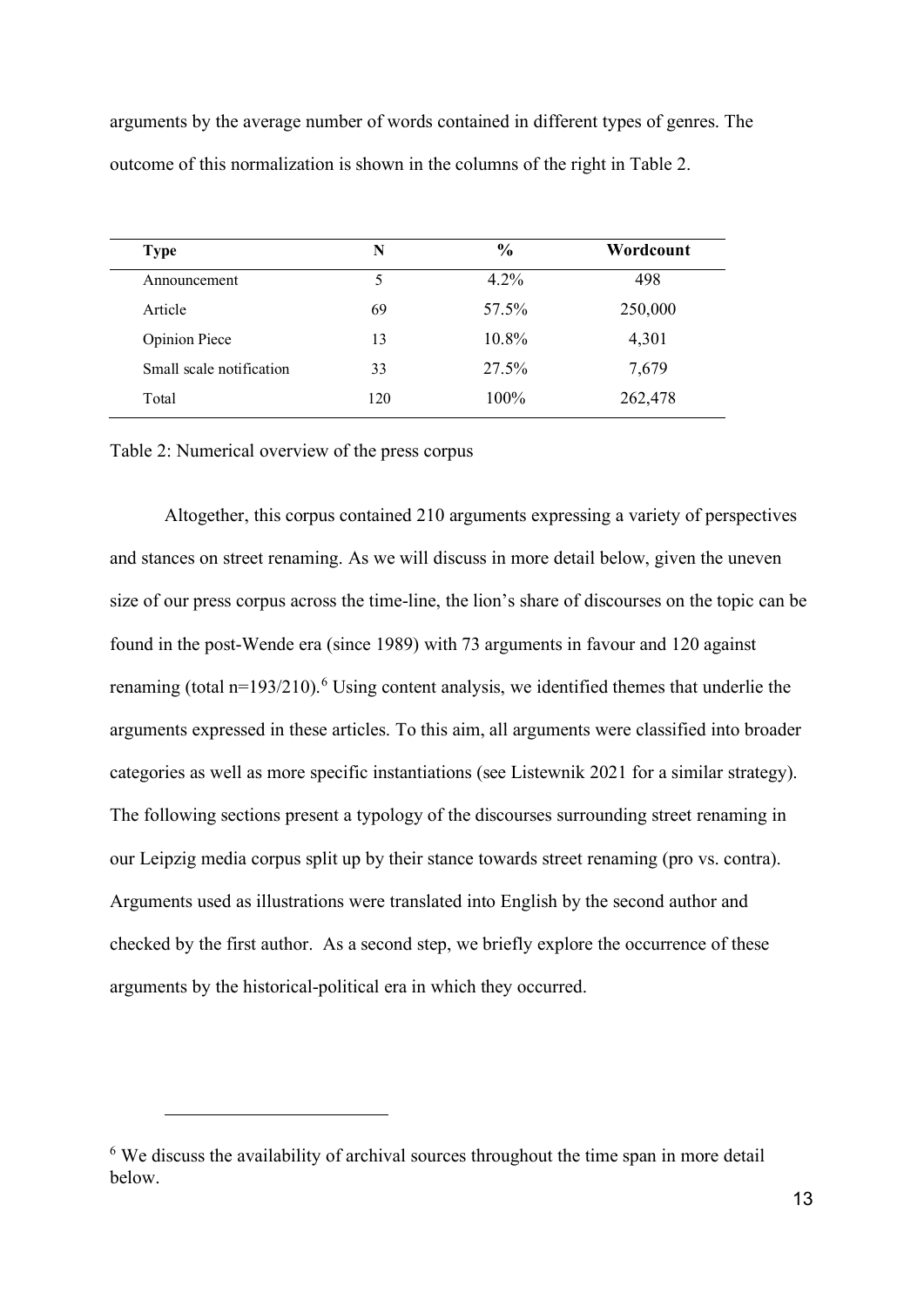arguments by the average number of words contained in different types of genres. The outcome of this normalization is shown in the columns of the right in Table 2.

| <b>Type</b>              | N   | $\frac{0}{0}$ | Wordcount |  |  |
|--------------------------|-----|---------------|-----------|--|--|
| Announcement             | 5   | $4.2\%$       | 498       |  |  |
| Article                  | 69  | 57.5%         | 250,000   |  |  |
| <b>Opinion Piece</b>     | 13  | 10.8%         | 4,301     |  |  |
| Small scale notification | 33  | 27.5%         | 7,679     |  |  |
| Total                    | 120 | 100%          | 262,478   |  |  |

Table 2: Numerical overview of the press corpus

Altogether, this corpus contained 210 arguments expressing a variety of perspectives and stances on street renaming. As we will discuss in more detail below, given the uneven size of our press corpus across the time-line, the lion's share of discourses on the topic can be found in the post-Wende era (since 1989) with 73 arguments in favour and 120 against renaming (total  $n=193/210$ ).<sup>[6](#page-12-0)</sup> Using content analysis, we identified themes that underlie the arguments expressed in these articles. To this aim, all arguments were classified into broader categories as well as more specific instantiations (see Listewnik 2021 for a similar strategy). The following sections present a typology of the discourses surrounding street renaming in our Leipzig media corpus split up by their stance towards street renaming (pro vs. contra). Arguments used as illustrations were translated into English by the second author and checked by the first author. As a second step, we briefly explore the occurrence of these arguments by the historical-political era in which they occurred.

<span id="page-12-0"></span><sup>&</sup>lt;sup>6</sup> We discuss the availability of archival sources throughout the time span in more detail below.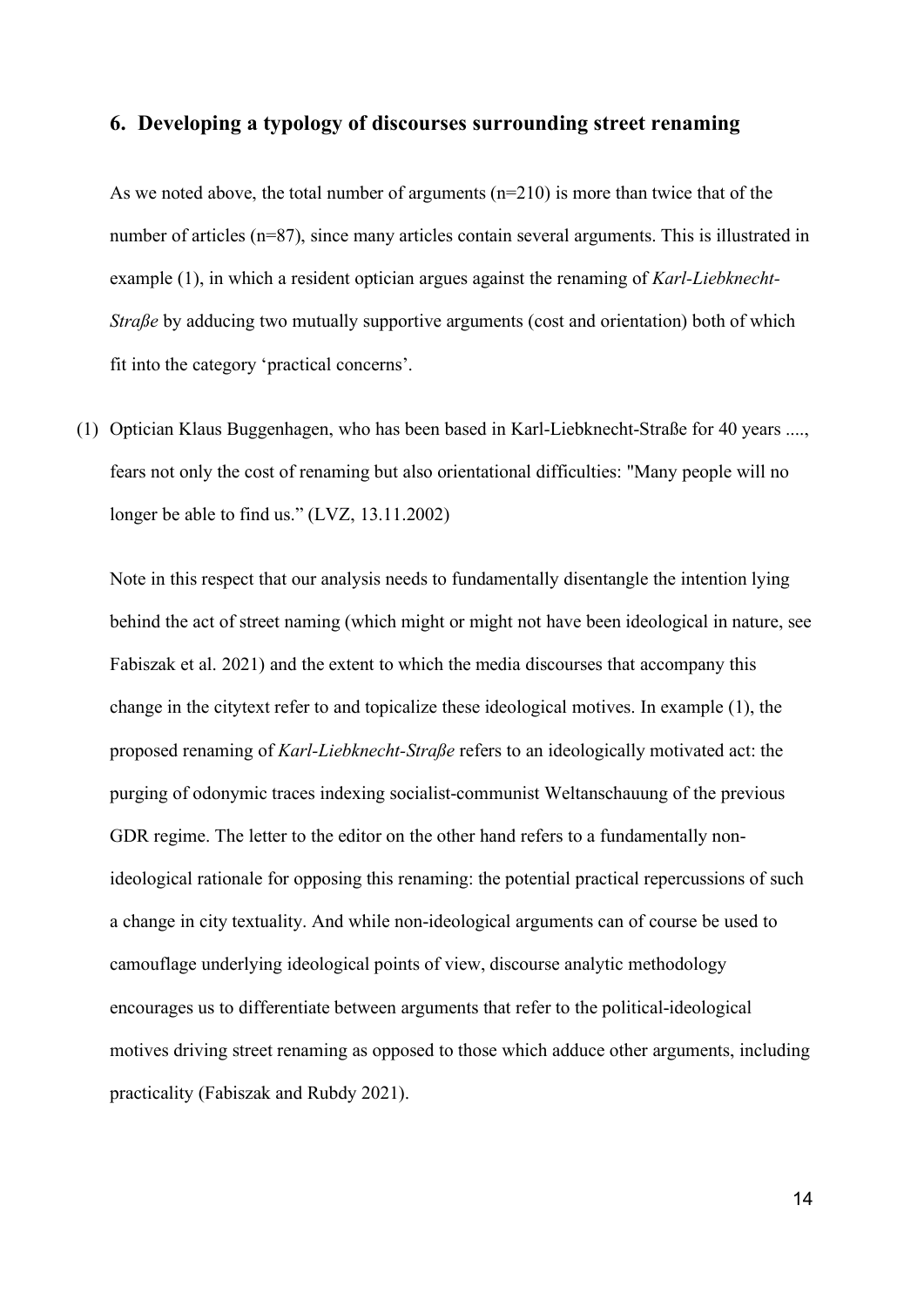### **6. Developing a typology of discourses surrounding street renaming**

As we noted above, the total number of arguments  $(n=210)$  is more than twice that of the number of articles (n=87), since many articles contain several arguments. This is illustrated in example (1), in which a resident optician argues against the renaming of *Karl-Liebknecht-Straße* by adducing two mutually supportive arguments (cost and orientation) both of which fit into the category 'practical concerns'.

(1) Optician Klaus Buggenhagen, who has been based in Karl-Liebknecht-Straße for 40 years ...., fears not only the cost of renaming but also orientational difficulties: "Many people will no longer be able to find us." (LVZ, 13.11.2002)

Note in this respect that our analysis needs to fundamentally disentangle the intention lying behind the act of street naming (which might or might not have been ideological in nature, see Fabiszak et al. 2021) and the extent to which the media discourses that accompany this change in the citytext refer to and topicalize these ideological motives. In example (1), the proposed renaming of *Karl-Liebknecht-Straße* refers to an ideologically motivated act: the purging of odonymic traces indexing socialist-communist Weltanschauung of the previous GDR regime. The letter to the editor on the other hand refers to a fundamentally nonideological rationale for opposing this renaming: the potential practical repercussions of such a change in city textuality. And while non-ideological arguments can of course be used to camouflage underlying ideological points of view, discourse analytic methodology encourages us to differentiate between arguments that refer to the political-ideological motives driving street renaming as opposed to those which adduce other arguments, including practicality (Fabiszak and Rubdy 2021).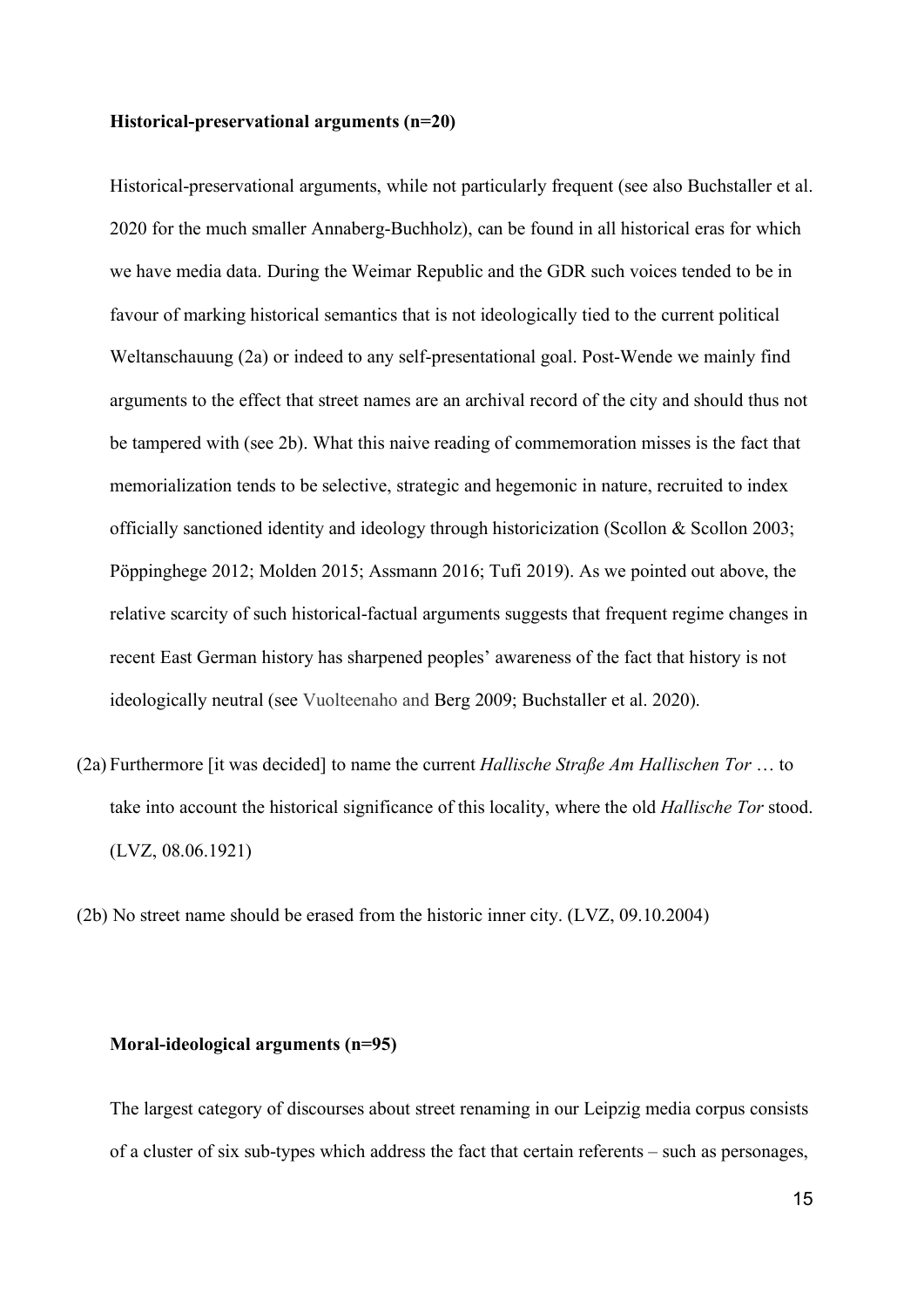#### **Historical-preservational arguments (n=20)**

Historical-preservational arguments, while not particularly frequent (see also Buchstaller et al. 2020 for the much smaller Annaberg-Buchholz), can be found in all historical eras for which we have media data. During the Weimar Republic and the GDR such voices tended to be in favour of marking historical semantics that is not ideologically tied to the current political Weltanschauung (2a) or indeed to any self-presentational goal. Post-Wende we mainly find arguments to the effect that street names are an archival record of the city and should thus not be tampered with (see 2b). What this naive reading of commemoration misses is the fact that memorialization tends to be selective, strategic and hegemonic in nature, recruited to index officially sanctioned identity and ideology through historicization (Scollon & Scollon 2003; Pöppinghege 2012; Molden 2015; Assmann 2016; Tufi 2019). As we pointed out above, the relative scarcity of such historical-factual arguments suggests that frequent regime changes in recent East German history has sharpened peoples' awareness of the fact that history is not ideologically neutral (see Vuolteenaho and Berg 2009; Buchstaller et al. 2020).

- (2a) Furthermore [it was decided] to name the current *Hallische Straße Am Hallischen Tor* … to take into account the historical significance of this locality, where the old *Hallische Tor* stood. (LVZ, 08.06.1921)
- (2b) No street name should be erased from the historic inner city. (LVZ, 09.10.2004)

#### **Moral-ideological arguments (n=95)**

The largest category of discourses about street renaming in our Leipzig media corpus consists of a cluster of six sub-types which address the fact that certain referents – such as personages,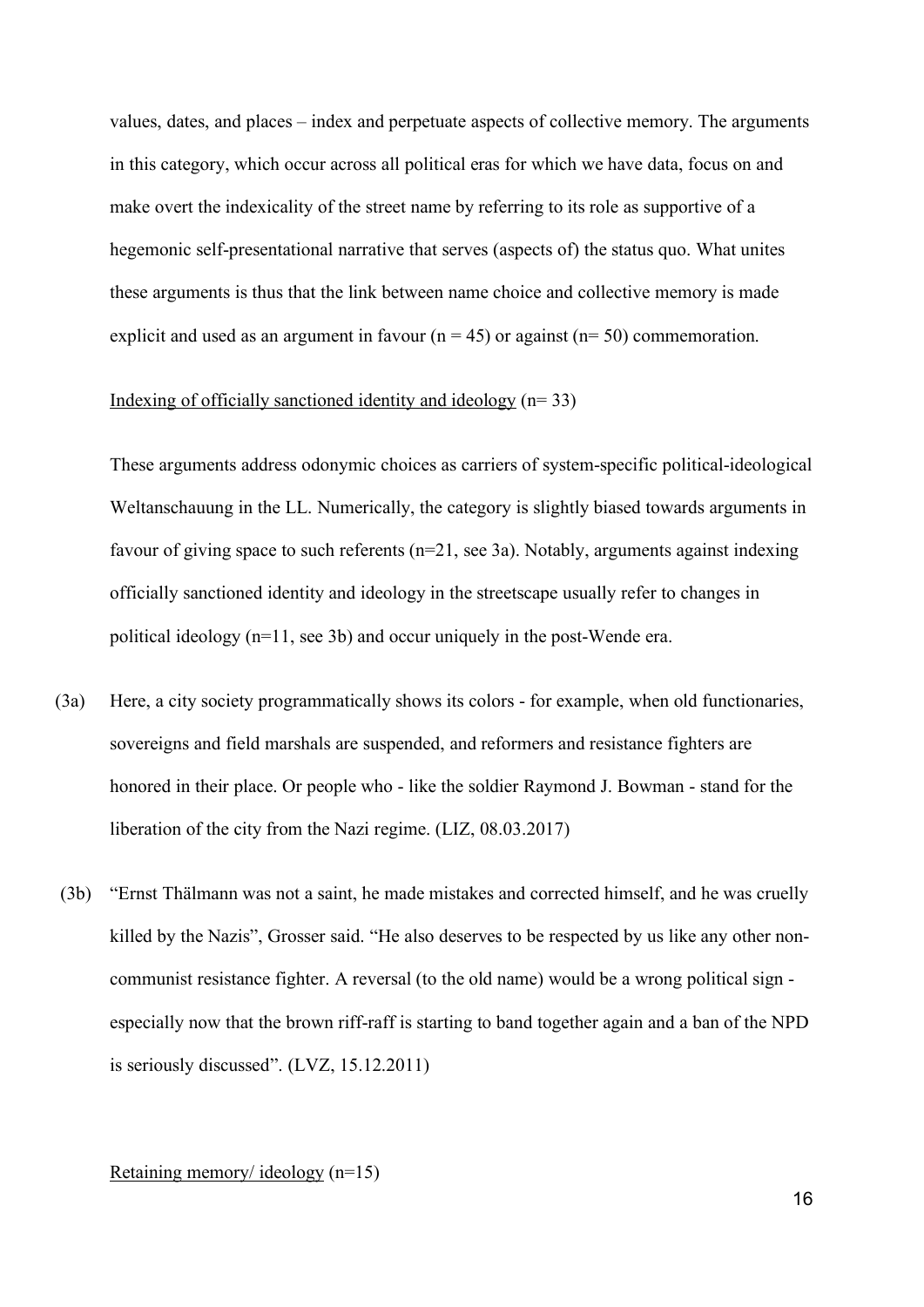values, dates, and places – index and perpetuate aspects of collective memory. The arguments in this category, which occur across all political eras for which we have data, focus on and make overt the indexicality of the street name by referring to its role as supportive of a hegemonic self-presentational narrative that serves (aspects of) the status quo. What unites these arguments is thus that the link between name choice and collective memory is made explicit and used as an argument in favour ( $n = 45$ ) or against ( $n = 50$ ) commemoration.

#### Indexing of officially sanctioned identity and ideology  $(n=33)$

These arguments address odonymic choices as carriers of system-specific political-ideological Weltanschauung in the LL. Numerically, the category is slightly biased towards arguments in favour of giving space to such referents (n=21, see 3a). Notably, arguments against indexing officially sanctioned identity and ideology in the streetscape usually refer to changes in political ideology (n=11, see 3b) and occur uniquely in the post-Wende era.

- (3a) Here, a city society programmatically shows its colors for example, when old functionaries, sovereigns and field marshals are suspended, and reformers and resistance fighters are honored in their place. Or people who - like the soldier Raymond J. Bowman - stand for the liberation of the city from the Nazi regime. (LIZ, 08.03.2017)
- (3b) "Ernst Thälmann was not a saint, he made mistakes and corrected himself, and he was cruelly killed by the Nazis", Grosser said. "He also deserves to be respected by us like any other noncommunist resistance fighter. A reversal (to the old name) would be a wrong political sign especially now that the brown riff-raff is starting to band together again and a ban of the NPD is seriously discussed". (LVZ, 15.12.2011)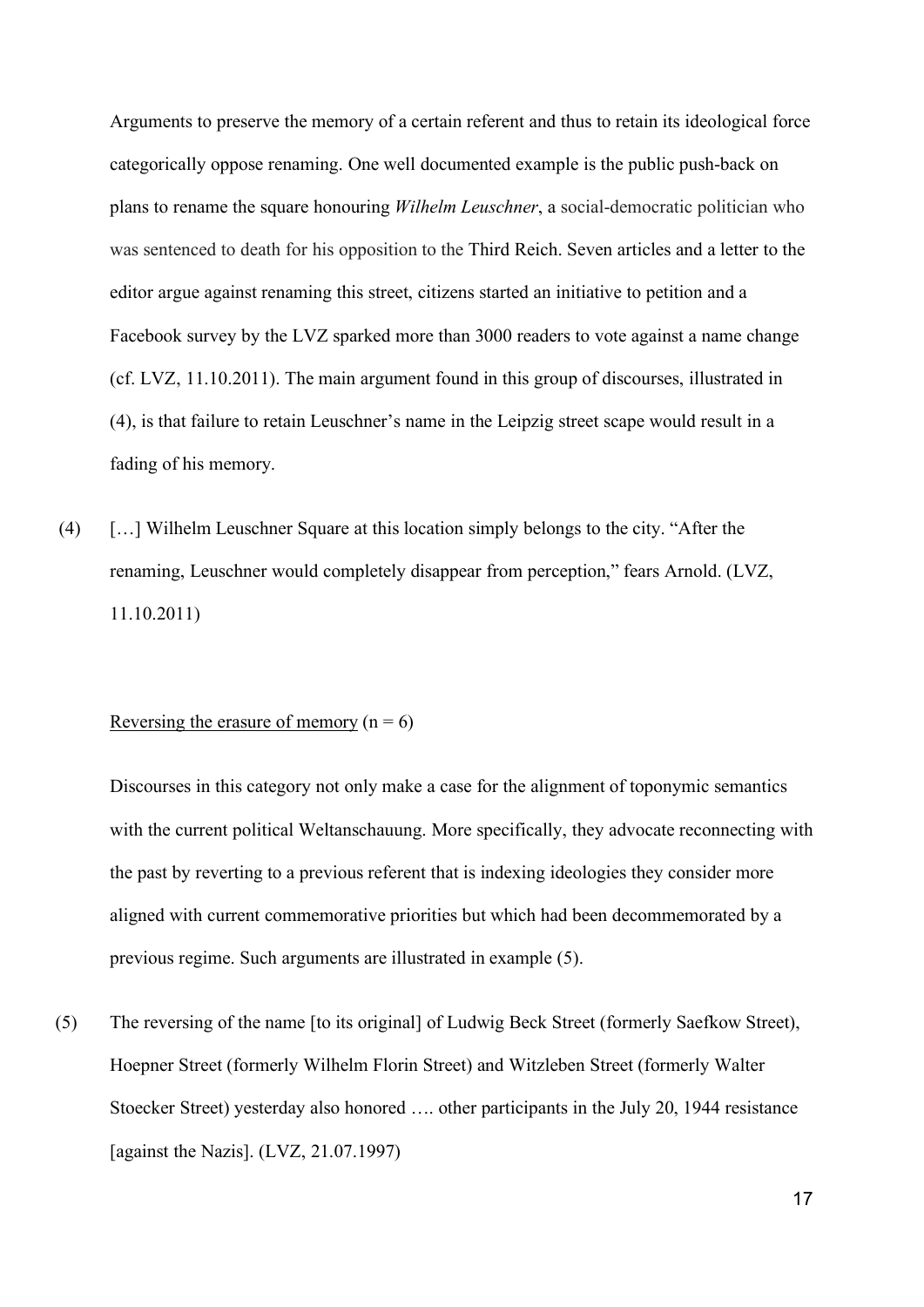Arguments to preserve the memory of a certain referent and thus to retain its ideological force categorically oppose renaming. One well documented example is the public push-back on plans to rename the square honouring *Wilhelm Leuschner*, a social-democratic politician who was sentenced to death for his opposition to the Third Reich. Seven articles and a letter to the editor argue against renaming this street, citizens started an initiative to petition and a Facebook survey by the LVZ sparked more than 3000 readers to vote against a name change (cf. LVZ, 11.10.2011). The main argument found in this group of discourses, illustrated in (4), is that failure to retain Leuschner's name in the Leipzig street scape would result in a fading of his memory.

(4) […] Wilhelm Leuschner Square at this location simply belongs to the city. "After the renaming, Leuschner would completely disappear from perception," fears Arnold. (LVZ, 11.10.2011)

#### Reversing the erasure of memory ( $n = 6$ )

Discourses in this category not only make a case for the alignment of toponymic semantics with the current political Weltanschauung. More specifically, they advocate reconnecting with the past by reverting to a previous referent that is indexing ideologies they consider more aligned with current commemorative priorities but which had been decommemorated by a previous regime. Such arguments are illustrated in example (5).

(5) The reversing of the name [to its original] of Ludwig Beck Street (formerly Saefkow Street), Hoepner Street (formerly Wilhelm Florin Street) and Witzleben Street (formerly Walter Stoecker Street) yesterday also honored …. other participants in the July 20, 1944 resistance [against the Nazis]. (LVZ, 21.07.1997)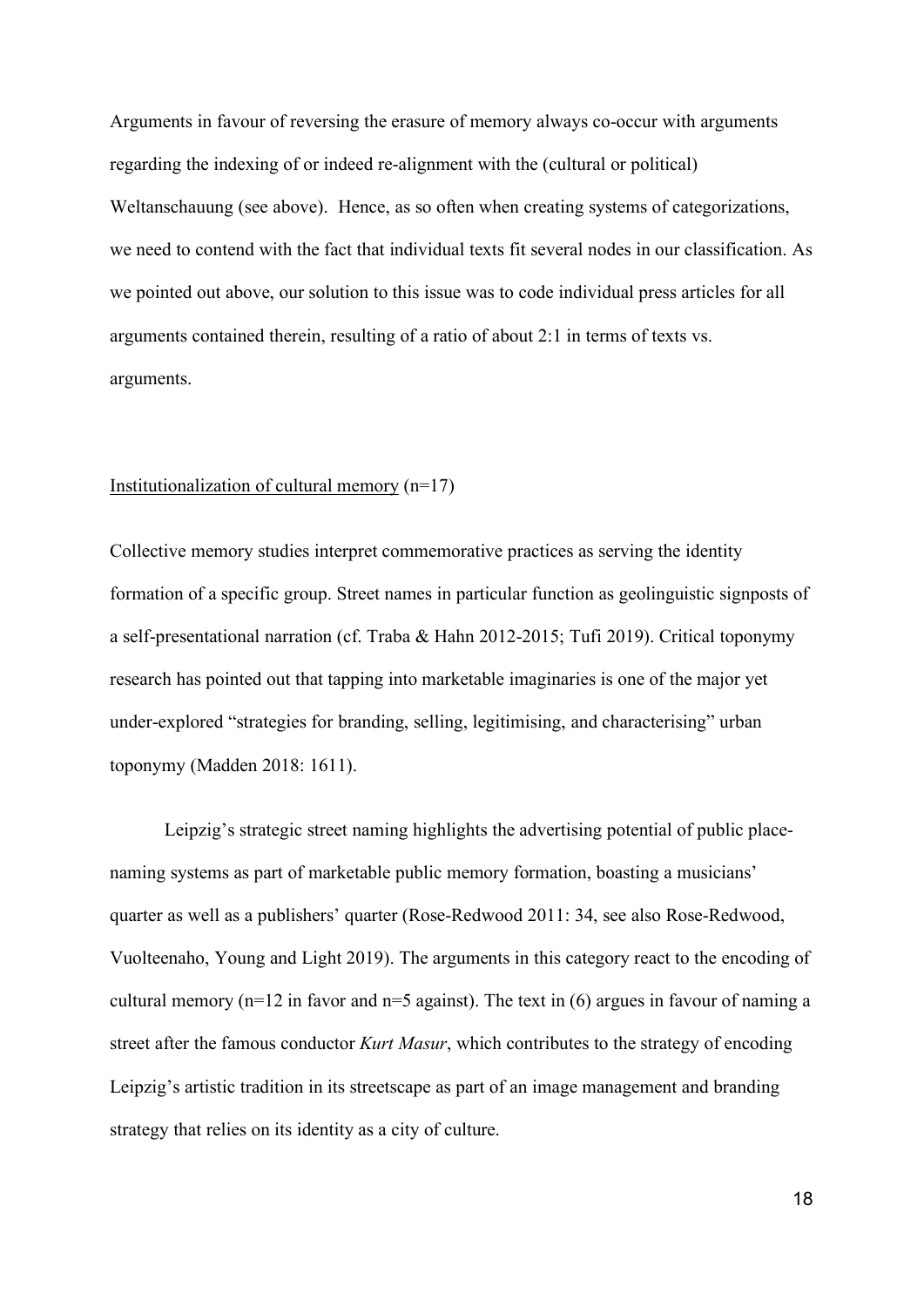Arguments in favour of reversing the erasure of memory always co-occur with arguments regarding the indexing of or indeed re-alignment with the (cultural or political) Weltanschauung (see above). Hence, as so often when creating systems of categorizations, we need to contend with the fact that individual texts fit several nodes in our classification. As we pointed out above, our solution to this issue was to code individual press articles for all arguments contained therein, resulting of a ratio of about 2:1 in terms of texts vs. arguments.

#### Institutionalization of cultural memory  $(n=17)$

Collective memory studies interpret commemorative practices as serving the identity formation of a specific group. Street names in particular function as geolinguistic signposts of a self-presentational narration (cf. Traba & Hahn 2012-2015; Tufi 2019). Critical toponymy research has pointed out that tapping into marketable imaginaries is one of the major yet under-explored "strategies for branding, selling, legitimising, and characterising" urban toponymy (Madden 2018: 1611).

Leipzig's strategic street naming highlights the advertising potential of public placenaming systems as part of marketable public memory formation, boasting a musicians' quarter as well as a publishers' quarter (Rose-Redwood 2011: 34, see also Rose-Redwood, Vuolteenaho, Young and Light 2019). The arguments in this category react to the encoding of cultural memory (n=12 in favor and n=5 against). The text in (6) argues in favour of naming a street after the famous conductor *Kurt Masur*, which contributes to the strategy of encoding Leipzig's artistic tradition in its streetscape as part of an image management and branding strategy that relies on its identity as a city of culture.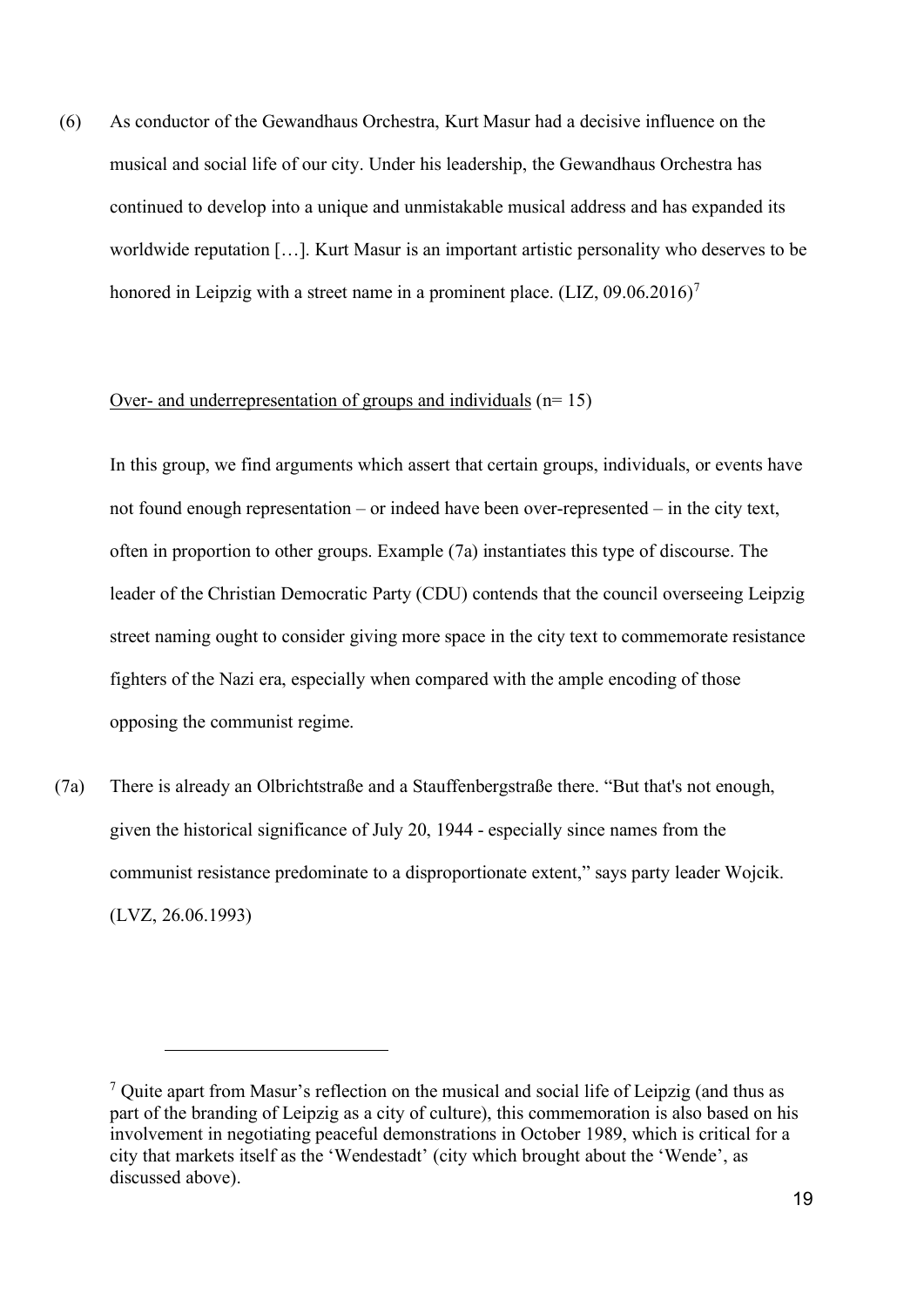(6) As conductor of the Gewandhaus Orchestra, Kurt Masur had a decisive influence on the musical and social life of our city. Under his leadership, the Gewandhaus Orchestra has continued to develop into a unique and unmistakable musical address and has expanded its worldwide reputation […]. Kurt Masur is an important artistic personality who deserves to be honored in Leipzig with a street name in a prominent place.  $(LIZ, 09.06.2016)^7$  $(LIZ, 09.06.2016)^7$ 

#### Over- and underrepresentation of groups and individuals  $(n=15)$

In this group, we find arguments which assert that certain groups, individuals, or events have not found enough representation – or indeed have been over-represented – in the city text, often in proportion to other groups. Example (7a) instantiates this type of discourse. The leader of the Christian Democratic Party (CDU) contends that the council overseeing Leipzig street naming ought to consider giving more space in the city text to commemorate resistance fighters of the Nazi era, especially when compared with the ample encoding of those opposing the communist regime.

(7a) There is already an Olbrichtstraße and a Stauffenbergstraße there. "But that's not enough, given the historical significance of July 20, 1944 - especially since names from the communist resistance predominate to a disproportionate extent," says party leader Wojcik. (LVZ, 26.06.1993)

<span id="page-18-0"></span> $<sup>7</sup>$  Quite apart from Masur's reflection on the musical and social life of Leipzig (and thus as</sup> part of the branding of Leipzig as a city of culture), this commemoration is also based on his involvement in negotiating peaceful demonstrations in October 1989, which is critical for a city that markets itself as the 'Wendestadt' (city which brought about the 'Wende', as discussed above).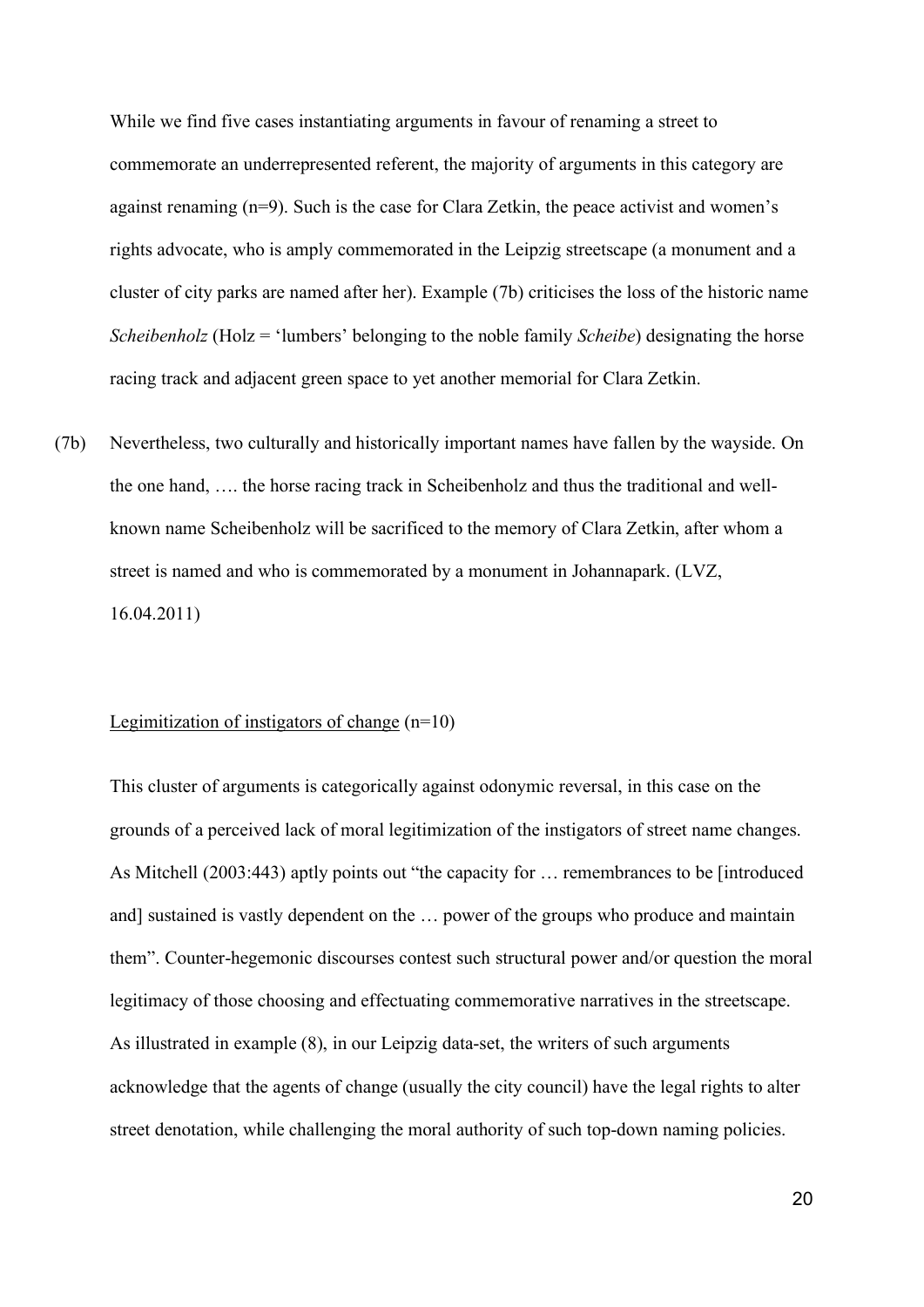While we find five cases instantiating arguments in favour of renaming a street to commemorate an underrepresented referent, the majority of arguments in this category are against renaming (n=9). Such is the case for Clara Zetkin, the peace activist and women's rights advocate, who is amply commemorated in the Leipzig streetscape (a monument and a cluster of city parks are named after her). Example (7b) criticises the loss of the historic name *Scheibenholz* (Holz = 'lumbers' belonging to the noble family *Scheibe*) designating the horse racing track and adjacent green space to yet another memorial for Clara Zetkin.

(7b) Nevertheless, two culturally and historically important names have fallen by the wayside. On the one hand, …. the horse racing track in Scheibenholz and thus the traditional and wellknown name Scheibenholz will be sacrificed to the memory of Clara Zetkin, after whom a street is named and who is commemorated by a monument in Johannapark. (LVZ, 16.04.2011)

#### Legimitization of instigators of change  $(n=10)$

This cluster of arguments is categorically against odonymic reversal, in this case on the grounds of a perceived lack of moral legitimization of the instigators of street name changes. As Mitchell (2003:443) aptly points out "the capacity for … remembrances to be [introduced and] sustained is vastly dependent on the … power of the groups who produce and maintain them". Counter-hegemonic discourses contest such structural power and/or question the moral legitimacy of those choosing and effectuating commemorative narratives in the streetscape. As illustrated in example (8), in our Leipzig data-set, the writers of such arguments acknowledge that the agents of change (usually the city council) have the legal rights to alter street denotation, while challenging the moral authority of such top-down naming policies.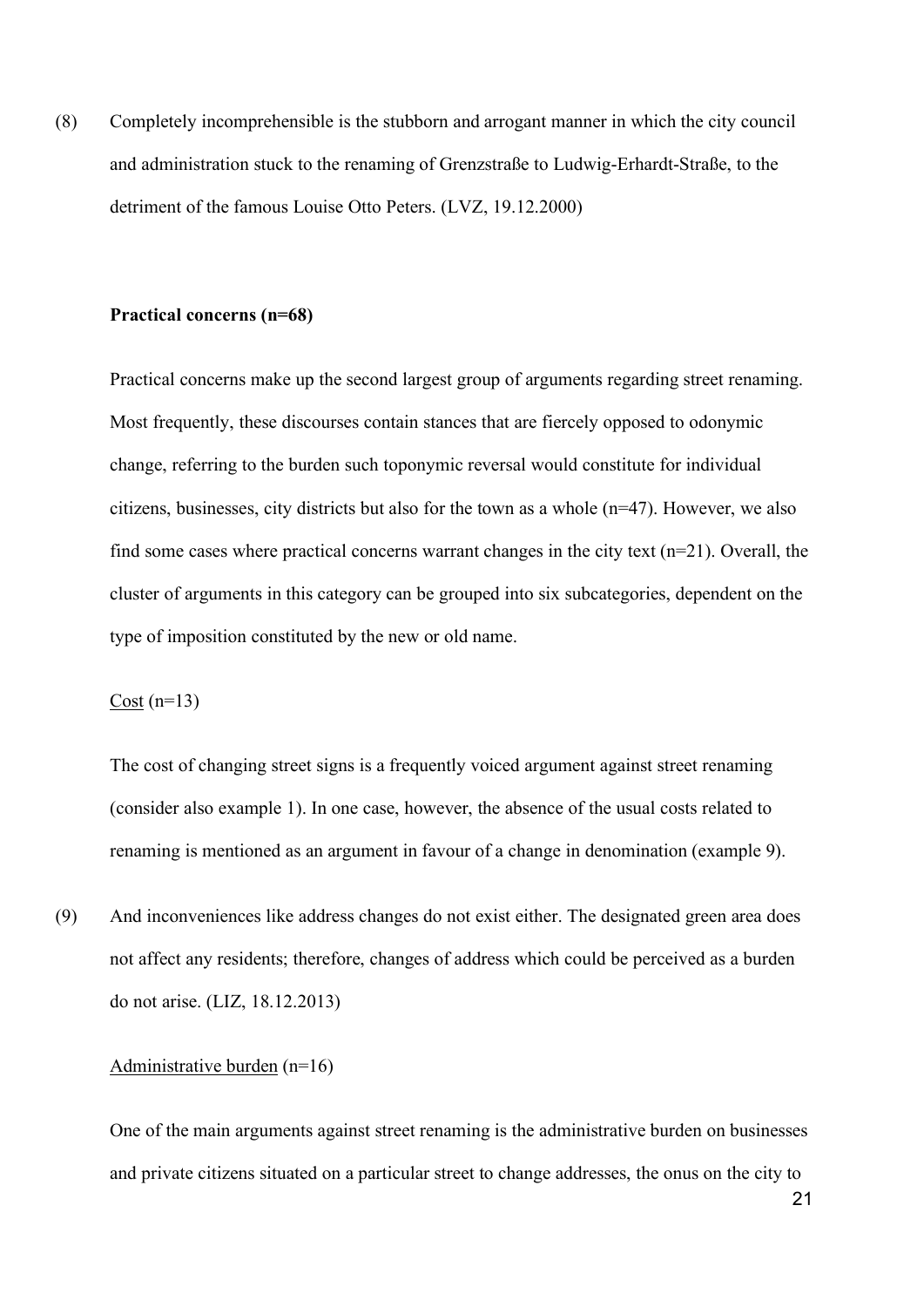(8) Completely incomprehensible is the stubborn and arrogant manner in which the city council and administration stuck to the renaming of Grenzstraße to Ludwig-Erhardt-Straße, to the detriment of the famous Louise Otto Peters. (LVZ, 19.12.2000)

#### **Practical concerns (n=68)**

Practical concerns make up the second largest group of arguments regarding street renaming. Most frequently, these discourses contain stances that are fiercely opposed to odonymic change, referring to the burden such toponymic reversal would constitute for individual citizens, businesses, city districts but also for the town as a whole (n=47). However, we also find some cases where practical concerns warrant changes in the city text  $(n=21)$ . Overall, the cluster of arguments in this category can be grouped into six subcategories, dependent on the type of imposition constituted by the new or old name.

 $Cost (n=13)$ 

The cost of changing street signs is a frequently voiced argument against street renaming (consider also example 1). In one case, however, the absence of the usual costs related to renaming is mentioned as an argument in favour of a change in denomination (example 9).

(9) And inconveniences like address changes do not exist either. The designated green area does not affect any residents; therefore, changes of address which could be perceived as a burden do not arise. (LIZ, 18.12.2013)

## Administrative burden (n=16)

One of the main arguments against street renaming is the administrative burden on businesses and private citizens situated on a particular street to change addresses, the onus on the city to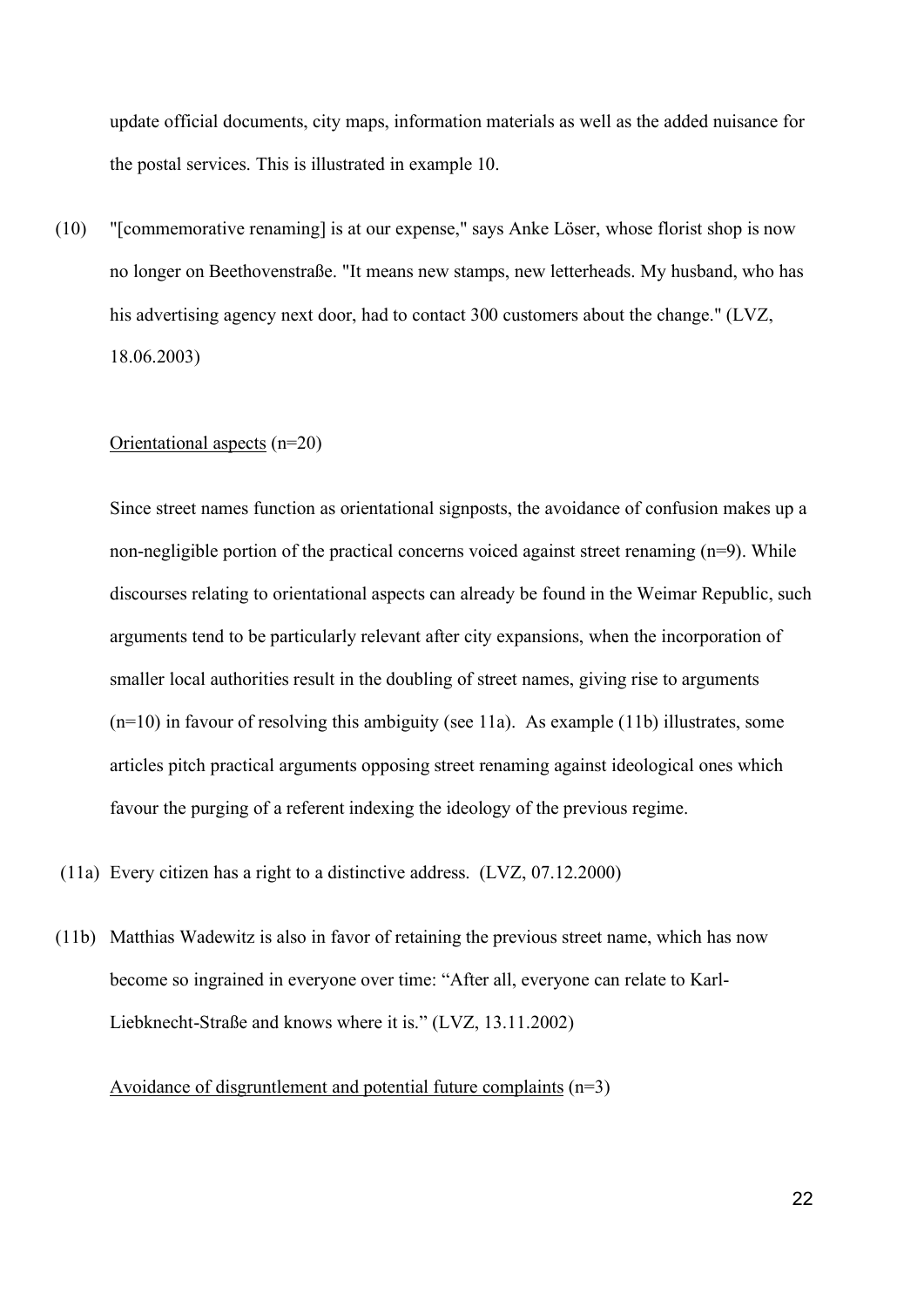update official documents, city maps, information materials as well as the added nuisance for the postal services. This is illustrated in example 10.

(10) "[commemorative renaming] is at our expense," says Anke Löser, whose florist shop is now no longer on Beethovenstraße. "It means new stamps, new letterheads. My husband, who has his advertising agency next door, had to contact 300 customers about the change." (LVZ, 18.06.2003)

## Orientational aspects (n=20)

Since street names function as orientational signposts, the avoidance of confusion makes up a non-negligible portion of the practical concerns voiced against street renaming (n=9). While discourses relating to orientational aspects can already be found in the Weimar Republic, such arguments tend to be particularly relevant after city expansions, when the incorporation of smaller local authorities result in the doubling of street names, giving rise to arguments  $(n=10)$  in favour of resolving this ambiguity (see 11a). As example (11b) illustrates, some articles pitch practical arguments opposing street renaming against ideological ones which favour the purging of a referent indexing the ideology of the previous regime.

- (11a) Every citizen has a right to a distinctive address. (LVZ, 07.12.2000)
- (11b) Matthias Wadewitz is also in favor of retaining the previous street name, which has now become so ingrained in everyone over time: "After all, everyone can relate to Karl-Liebknecht-Straße and knows where it is." (LVZ, 13.11.2002)

Avoidance of disgruntlement and potential future complaints (n=3)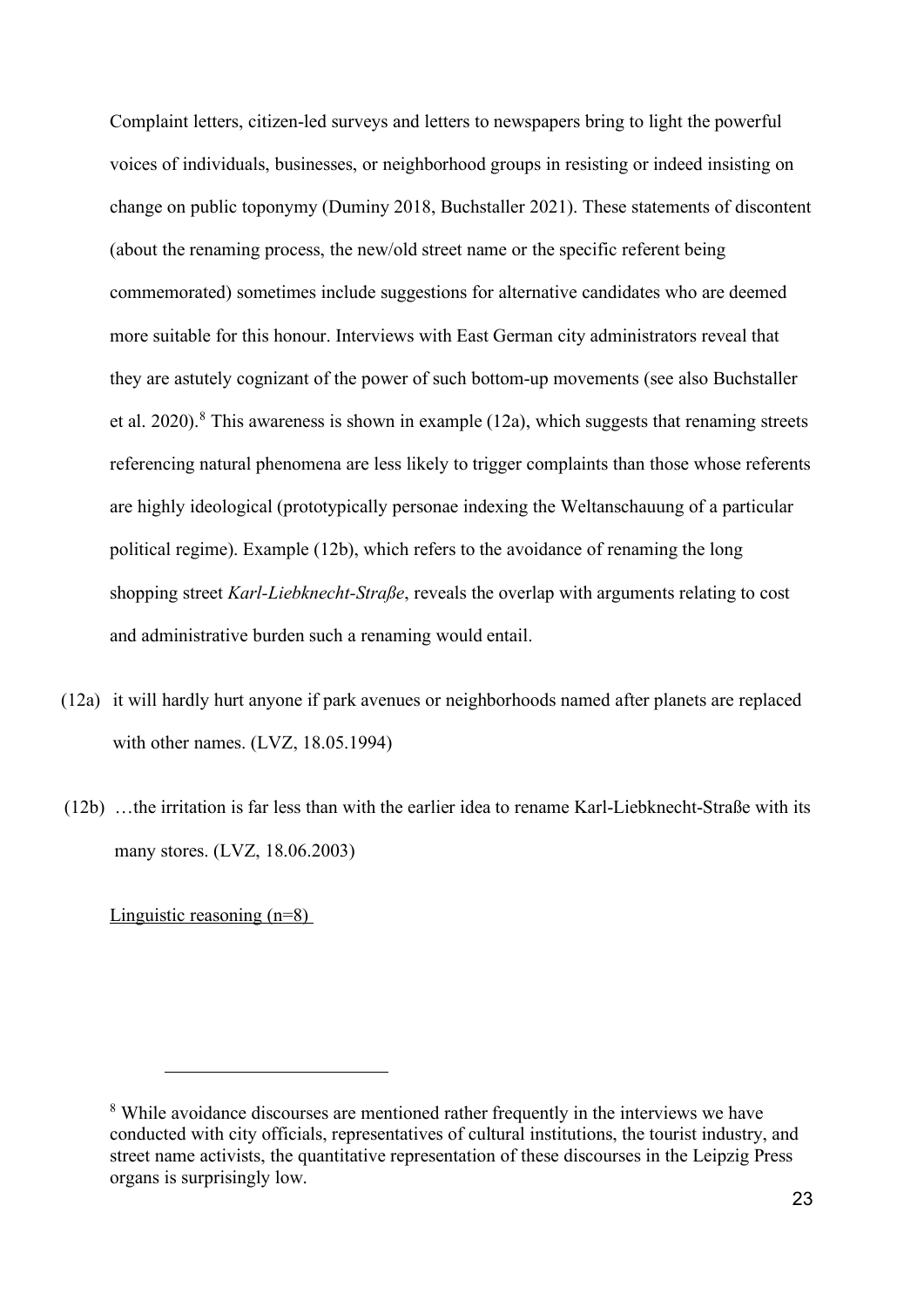Complaint letters, citizen-led surveys and letters to newspapers bring to light the powerful voices of individuals, businesses, or neighborhood groups in resisting or indeed insisting on change on public toponymy (Duminy 2018, Buchstaller 2021). These statements of discontent (about the renaming process, the new/old street name or the specific referent being commemorated) sometimes include suggestions for alternative candidates who are deemed more suitable for this honour. Interviews with East German city administrators reveal that they are astutely cognizant of the power of such bottom-up movements (see also Buchstaller et al. 2020).<sup>[8](#page-22-0)</sup> This awareness is shown in example (12a), which suggests that renaming streets referencing natural phenomena are less likely to trigger complaints than those whose referents are highly ideological (prototypically personae indexing the Weltanschauung of a particular political regime). Example (12b), which refers to the avoidance of renaming the long shopping street *Karl-Liebknecht-Straße*, reveals the overlap with arguments relating to cost and administrative burden such a renaming would entail.

- (12a) it will hardly hurt anyone if park avenues or neighborhoods named after planets are replaced with other names. (LVZ, 18.05.1994)
- (12b) …the irritation is far less than with the earlier idea to rename Karl-Liebknecht-Straße with its many stores. (LVZ, 18.06.2003)

Linguistic reasoning (n=8)

<span id="page-22-0"></span><sup>&</sup>lt;sup>8</sup> While avoidance discourses are mentioned rather frequently in the interviews we have conducted with city officials, representatives of cultural institutions, the tourist industry, and street name activists, the quantitative representation of these discourses in the Leipzig Press organs is surprisingly low.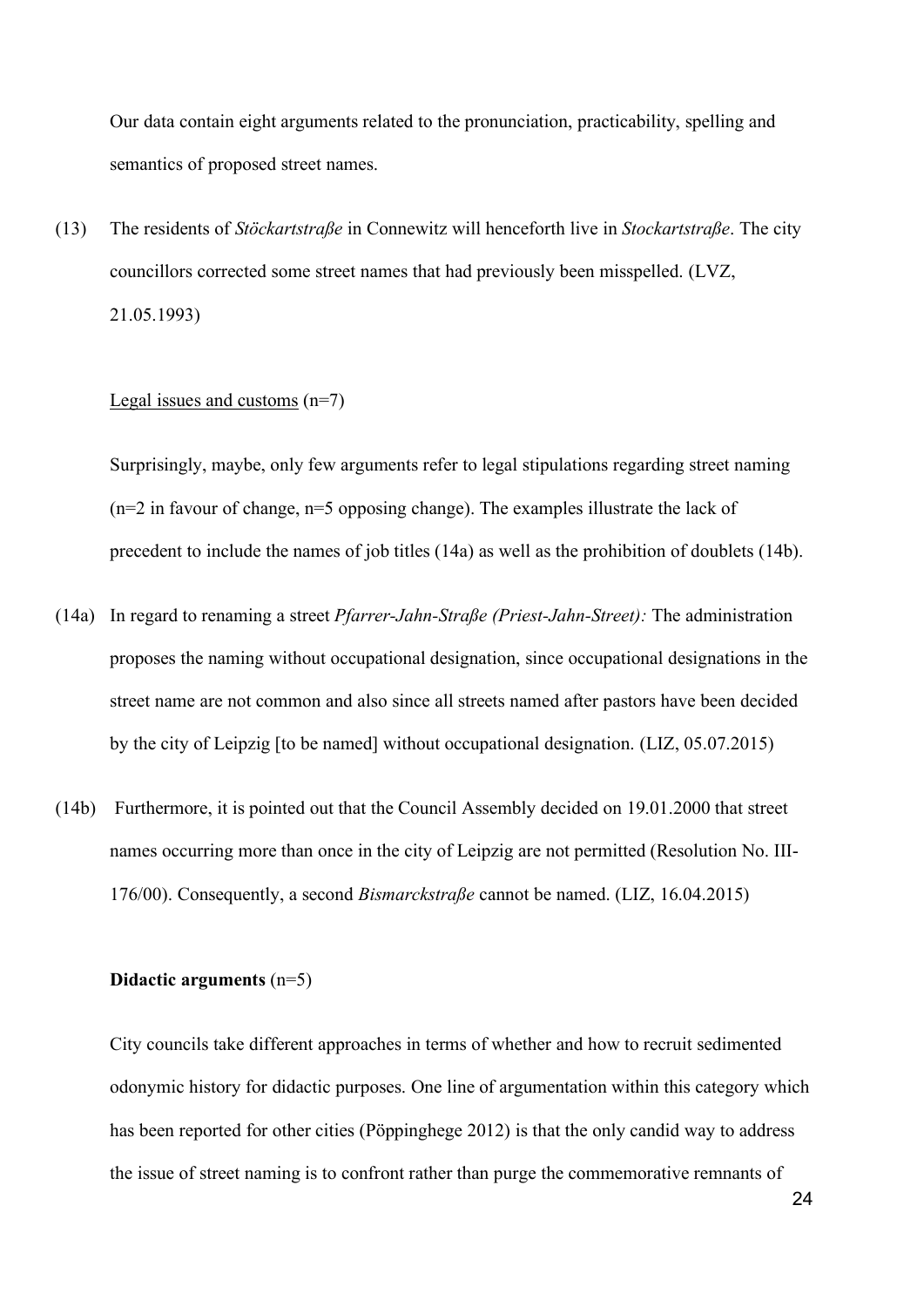Our data contain eight arguments related to the pronunciation, practicability, spelling and semantics of proposed street names.

(13) The residents of *Stöckartstraße* in Connewitz will henceforth live in *Stockartstraße*. The city councillors corrected some street names that had previously been misspelled. (LVZ, 21.05.1993)

### Legal issues and customs  $(n=7)$

Surprisingly, maybe, only few arguments refer to legal stipulations regarding street naming  $(n=2$  in favour of change,  $n=5$  opposing change). The examples illustrate the lack of precedent to include the names of job titles (14a) as well as the prohibition of doublets (14b).

- (14a) In regard to renaming a street *Pfarrer-Jahn-Straße (Priest-Jahn-Street):* The administration proposes the naming without occupational designation, since occupational designations in the street name are not common and also since all streets named after pastors have been decided by the city of Leipzig [to be named] without occupational designation. (LIZ, 05.07.2015)
- (14b) Furthermore, it is pointed out that the Council Assembly decided on 19.01.2000 that street names occurring more than once in the city of Leipzig are not permitted (Resolution No. III-176/00). Consequently, a second *Bismarckstraße* cannot be named. (LIZ, 16.04.2015)

#### **Didactic arguments** (n=5)

City councils take different approaches in terms of whether and how to recruit sedimented odonymic history for didactic purposes. One line of argumentation within this category which has been reported for other cities (Pöppinghege 2012) is that the only candid way to address the issue of street naming is to confront rather than purge the commemorative remnants of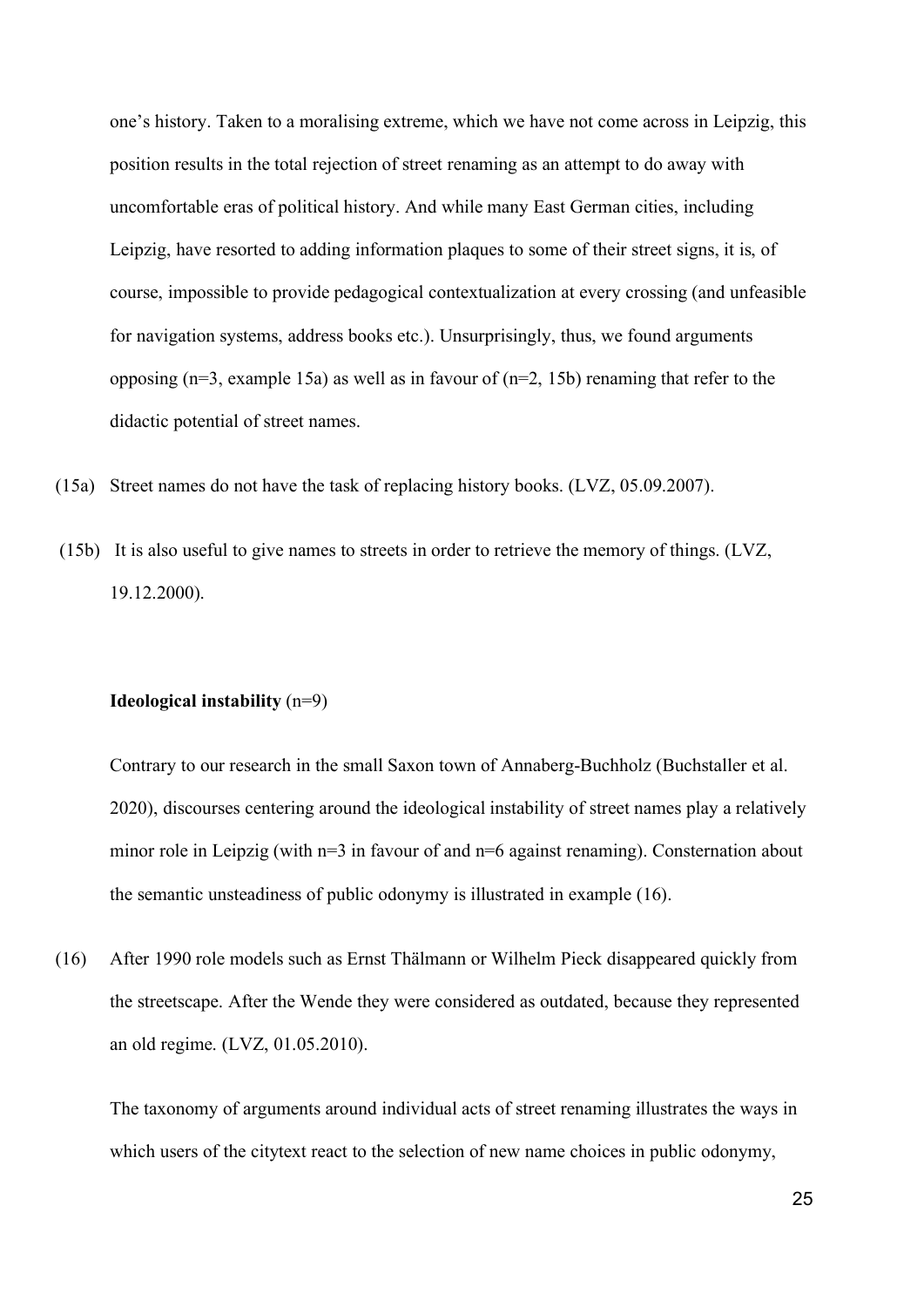one's history. Taken to a moralising extreme, which we have not come across in Leipzig, this position results in the total rejection of street renaming as an attempt to do away with uncomfortable eras of political history. And while many East German cities, including Leipzig, have resorted to adding information plaques to some of their street signs, it is, of course, impossible to provide pedagogical contextualization at every crossing (and unfeasible for navigation systems, address books etc.). Unsurprisingly, thus, we found arguments opposing  $(n=3,$  example 15a) as well as in favour of  $(n=2, 15b)$  renaming that refer to the didactic potential of street names.

- (15a) Street names do not have the task of replacing history books. (LVZ, 05.09.2007).
- (15b) It is also useful to give names to streets in order to retrieve the memory of things. (LVZ, 19.12.2000).

#### **Ideological instability** (n=9)

Contrary to our research in the small Saxon town of Annaberg-Buchholz (Buchstaller et al. 2020), discourses centering around the ideological instability of street names play a relatively minor role in Leipzig (with n=3 in favour of and n=6 against renaming). Consternation about the semantic unsteadiness of public odonymy is illustrated in example (16).

(16) After 1990 role models such as Ernst Thälmann or Wilhelm Pieck disappeared quickly from the streetscape. After the Wende they were considered as outdated, because they represented an old regime. (LVZ, 01.05.2010).

The taxonomy of arguments around individual acts of street renaming illustrates the ways in which users of the citytext react to the selection of new name choices in public odonymy,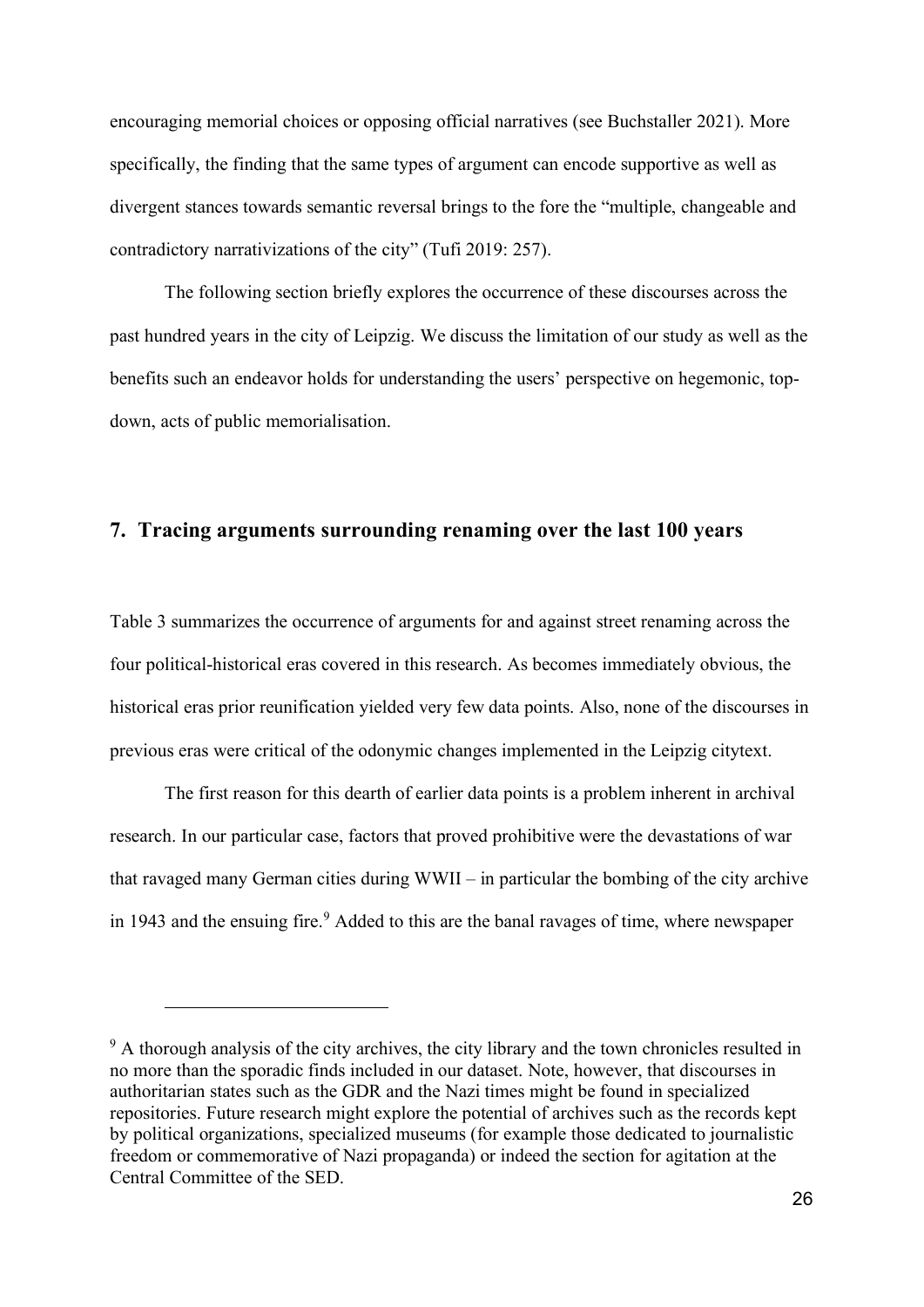encouraging memorial choices or opposing official narratives (see Buchstaller 2021). More specifically, the finding that the same types of argument can encode supportive as well as divergent stances towards semantic reversal brings to the fore the "multiple, changeable and contradictory narrativizations of the city" (Tufi 2019: 257).

The following section briefly explores the occurrence of these discourses across the past hundred years in the city of Leipzig. We discuss the limitation of our study as well as the benefits such an endeavor holds for understanding the users' perspective on hegemonic, topdown, acts of public memorialisation.

### **7. Tracing arguments surrounding renaming over the last 100 years**

Table 3 summarizes the occurrence of arguments for and against street renaming across the four political-historical eras covered in this research. As becomes immediately obvious, the historical eras prior reunification yielded very few data points. Also, none of the discourses in previous eras were critical of the odonymic changes implemented in the Leipzig citytext.

The first reason for this dearth of earlier data points is a problem inherent in archival research. In our particular case, factors that proved prohibitive were the devastations of war that ravaged many German cities during WWII – in particular the bombing of the city archive in 1943 and the ensuing fire. [9](#page-25-0) Added to this are the banal ravages of time, where newspaper

<span id="page-25-0"></span> $9<sup>9</sup>$  A thorough analysis of the city archives, the city library and the town chronicles resulted in no more than the sporadic finds included in our dataset. Note, however, that discourses in authoritarian states such as the GDR and the Nazi times might be found in specialized repositories. Future research might explore the potential of archives such as the records kept by political organizations, specialized museums (for example those dedicated to journalistic freedom or commemorative of Nazi propaganda) or indeed the section for agitation at the Central Committee of the SED.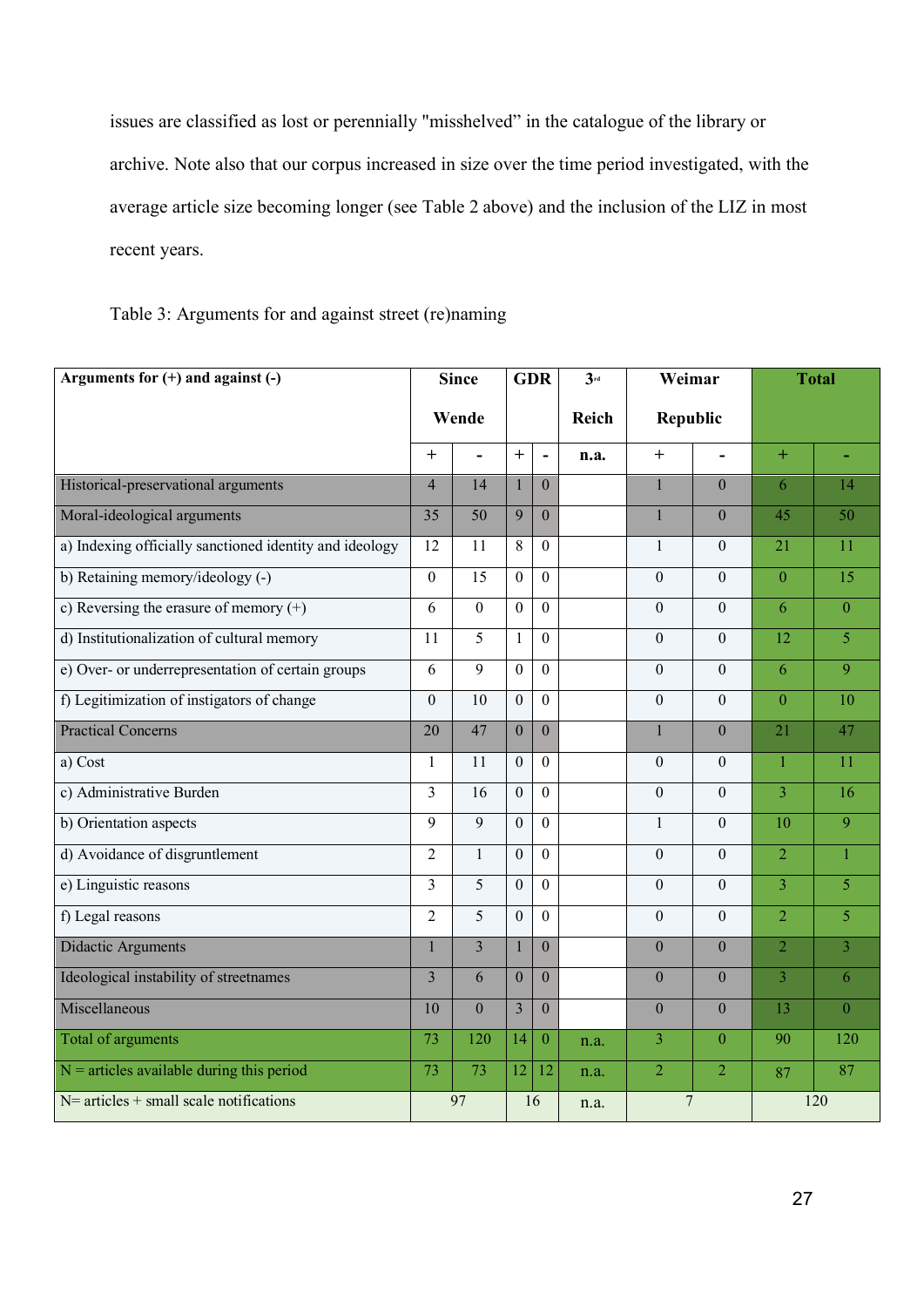issues are classified as lost or perennially "misshelved" in the catalogue of the library or archive. Note also that our corpus increased in size over the time period investigated, with the average article size becoming longer (see Table 2 above) and the inclusion of the LIZ in most recent years.

Table 3: Arguments for and against street (re)naming

| Arguments for $(+)$ and against $(-)$                   | <b>Since</b>   |                | <b>GDR</b>       |                       | $3^{rd}$ | Weimar          |                  | <b>Total</b>    |                |
|---------------------------------------------------------|----------------|----------------|------------------|-----------------------|----------|-----------------|------------------|-----------------|----------------|
|                                                         | Wende          |                |                  |                       | Reich    | <b>Republic</b> |                  |                 |                |
|                                                         | $\overline{+}$ | $\sim$         | $+$              | $\tilde{\phantom{a}}$ | n.a.     | $+$             | $\overline{a}$   | $+$             |                |
| Historical-preservational arguments                     | $\overline{4}$ | 14             | $\mathbf{1}$     | $\Omega$              |          | $\mathbf{1}$    | $\theta$         | 6               | 14             |
| Moral-ideological arguments                             | 35             | 50             | $\overline{9}$   | $\Omega$              |          | $\mathbf{1}$    | $\overline{0}$   | 45              | 50             |
| a) Indexing officially sanctioned identity and ideology | 12             | 11             | 8                | $\Omega$              |          | $\mathbf{1}$    | $\boldsymbol{0}$ | 21              | 11             |
| b) Retaining memory/ideology (-)                        | $\mathbf{0}$   | 15             | $\boldsymbol{0}$ | $\Omega$              |          | $\Omega$        | $\mathbf{0}$     | $\overline{0}$  | 15             |
| c) Reversing the erasure of memory $(+)$                | 6              | $\overline{0}$ | $\overline{0}$   | $\theta$              |          | $\overline{0}$  | $\Omega$         | 6               | $\overline{0}$ |
| d) Institutionalization of cultural memory              | 11             | $\overline{5}$ | $\mathbf{1}$     | $\mathbf{0}$          |          | $\overline{0}$  | $\boldsymbol{0}$ | $\overline{12}$ | $\overline{5}$ |
| e) Over- or underrepresentation of certain groups       | 6              | 9              | $\mathbf{0}$     | $\theta$              |          | $\overline{0}$  | $\Omega$         | 6               | $\overline{9}$ |
| f) Legitimization of instigators of change              | $\theta$       | 10             | $\boldsymbol{0}$ | $\mathbf{0}$          |          | $\overline{0}$  | $\overline{0}$   | $\theta$        | 10             |
| <b>Practical Concerns</b>                               | 20             | 47             | $\overline{0}$   | $\overline{0}$        |          | $\mathbf{1}$    | $\mathbf{0}$     | 21              | 47             |
| a) Cost                                                 | 1              | 11             | $\mathbf{0}$     | $\Omega$              |          | $\mathbf{0}$    | $\theta$         | $\mathbf{1}$    | 11             |
| c) Administrative Burden                                | 3              | 16             | $\boldsymbol{0}$ | $\mathbf{0}$          |          | $\theta$        | $\boldsymbol{0}$ | $\overline{3}$  | 16             |
| b) Orientation aspects                                  | 9              | 9              | $\mathbf{0}$     | $\overline{0}$        |          | $\mathbf{1}$    | $\boldsymbol{0}$ | 10              | $\overline{9}$ |
| d) Avoidance of disgruntlement                          | $\overline{c}$ | $\mathbf{1}$   | $\mathbf{0}$     | $\theta$              |          | $\mathbf{0}$    | $\boldsymbol{0}$ | $\overline{2}$  | $\overline{1}$ |
| e) Linguistic reasons                                   | 3              | 5              | $\overline{0}$   | $\Omega$              |          | $\overline{0}$  | $\mathbf{0}$     | $\overline{3}$  | 5              |
| f) Legal reasons                                        | $\overline{2}$ | 5              | $\overline{0}$   | $\Omega$              |          | $\overline{0}$  | $\mathbf{0}$     | $\overline{2}$  | $\overline{5}$ |
| Didactic Arguments                                      | $\overline{1}$ | $\overline{3}$ | $\mathbf{1}$     | $\overline{0}$        |          | $\overline{0}$  | $\overline{0}$   | $\overline{2}$  | $\overline{3}$ |
| Ideological instability of streetnames                  | 3              | 6              | $\mathbf{0}$     | $\Omega$              |          | $\Omega$        | $\theta$         | $\overline{3}$  | 6              |
| Miscellaneous                                           | 10             | $\mathbf{0}$   | $\overline{3}$   | $\theta$              |          | $\overline{0}$  | $\boldsymbol{0}$ | $\overline{13}$ | $\overline{0}$ |
| Total of arguments                                      | 73             | 120            | 14               | $\mathbf{0}$          | n.a.     | 3               | $\mathbf{0}$     | 90              | 120            |
| $N =$ articles available during this period             | 73             | 73             | 12               | 12                    | n.a.     | $\overline{2}$  | $\overline{2}$   | 87              | 87             |
| $N=$ articles + small scale notifications               | 97             |                | 16               |                       | n.a.     | 7               |                  | 120             |                |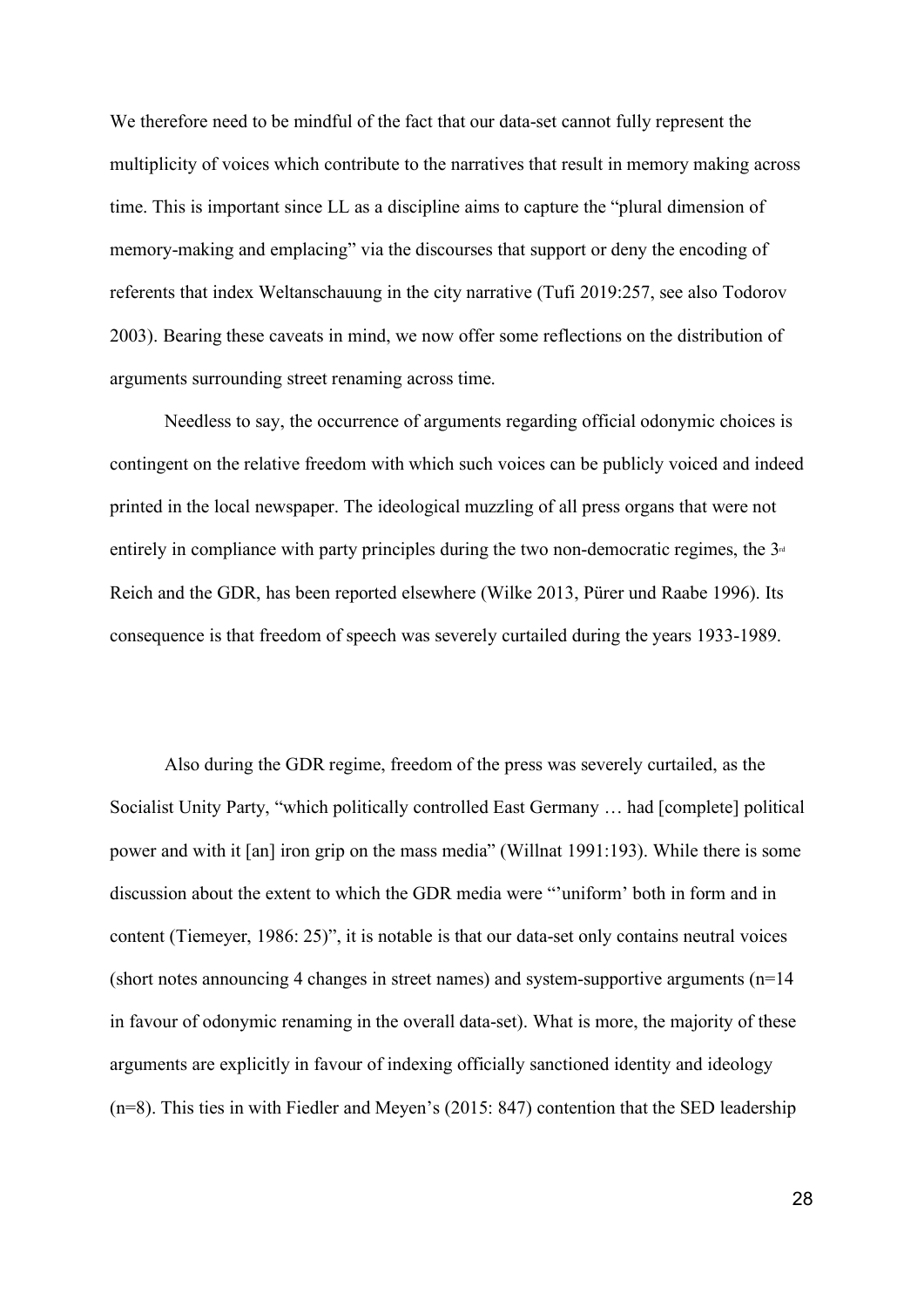We therefore need to be mindful of the fact that our data-set cannot fully represent the multiplicity of voices which contribute to the narratives that result in memory making across time. This is important since LL as a discipline aims to capture the "plural dimension of memory-making and emplacing" via the discourses that support or deny the encoding of referents that index Weltanschauung in the city narrative (Tufi 2019:257, see also Todorov 2003). Bearing these caveats in mind, we now offer some reflections on the distribution of arguments surrounding street renaming across time.

Needless to say, the occurrence of arguments regarding official odonymic choices is contingent on the relative freedom with which such voices can be publicly voiced and indeed printed in the local newspaper. The ideological muzzling of all press organs that were not entirely in compliance with party principles during the two non-democratic regimes, the  $3<sup>d</sup>$ Reich and the GDR, has been reported elsewhere (Wilke 2013, Pürer und Raabe 1996). Its consequence is that freedom of speech was severely curtailed during the years 1933-1989.

Also during the GDR regime, freedom of the press was severely curtailed, as the Socialist Unity Party, "which politically controlled East Germany … had [complete] political power and with it [an] iron grip on the mass media" (Willnat 1991:193). While there is some discussion about the extent to which the GDR media were "'uniform' both in form and in content (Tiemeyer, 1986: 25)", it is notable is that our data-set only contains neutral voices (short notes announcing 4 changes in street names) and system-supportive arguments (n=14 in favour of odonymic renaming in the overall data-set). What is more, the majority of these arguments are explicitly in favour of indexing officially sanctioned identity and ideology (n=8). This ties in with Fiedler and Meyen's (2015: 847) contention that the SED leadership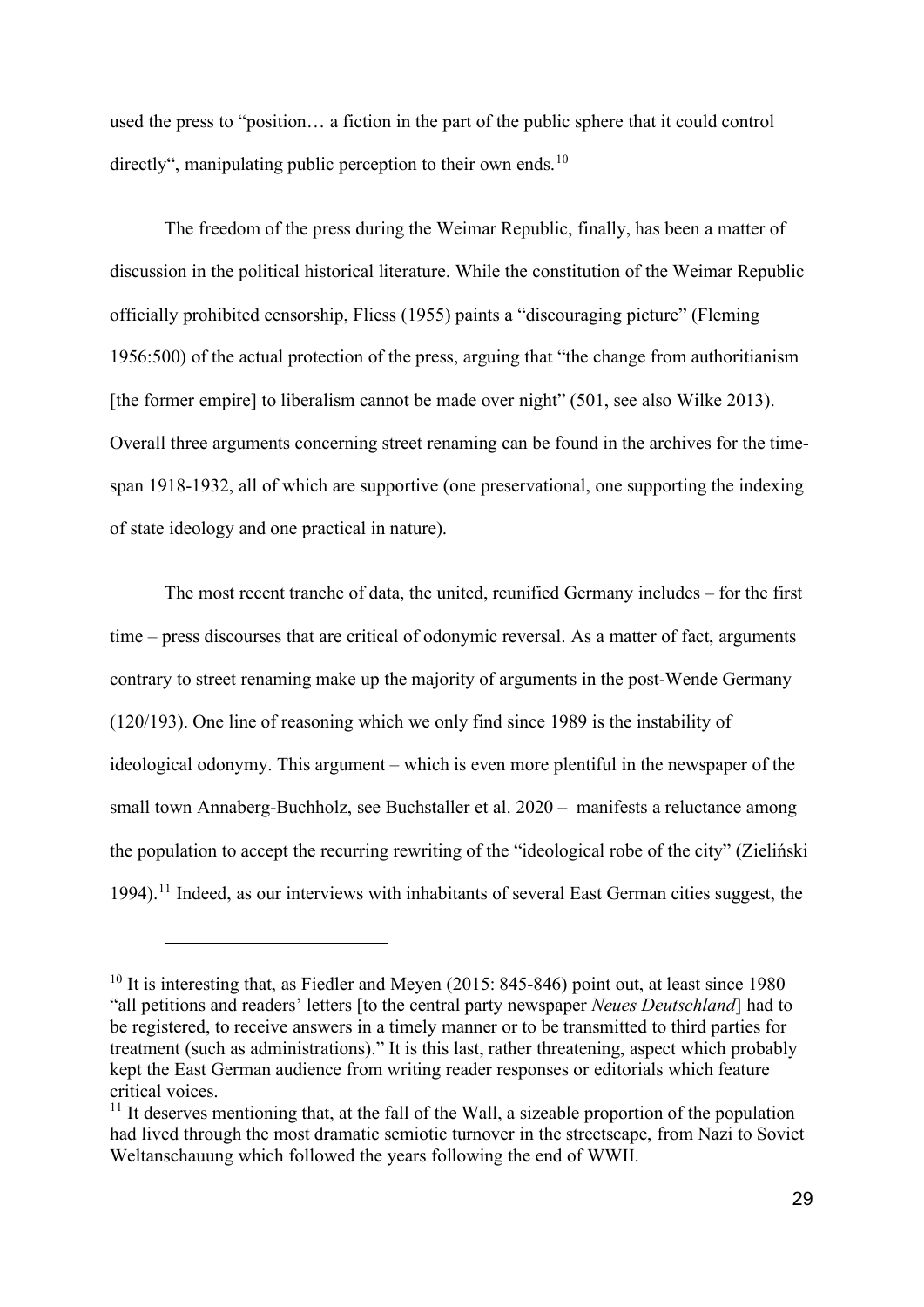used the press to "position… a fiction in the part of the public sphere that it could control directly", manipulating public perception to their own ends.<sup>[10](#page-28-0)</sup>

The freedom of the press during the Weimar Republic, finally, has been a matter of discussion in the political historical literature. While the constitution of the Weimar Republic officially prohibited censorship, Fliess (1955) paints a "discouraging picture" (Fleming 1956:500) of the actual protection of the press, arguing that "the change from authoritianism [the former empire] to liberalism cannot be made over night" (501, see also Wilke 2013). Overall three arguments concerning street renaming can be found in the archives for the timespan 1918-1932, all of which are supportive (one preservational, one supporting the indexing of state ideology and one practical in nature).

The most recent tranche of data, the united, reunified Germany includes – for the first time – press discourses that are critical of odonymic reversal. As a matter of fact, arguments contrary to street renaming make up the majority of arguments in the post-Wende Germany (120/193). One line of reasoning which we only find since 1989 is the instability of ideological odonymy. This argument – which is even more plentiful in the newspaper of the small town Annaberg-Buchholz, see Buchstaller et al. 2020 – manifests a reluctance among the population to accept the recurring rewriting of the "ideological robe of the city" (Zieliński 1994).<sup>[11](#page-28-1)</sup> Indeed, as our interviews with inhabitants of several East German cities suggest, the

<span id="page-28-0"></span><sup>&</sup>lt;sup>10</sup> It is interesting that, as Fiedler and Meyen (2015: 845-846) point out, at least since 1980 "all petitions and readers' letters [to the central party newspaper *Neues Deutschland*] had to be registered, to receive answers in a timely manner or to be transmitted to third parties for treatment (such as administrations)." It is this last, rather threatening, aspect which probably kept the East German audience from writing reader responses or editorials which feature critical voices.

<span id="page-28-1"></span> $11$  It deserves mentioning that, at the fall of the Wall, a sizeable proportion of the population had lived through the most dramatic semiotic turnover in the streetscape, from Nazi to Soviet Weltanschauung which followed the years following the end of WWII.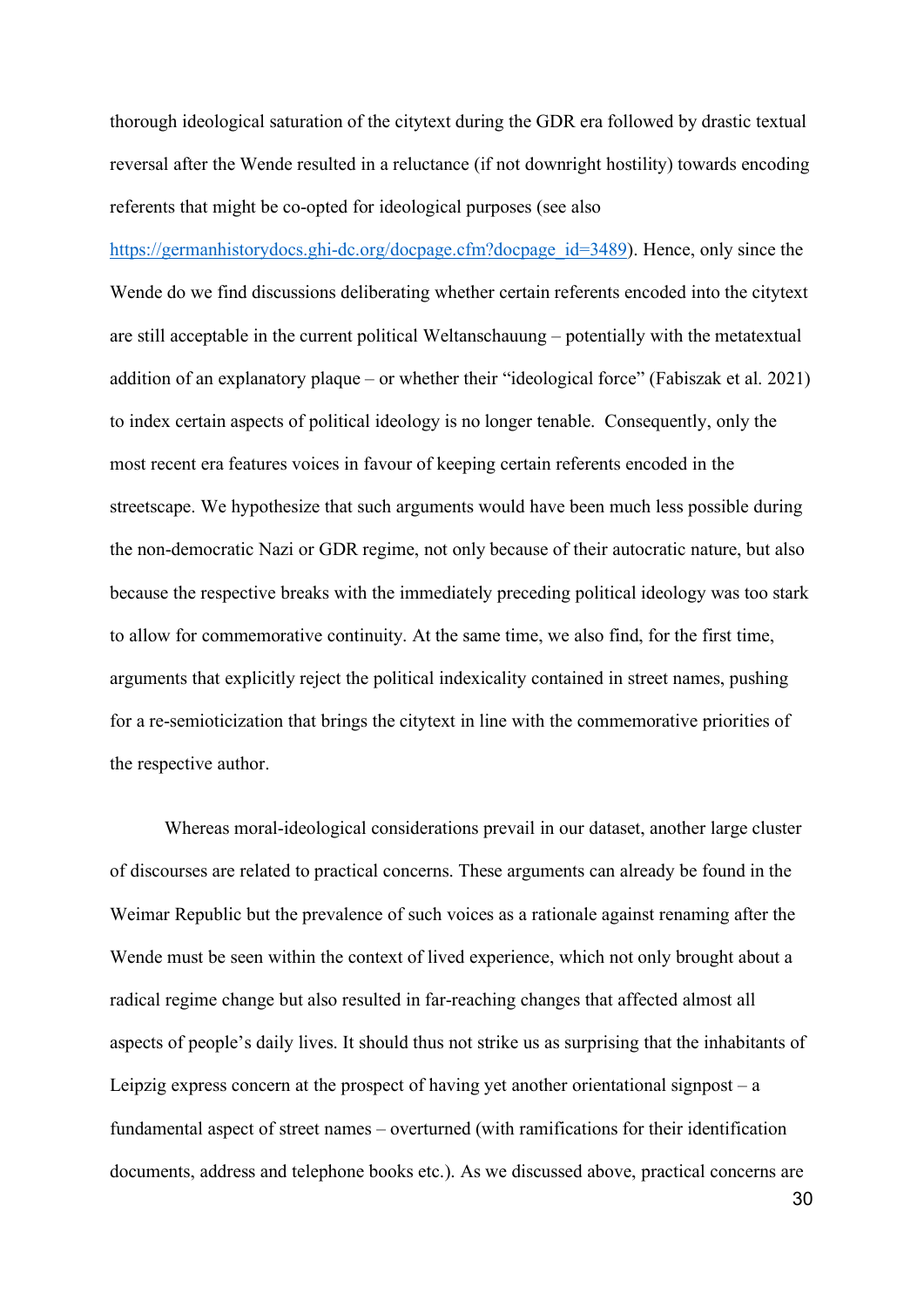thorough ideological saturation of the citytext during the GDR era followed by drastic textual reversal after the Wende resulted in a reluctance (if not downright hostility) towards encoding referents that might be co-opted for ideological purposes (see also

[https://germanhistorydocs.ghi-dc.org/docpage.cfm?docpage\\_id=3489\)](https://germanhistorydocs.ghi-dc.org/docpage.cfm?docpage_id=3489). Hence, only since the Wende do we find discussions deliberating whether certain referents encoded into the citytext are still acceptable in the current political Weltanschauung – potentially with the metatextual addition of an explanatory plaque – or whether their "ideological force" (Fabiszak et al. 2021) to index certain aspects of political ideology is no longer tenable. Consequently, only the most recent era features voices in favour of keeping certain referents encoded in the streetscape. We hypothesize that such arguments would have been much less possible during the non-democratic Nazi or GDR regime, not only because of their autocratic nature, but also because the respective breaks with the immediately preceding political ideology was too stark to allow for commemorative continuity. At the same time, we also find, for the first time, arguments that explicitly reject the political indexicality contained in street names, pushing for a re-semioticization that brings the citytext in line with the commemorative priorities of the respective author.

Whereas moral-ideological considerations prevail in our dataset, another large cluster of discourses are related to practical concerns. These arguments can already be found in the Weimar Republic but the prevalence of such voices as a rationale against renaming after the Wende must be seen within the context of lived experience, which not only brought about a radical regime change but also resulted in far-reaching changes that affected almost all aspects of people's daily lives. It should thus not strike us as surprising that the inhabitants of Leipzig express concern at the prospect of having yet another orientational signpost  $-$  a fundamental aspect of street names – overturned (with ramifications for their identification documents, address and telephone books etc.). As we discussed above, practical concerns are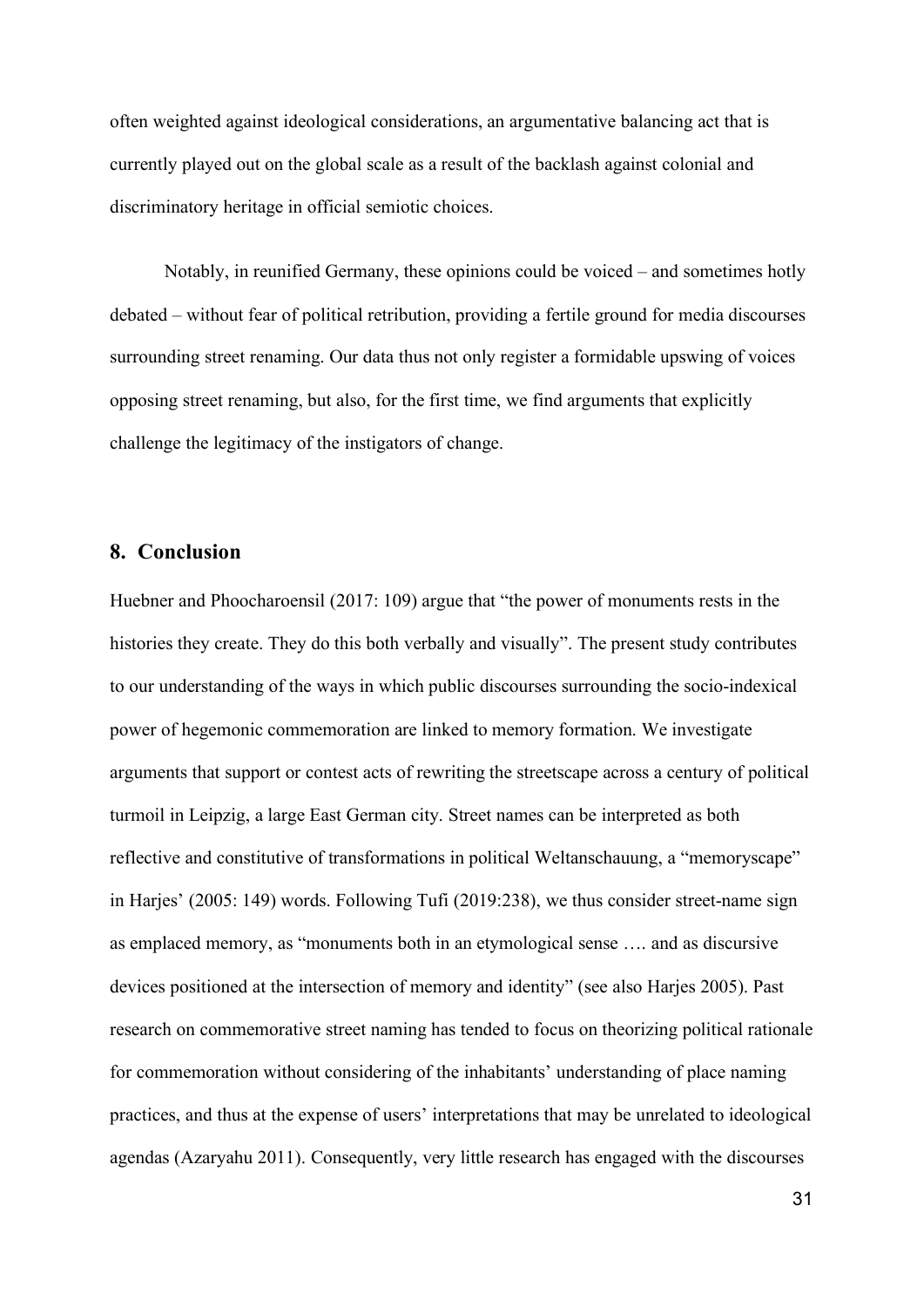often weighted against ideological considerations, an argumentative balancing act that is currently played out on the global scale as a result of the backlash against colonial and discriminatory heritage in official semiotic choices.

Notably, in reunified Germany, these opinions could be voiced – and sometimes hotly debated – without fear of political retribution, providing a fertile ground for media discourses surrounding street renaming. Our data thus not only register a formidable upswing of voices opposing street renaming, but also, for the first time, we find arguments that explicitly challenge the legitimacy of the instigators of change.

## **8. Conclusion**

Huebner and Phoocharoensil (2017: 109) argue that "the power of monuments rests in the histories they create. They do this both verbally and visually". The present study contributes to our understanding of the ways in which public discourses surrounding the socio-indexical power of hegemonic commemoration are linked to memory formation. We investigate arguments that support or contest acts of rewriting the streetscape across a century of political turmoil in Leipzig, a large East German city. Street names can be interpreted as both reflective and constitutive of transformations in political Weltanschauung, a "memoryscape" in Harjes' (2005: 149) words. Following Tufi (2019:238), we thus consider street-name sign as emplaced memory, as "monuments both in an etymological sense …. and as discursive devices positioned at the intersection of memory and identity" (see also Harjes 2005). Past research on commemorative street naming has tended to focus on theorizing political rationale for commemoration without considering of the inhabitants' understanding of place naming practices, and thus at the expense of users' interpretations that may be unrelated to ideological agendas (Azaryahu 2011). Consequently, very little research has engaged with the discourses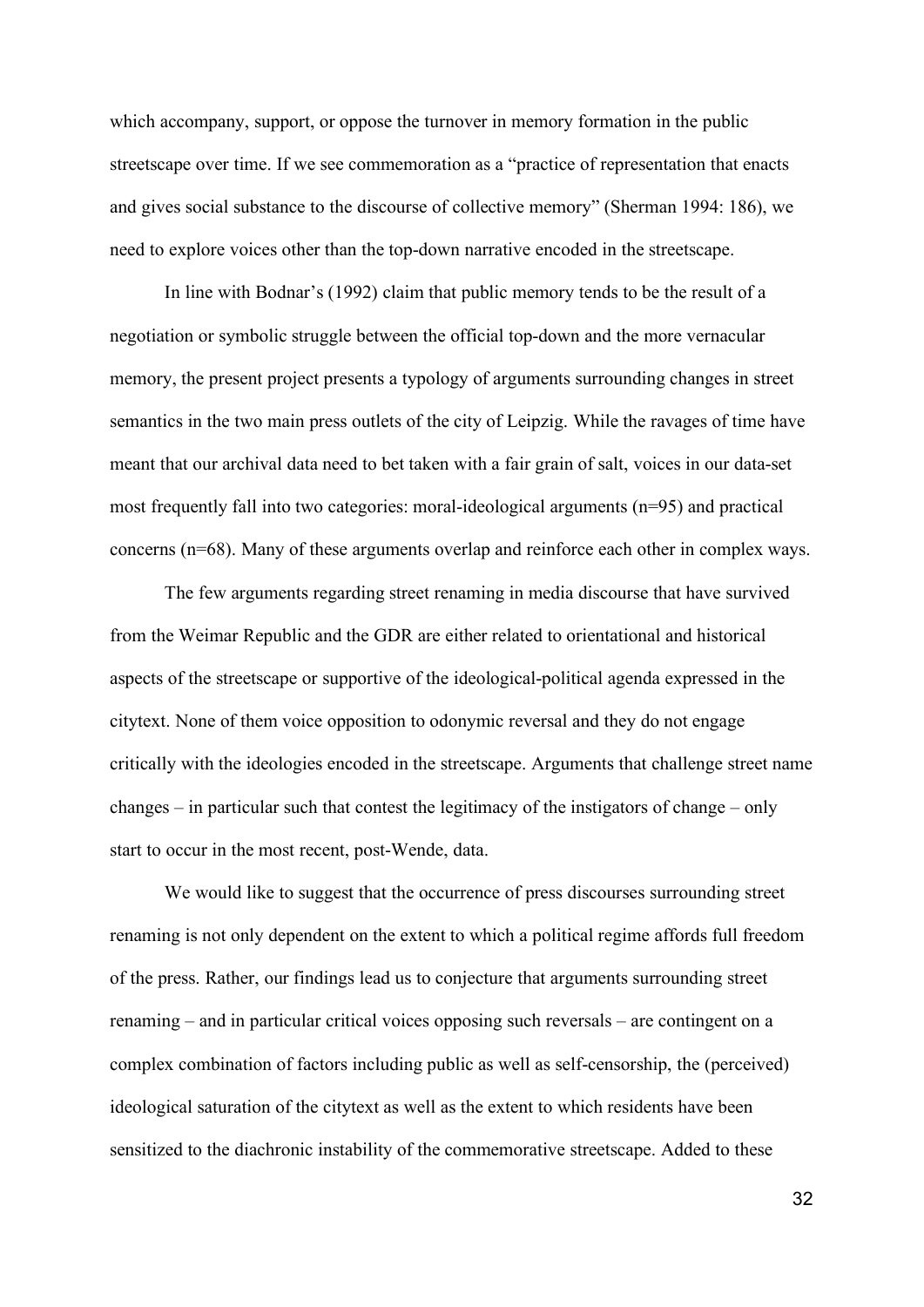which accompany, support, or oppose the turnover in memory formation in the public streetscape over time. If we see commemoration as a "practice of representation that enacts and gives social substance to the discourse of collective memory" (Sherman 1994: 186), we need to explore voices other than the top-down narrative encoded in the streetscape.

In line with Bodnar's (1992) claim that public memory tends to be the result of a negotiation or symbolic struggle between the official top-down and the more vernacular memory, the present project presents a typology of arguments surrounding changes in street semantics in the two main press outlets of the city of Leipzig. While the ravages of time have meant that our archival data need to bet taken with a fair grain of salt, voices in our data-set most frequently fall into two categories: moral-ideological arguments (n=95) and practical concerns (n=68). Many of these arguments overlap and reinforce each other in complex ways.

The few arguments regarding street renaming in media discourse that have survived from the Weimar Republic and the GDR are either related to orientational and historical aspects of the streetscape or supportive of the ideological-political agenda expressed in the citytext. None of them voice opposition to odonymic reversal and they do not engage critically with the ideologies encoded in the streetscape. Arguments that challenge street name changes – in particular such that contest the legitimacy of the instigators of change – only start to occur in the most recent, post-Wende, data.

We would like to suggest that the occurrence of press discourses surrounding street renaming is not only dependent on the extent to which a political regime affords full freedom of the press. Rather, our findings lead us to conjecture that arguments surrounding street renaming – and in particular critical voices opposing such reversals – are contingent on a complex combination of factors including public as well as self-censorship, the (perceived) ideological saturation of the citytext as well as the extent to which residents have been sensitized to the diachronic instability of the commemorative streetscape. Added to these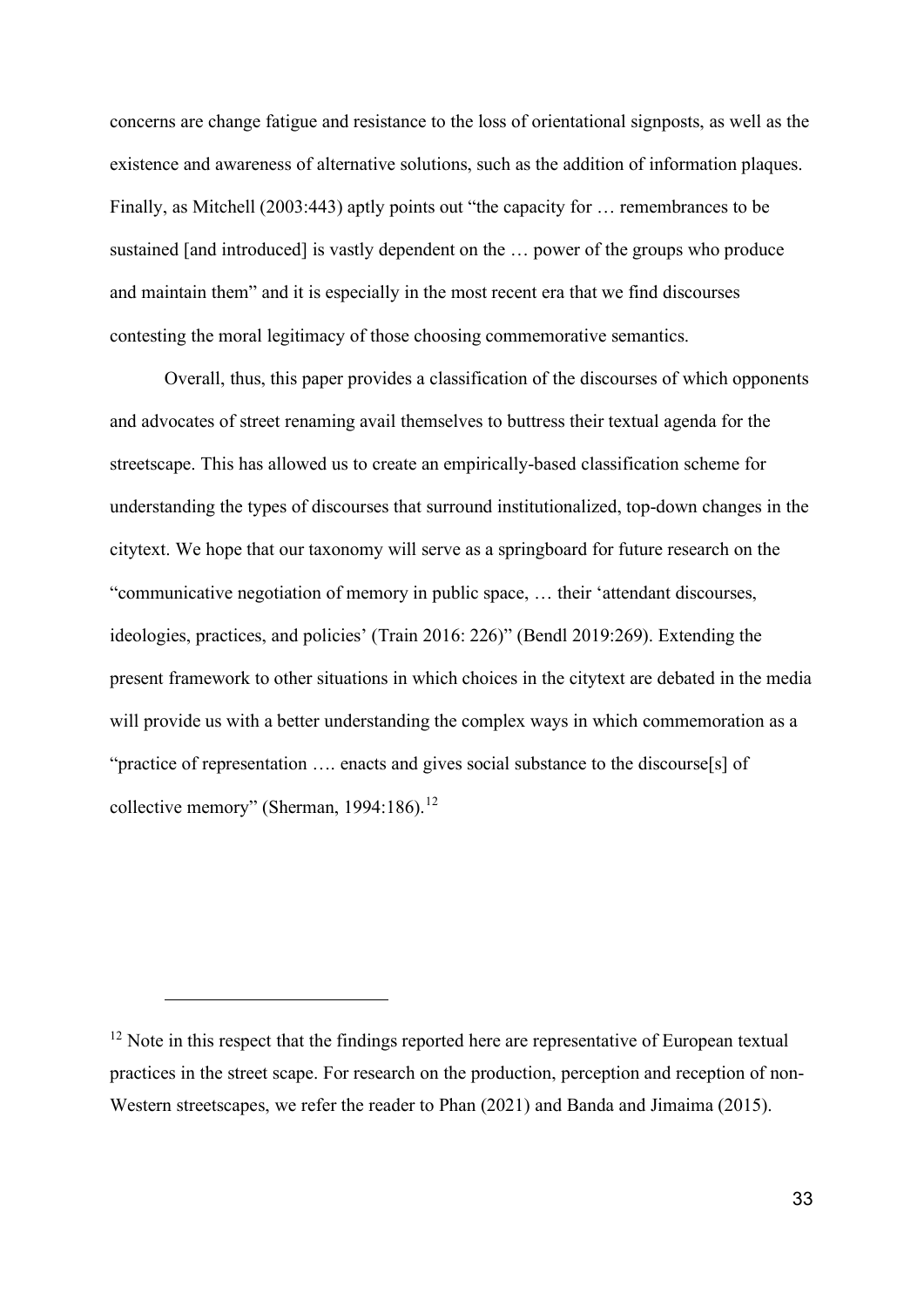concerns are change fatigue and resistance to the loss of orientational signposts, as well as the existence and awareness of alternative solutions, such as the addition of information plaques. Finally, as Mitchell (2003:443) aptly points out "the capacity for … remembrances to be sustained [and introduced] is vastly dependent on the … power of the groups who produce and maintain them" and it is especially in the most recent era that we find discourses contesting the moral legitimacy of those choosing commemorative semantics.

Overall, thus, this paper provides a classification of the discourses of which opponents and advocates of street renaming avail themselves to buttress their textual agenda for the streetscape. This has allowed us to create an empirically-based classification scheme for understanding the types of discourses that surround institutionalized, top-down changes in the citytext. We hope that our taxonomy will serve as a springboard for future research on the "communicative negotiation of memory in public space, … their 'attendant discourses, ideologies, practices, and policies' (Train 2016: 226)" (Bendl 2019:269). Extending the present framework to other situations in which choices in the citytext are debated in the media will provide us with a better understanding the complex ways in which commemoration as a "practice of representation …. enacts and gives social substance to the discourse[s] of collective memory" (Sherman, 1994:186).<sup>[12](#page-32-0)</sup>

<span id="page-32-0"></span> $12$  Note in this respect that the findings reported here are representative of European textual practices in the street scape. For research on the production, perception and reception of non-Western streetscapes, we refer the reader to Phan (2021) and Banda and Jimaima (2015).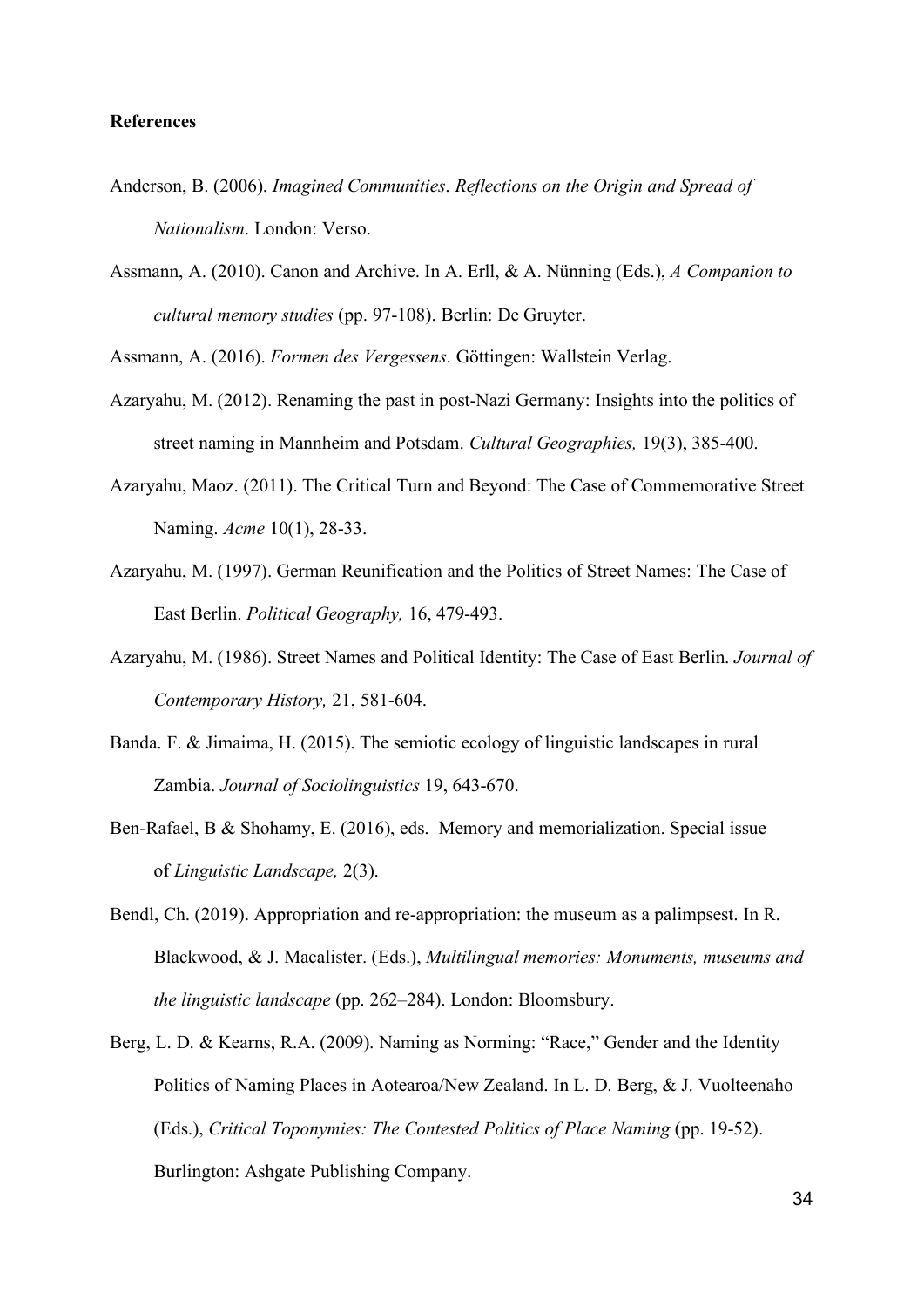#### **References**

- Anderson, B. (2006). *Imagined Communities*. *Reflections on the Origin and Spread of Nationalism*. London: Verso.
- Assmann, A. (2010). Canon and Archive. In A. Erll, & A. Nünning (Eds.), *A Companion to cultural memory studies* (pp. 97-108). Berlin: De Gruyter.

Assmann, A. (2016). *Formen des Vergessens*. Göttingen: Wallstein Verlag.

- Azaryahu, M. (2012). Renaming the past in post-Nazi Germany: Insights into the politics of street naming in Mannheim and Potsdam. *Cultural Geographies,* 19(3), 385-400.
- Azaryahu, Maoz. (2011). [The Critical Turn and Beyond: The Case of Commemorative Street](https://www.acme-journal.org/index.php/acme/article/view/883)  [Naming.](https://www.acme-journal.org/index.php/acme/article/view/883) *Acme* 10(1), 28-33.
- Azaryahu, M. (1997). German Reunification and the Politics of Street Names: The Case of East Berlin. *Political Geography,* 16, 479-493.
- Azaryahu, M. (1986). Street Names and Political Identity: The Case of East Berlin. *Journal of Contemporary History,* 21, 581-604.
- Banda. F. & Jimaima, H. (2015). The semiotic ecology of linguistic landscapes in rural Zambia. *Journal of Sociolinguistics* 19, 643-670.
- Ben-Rafael, B & Shohamy, E. (2016), eds. Memory and memorialization. Special issue of *Linguistic Landscape,* 2(3).
- Bendl, Ch. (2019). Appropriation and re-appropriation: the museum as a palimpsest. In R. Blackwood, & J. Macalister. (Eds.), *Multilingual memories: Monuments, museums and the linguistic landscape* (pp. 262–284). London: Bloomsbury.
- Berg, L. D. & Kearns, R.A. (2009). Naming as Norming: "Race," Gender and the Identity Politics of Naming Places in Aotearoa/New Zealand. In L. D. Berg, & J. Vuolteenaho (Eds.), *Critical Toponymies: The Contested Politics of Place Naming* (pp. 19-52). Burlington: Ashgate Publishing Company.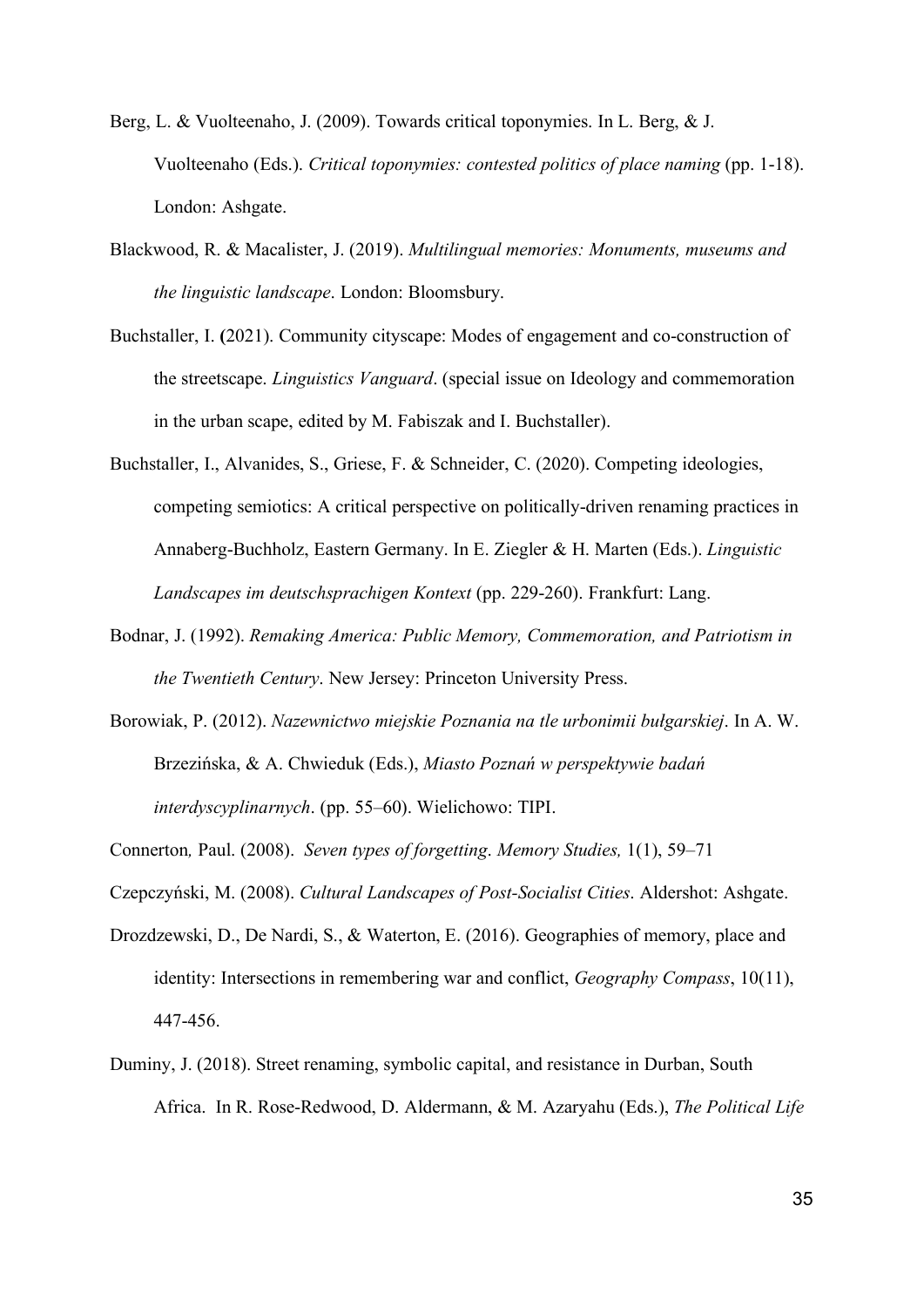- Berg, L. & Vuolteenaho, J. (2009). Towards critical toponymies. In L. Berg, & J. Vuolteenaho (Eds.). *Critical toponymies: contested politics of place naming* (pp. 1-18). London: Ashgate.
- Blackwood, R. & Macalister, J. (2019). *Multilingual memories: Monuments, museums and the linguistic landscape*. London: Bloomsbury.
- Buchstaller, I. **(**2021). Community cityscape: Modes of engagement and co-construction of the streetscape. *Linguistics Vanguard*. (special issue on Ideology and commemoration in the urban scape, edited by M. Fabiszak and I. Buchstaller).
- Buchstaller, I., Alvanides, S., Griese, F. & Schneider, C. (2020). Competing ideologies, competing semiotics: A critical perspective on politically-driven renaming practices in Annaberg-Buchholz, Eastern Germany. In E. Ziegler & H. Marten (Eds.). *Linguistic Landscapes im deutschsprachigen Kontext* (pp. 229-260). Frankfurt: Lang.
- Bodnar, J. (1992). *Remaking America: Public Memory, Commemoration, and Patriotism in the Twentieth Century*. New Jersey: Princeton University Press.
- Borowiak, P. (2012). *Nazewnictwo miejskie Poznania na tle urbonimii bułgarskiej*. In A. W. Brzezińska, & A. Chwieduk (Eds.), *Miasto Poznań w perspektywie badań interdyscyplinarnych*. (pp. 55–60). Wielichowo: TIPI.

Connerton*,* Paul. (2008). *Seven types of forgetting*. *Memory Studies,* 1(1), 59–71

Czepczyński, M. (2008). *Cultural Landscapes of Post-Socialist Cities*. Aldershot: Ashgate.

- Drozdzewski, D., De Nardi, S., & Waterton, E. (2016). Geographies of memory, place and identity: Intersections in remembering war and conflict, *Geography Compass*, 10(11), 447-456.
- Duminy, J. (2018). Street renaming, symbolic capital, and resistance in Durban, South Africa. In R. Rose-Redwood, D. Aldermann, & M. Azaryahu (Eds.), *The Political Life*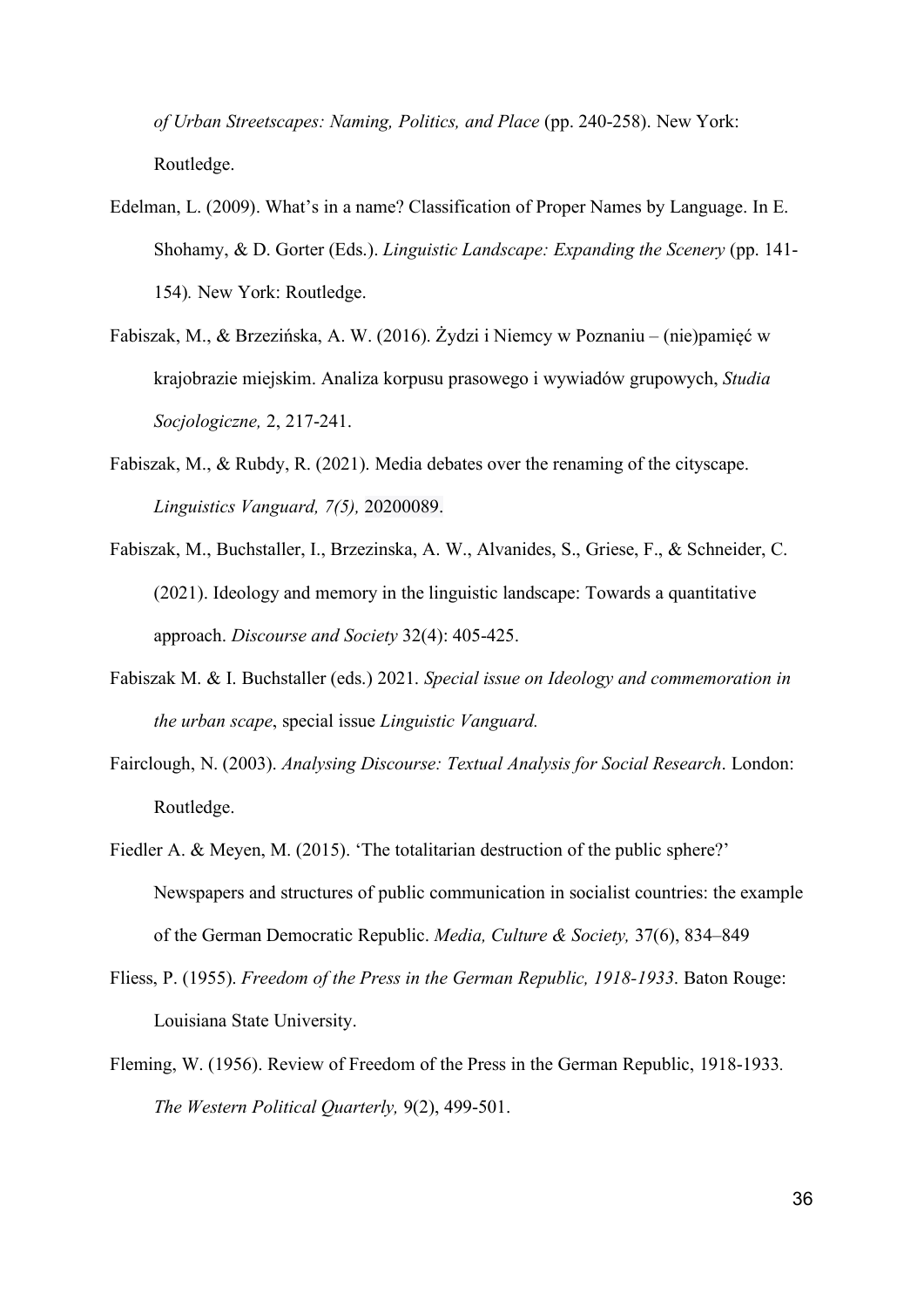*of Urban Streetscapes: Naming, Politics, and Place* (pp. 240-258). New York: Routledge.

- Edelman, L. (2009). What's in a name? Classification of Proper Names by Language. In E. Shohamy, & D. Gorter (Eds.). *Linguistic Landscape: Expanding the Scenery* (pp. 141- 154)*.* New York: Routledge.
- Fabiszak, M., & Brzezińska, A. W. (2016). Żydzi i Niemcy w Poznaniu (nie)pamięć w krajobrazie miejskim. Analiza korpusu prasowego i wywiadów grupowych, *Studia Socjologiczne,* 2, 217-241.
- Fabiszak, M., & Rubdy, R. (2021). Media debates over the renaming of the cityscape. *Linguistics Vanguard, 7(5),* 20200089.
- Fabiszak, M., Buchstaller, I., Brzezinska, A. W., Alvanides, S., Griese, F., & Schneider, C. (2021). Ideology and memory in the linguistic landscape: Towards a quantitative approach. *Discourse and Society* 32(4): 405-425.
- Fabiszak M. & I. Buchstaller (eds.) 2021. *Special issue on Ideology and commemoration in the urban scape*, special issue *Linguistic Vanguard.*
- Fairclough, N. (2003). *Analysing Discourse: Textual Analysis for Social Research*. London: Routledge.
- Fiedler A. & Meyen, M. (2015). 'The totalitarian destruction of the public sphere?' Newspapers and structures of public communication in socialist countries: the example of the German Democratic Republic. *Media, Culture & Society,* 37(6), 834–849
- Fliess, P. (1955). *Freedom of the Press in the German Republic, 1918-1933*. Baton Rouge: Louisiana State University.
- Fleming, W. (1956). Review of Freedom of the Press in the German Republic, 1918-1933*. The Western Political Quarterly,* 9(2), 499-501.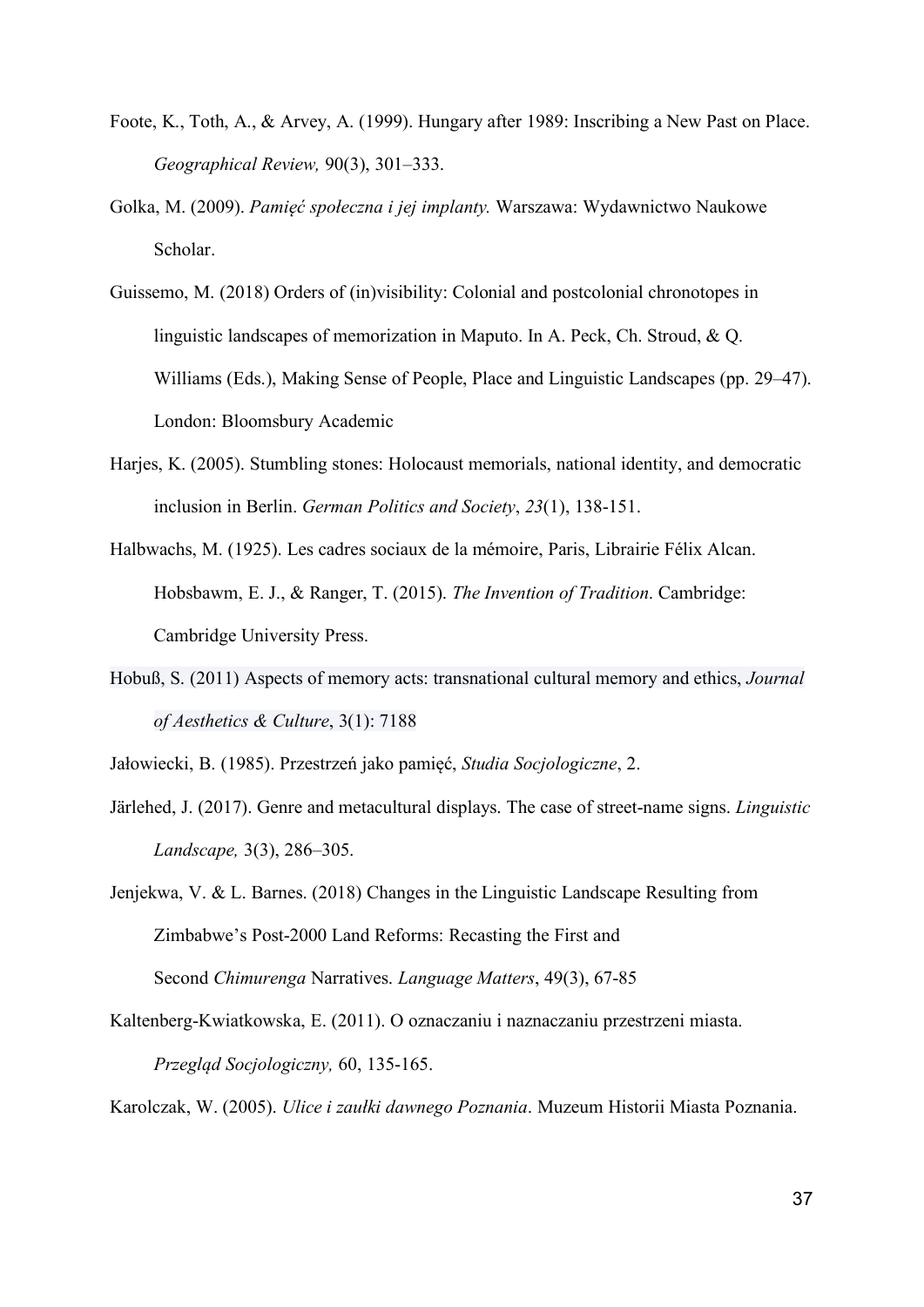- Foote, K., Toth, A., & Arvey, A. (1999). Hungary after 1989: Inscribing a New Past on Place. *Geographical Review,* 90(3), 301–333.
- Golka, M. (2009). *Pamięć społeczna i jej implanty.* Warszawa: Wydawnictwo Naukowe Scholar.
- Guissemo, M. (2018) Orders of (in)visibility: Colonial and postcolonial chronotopes in linguistic landscapes of memorization in Maputo. In A. Peck, Ch. Stroud, & Q. Williams (Eds.), Making Sense of People, Place and Linguistic Landscapes (pp. 29–47). London: Bloomsbury Academic
- Harjes, K. (2005). Stumbling stones: Holocaust memorials, national identity, and democratic inclusion in Berlin. *German Politics and Society*, *23*(1), 138-151.
- Halbwachs, M. (1925). Les cadres sociaux de la mémoire, Paris, Librairie Félix Alcan. Hobsbawm, E. J., & Ranger, T. (2015). *The Invention of Tradition*. Cambridge: Cambridge University Press.
- Hobuß, S. (2011) Aspects of memory acts: transnational cultural memory and ethics, *Journal of Aesthetics & Culture*, 3(1): 7188

Jałowiecki, B. (1985). Przestrzeń jako pamięć, *Studia Socjologiczne*, 2.

Järlehed, J. (2017). Genre and metacultural displays. The case of street-name signs. *Linguistic Landscape,* 3(3), 286–305.

Jenjekwa, V. & L. Barnes. (2018) Changes in the Linguistic Landscape Resulting from Zimbabwe's Post-2000 Land Reforms: Recasting the First and Second *Chimurenga* Narratives. *Language Matters*, 49(3), 67-85

Kaltenberg-Kwiatkowska, E. (2011). O oznaczaniu i naznaczaniu przestrzeni miasta. *Przegląd Socjologiczny,* 60, 135-165.

Karolczak, W. (2005). *Ulice i zaułki dawnego Poznania*. Muzeum Historii Miasta Poznania.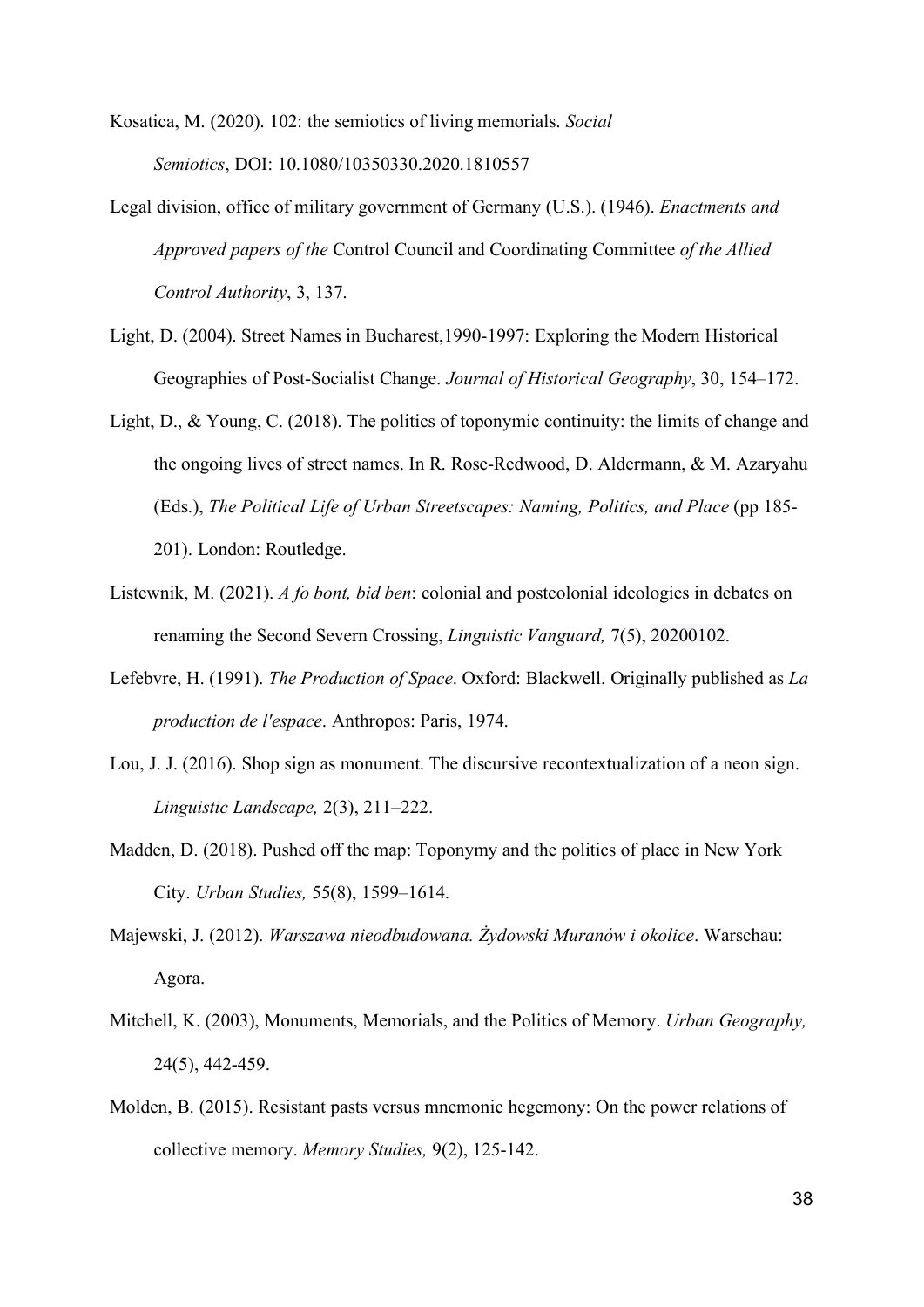Kosatica, M. (2020). 102: the semiotics of living memorials. *Social Semiotics*, DOI: [10.1080/10350330.2020.1810557](https://doi.org/10.1080/10350330.2020.1810557)

- Legal division, office of military government of Germany (U.S.). (1946). *Enactments and Approved papers of the* Control Council and Coordinating Committee *of the Allied Control Authority*, 3, 137.
- Light, D. (2004). Street Names in Bucharest,1990-1997: Exploring the Modern Historical Geographies of Post-Socialist Change. *Journal of Historical Geography*, 30, 154–172.
- Light, D., & Young, C. (2018). The politics of toponymic continuity: the limits of change and the ongoing lives of street names. In R. Rose-Redwood, D. Aldermann, & M. Azaryahu (Eds.), *The Political Life of Urban Streetscapes: Naming, Politics, and Place* (pp 185- 201). London: Routledge.
- Listewnik, M. (2021). *A fo bont, bid ben*: colonial and postcolonial ideologies in debates on renaming the Second Severn Crossing, *Linguistic Vanguard,* 7(5), 20200102.
- Lefebvre, H. (1991). *The Production of Space*. Oxford: Blackwell. Originally published as *La production de l'espace*. Anthropos: Paris, 1974.
- Lou, J. J. (2016). Shop sign as monument. The discursive recontextualization of a neon sign. *Linguistic Landscape,* 2(3), 211–222.
- Madden, D. (2018). Pushed off the map: Toponymy and the politics of place in New York City. *Urban Studies,* 55(8), 1599–1614.
- Majewski, J. (2012). *Warszawa nieodbudowana. Żydowski Muranów i okolice*. Warschau: Agora.
- Mitchell, K. (2003), Monuments, Memorials, and the Politics of Memory. *Urban Geography,* 24(5), 442-459.
- Molden, B. (2015). Resistant pasts versus mnemonic hegemony: On the power relations of collective memory. *Memory Studies,* 9(2), 125-142.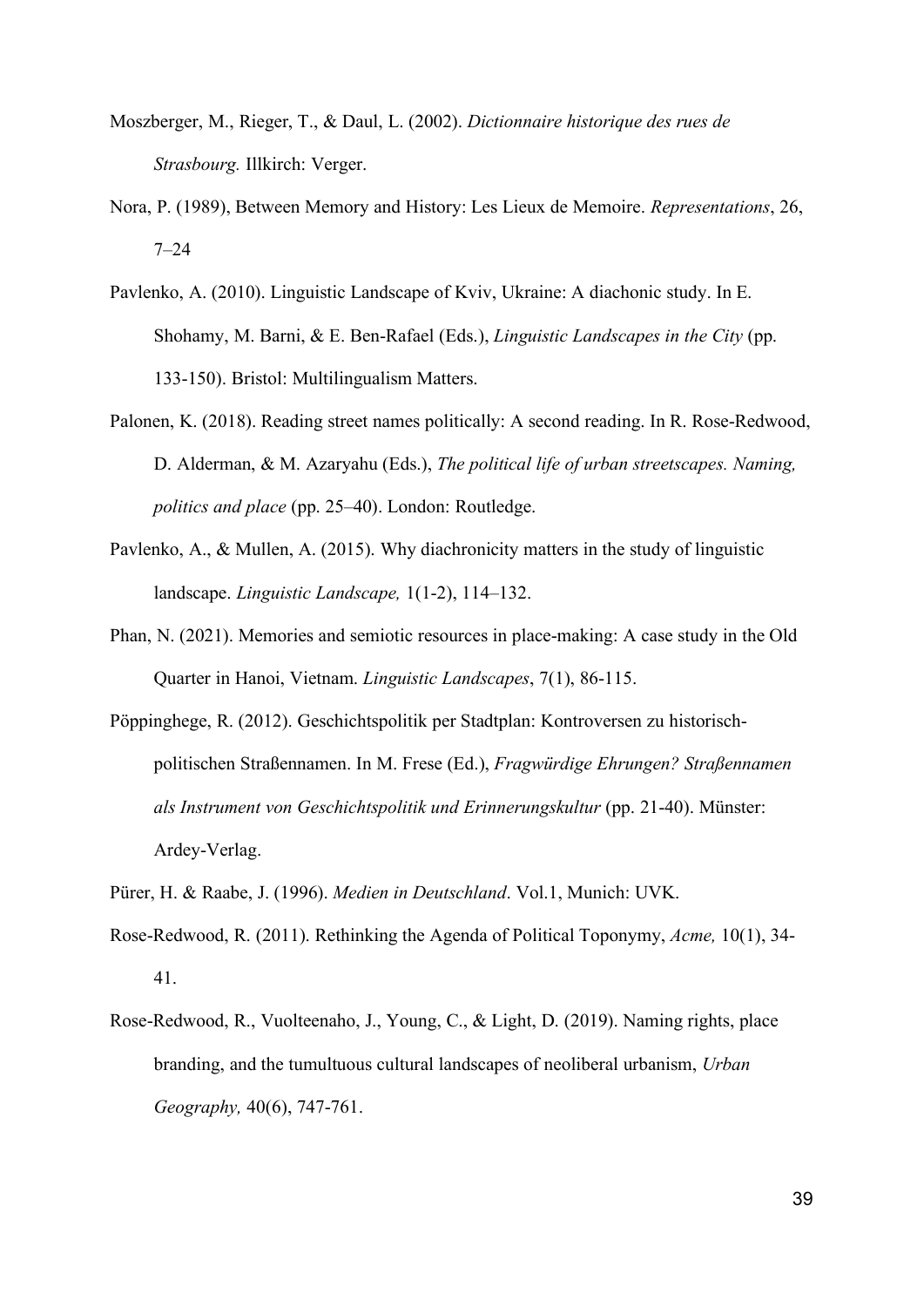- Moszberger, M., Rieger, T., & Daul, L. (2002). *Dictionnaire historique des rues de Strasbourg.* Illkirch: Verger.
- Nora, P. (1989), Between Memory and History: Les Lieux de Memoire. *Representations*, 26, 7–24
- Pavlenko, A. (2010). Linguistic Landscape of Kviv, Ukraine: A diachonic study. In E. Shohamy, M. Barni, & E. Ben-Rafael (Eds.), *Linguistic Landscapes in the City* (pp. 133-150). Bristol: Multilingualism Matters.
- Palonen, K. (2018). Reading street names politically: A second reading. In R. Rose-Redwood, D. Alderman, & M. Azaryahu (Eds.), *The political life of urban streetscapes. Naming, politics and place* (pp. 25–40). London: Routledge.
- Pavlenko, A., & Mullen, A. (2015). Why diachronicity matters in the study of linguistic landscape. *Linguistic Landscape,* 1(1-2), 114–132.
- Phan, N. (2021). Memories and semiotic resources in place-making: A case study in the Old Quarter in Hanoi, Vietnam. *Linguistic Landscapes*, 7(1), 86-115.
- Pöppinghege, R. (2012). Geschichtspolitik per Stadtplan: Kontroversen zu historischpolitischen Straßennamen. In M. Frese (Ed.), *Fragwürdige Ehrungen? Straßennamen als Instrument von Geschichtspolitik und Erinnerungskultur* (pp. 21-40). Münster: Ardey-Verlag.
- Pürer, H. & Raabe, J. (1996). *Medien in Deutschland*. Vol.1, Munich: UVK.
- Rose-Redwood, R. (2011). Rethinking the Agenda of Political Toponymy, *Acme,* 10(1), 34- 41.
- Rose-Redwood, R., Vuolteenaho, J., Young, C., & Light, D. (2019). Naming rights, place branding, and the tumultuous cultural landscapes of neoliberal urbanism, *Urban Geography,* 40(6), 747-761.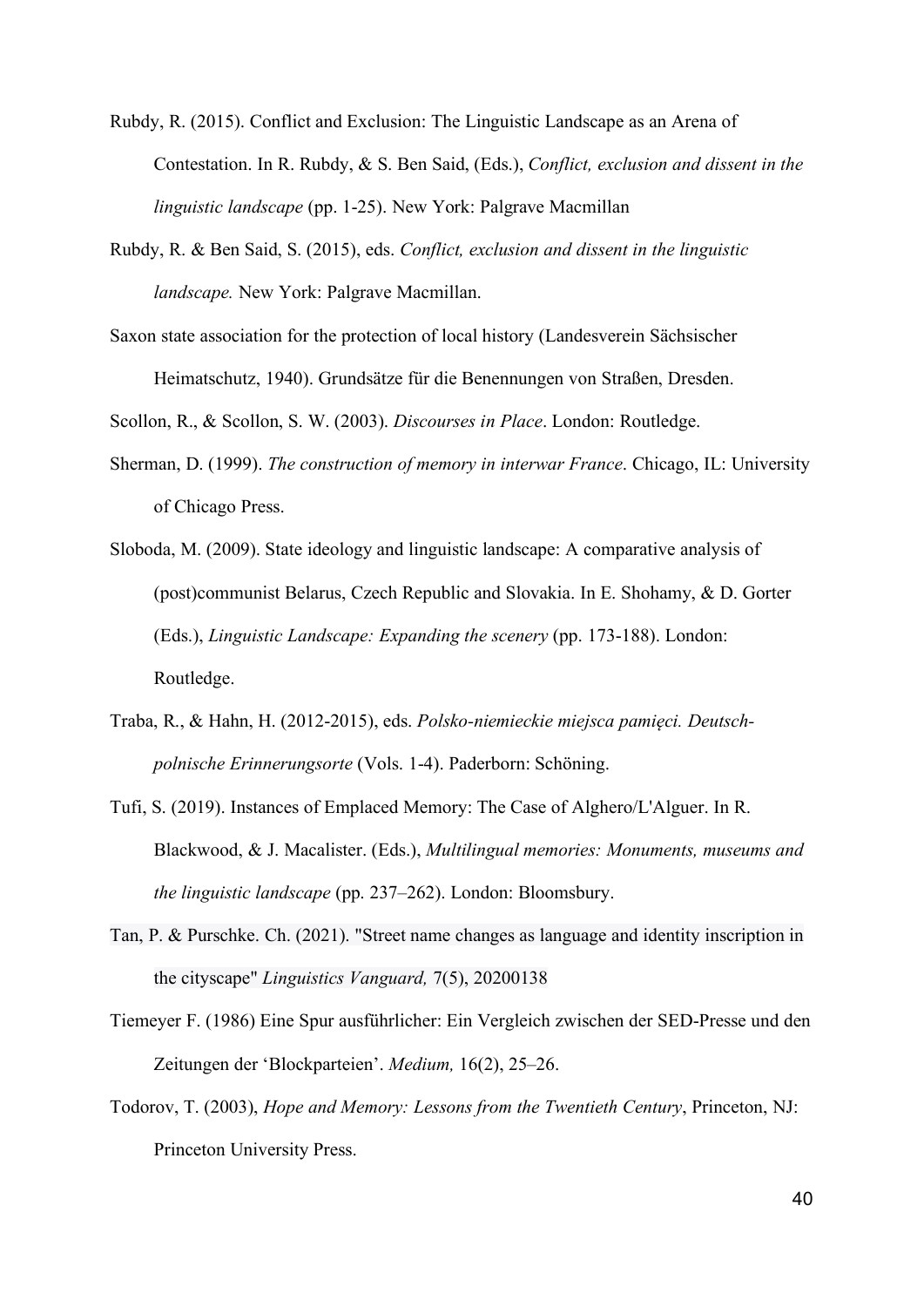- Rubdy, R. (2015). Conflict and Exclusion: The Linguistic Landscape as an Arena of Contestation. In R. Rubdy, & S. Ben Said, (Eds.), *Conflict, exclusion and dissent in the linguistic landscape* (pp. 1-25). New York: Palgrave Macmillan
- Rubdy, R. & Ben Said, S. (2015), eds. *Conflict, exclusion and dissent in the linguistic landscape.* New York: Palgrave Macmillan.
- Saxon state association for the protection of local history (Landesverein Sächsischer Heimatschutz, 1940). Grundsätze für die Benennungen von Straßen, Dresden.

Scollon, R., & Scollon, S. W. (2003). *Discourses in Place*. London: Routledge.

- Sherman, D. (1999). *The construction of memory in interwar France*. Chicago, IL: University of Chicago Press.
- Sloboda, M. (2009). State ideology and linguistic landscape: A comparative analysis of (post)communist Belarus, Czech Republic and Slovakia. In E. Shohamy, & D. Gorter (Eds.), *Linguistic Landscape: Expanding the scenery* (pp. 173-188). London: Routledge.
- Traba, R., & Hahn, H. (2012-2015), eds. *Polsko-niemieckie miejsca pamięci. Deutschpolnische Erinnerungsorte* (Vols. 1-4). Paderborn: Schöning.
- Tufi, S. (2019). Instances of Emplaced Memory: The Case of Alghero/L'Alguer. In R. Blackwood, & J. Macalister. (Eds.), *Multilingual memories: Monuments, museums and the linguistic landscape* (pp. 237–262). London: Bloomsbury.
- Tan, P. & Purschke. Ch. (2021). "Street name changes as language and identity inscription in the cityscape" *Linguistics Vanguard,* 7(5), 20200138
- Tiemeyer F. (1986) Eine Spur ausführlicher: Ein Vergleich zwischen der SED-Presse und den Zeitungen der 'Blockparteien'. *Medium,* 16(2), 25–26.
- Todorov, T. (2003), *Hope and Memory: Lessons from the Twentieth Century*, Princeton, NJ: Princeton University Press.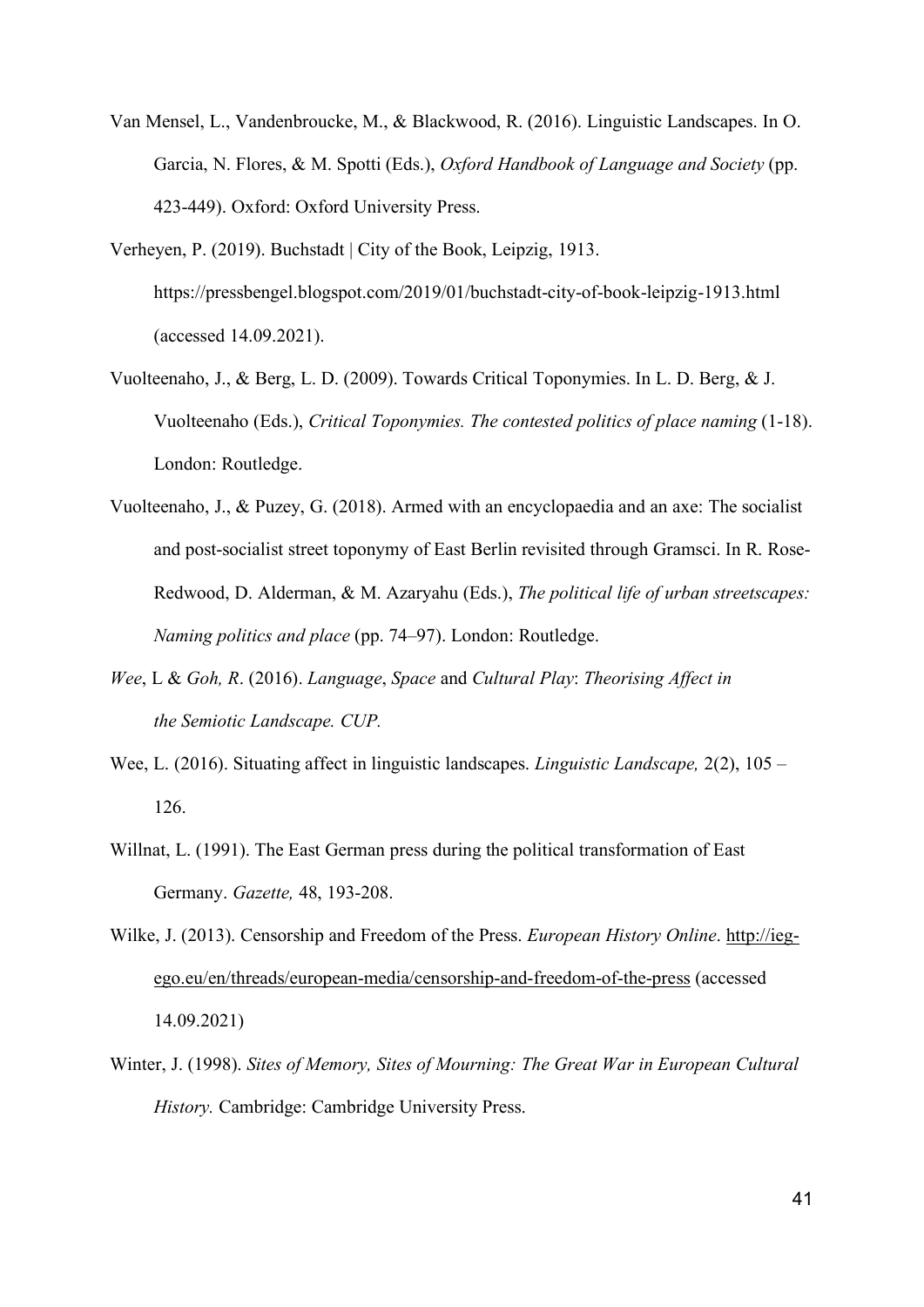- Van Mensel, L., Vandenbroucke, M., & Blackwood, R. (2016). Linguistic Landscapes. In O. Garcia, N. Flores, & M. Spotti (Eds.), *Oxford Handbook of Language and Society* (pp. 423-449). Oxford: Oxford University Press.
- Verheyen, P. (2019). Buchstadt | City of the Book, Leipzig, 1913. [https://pressbengel.blogspot.com/2019/01/buchstadt-city-of-book-leipzig-1913.html](https://pressbengel.blogspot.com/2019/01/buchstadt-city-of-book-leipzig-1913.html%20(accessed)  [\(accessed](https://pressbengel.blogspot.com/2019/01/buchstadt-city-of-book-leipzig-1913.html%20(accessed) 14.09.2021).
- Vuolteenaho, J., & Berg, L. D. (2009). Towards Critical Toponymies. In L. D. Berg, & J. Vuolteenaho (Eds.), *Critical Toponymies. The contested politics of place naming* (1-18). London: Routledge.
- Vuolteenaho, J., & Puzey, G. (2018). Armed with an encyclopaedia and an axe: The socialist and post-socialist street toponymy of East Berlin revisited through Gramsci. In R. Rose-Redwood, D. Alderman, & M. Azaryahu (Eds.), *The political life of urban streetscapes: Naming politics and place* (pp. 74–97). London: Routledge.
- *Wee*, L & *Goh, R*. (2016). *Language*, *Space* and *Cultural Play*: *Theorising Affect in the Semiotic Landscape. CUP.*
- Wee, L. (2016). Situating affect in linguistic landscapes. *Linguistic Landscape,* 2(2), 105 126.
- Willnat, L. (1991). The East German press during the political transformation of East Germany. *Gazette,* 48, 193-208.
- Wilke, J. (2013). Censorship and Freedom of the Press. *European History Online*. [http://ieg](http://ieg-ego.eu/en/threads/european-media/censorship-and-freedom-of-the-press)[ego.eu/en/threads/european-media/censorship-and-freedom-of-the-press](http://ieg-ego.eu/en/threads/european-media/censorship-and-freedom-of-the-press) (accessed 14.09.2021)
- Winter, J. (1998). *Sites of Memory, Sites of Mourning: The Great War in European Cultural History.* Cambridge: Cambridge University Press.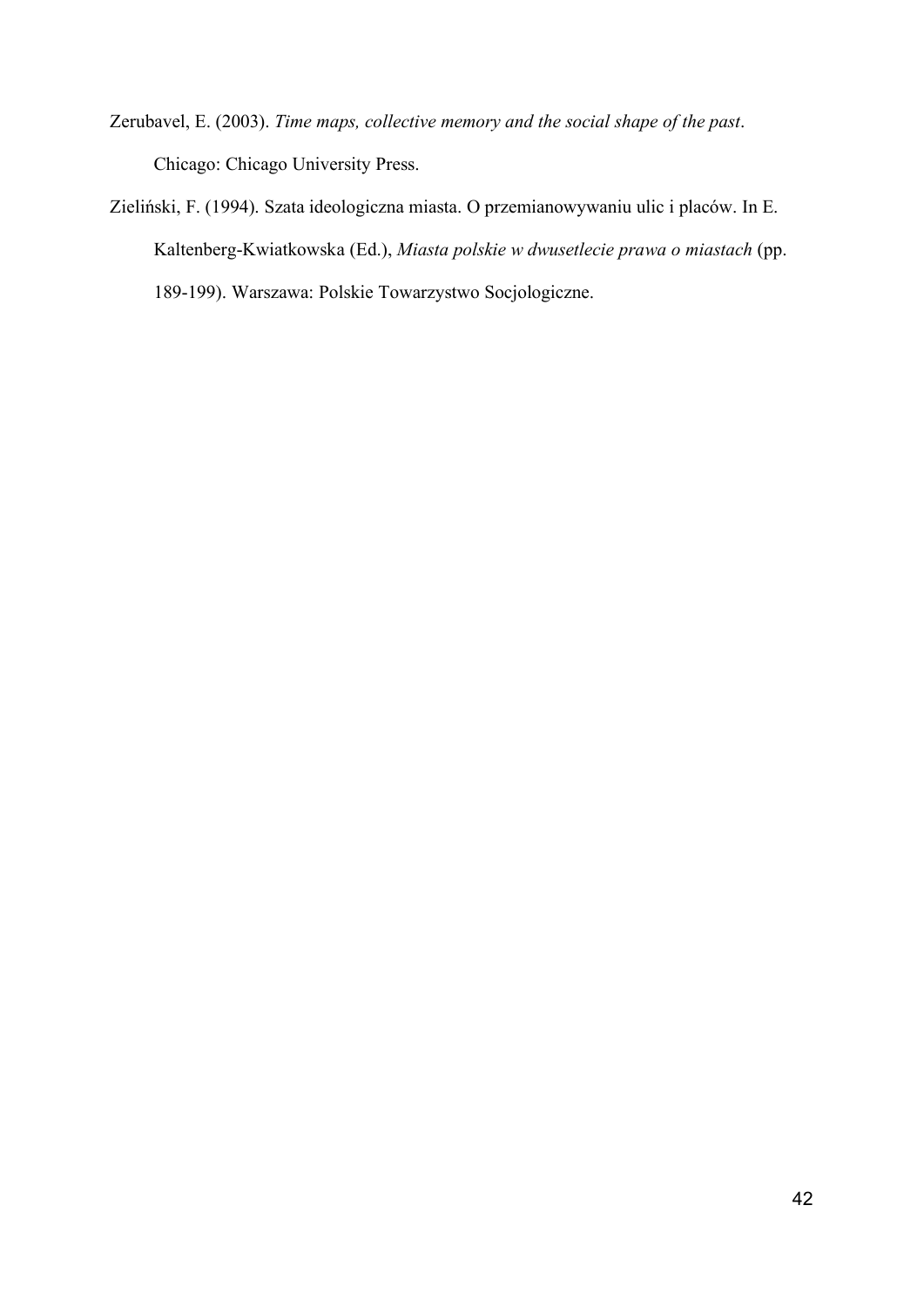- Zerubavel, E. (2003). *Time maps, collective memory and the social shape of the past*. Chicago: Chicago University Press.
- Zieliński, F. (1994). Szata ideologiczna miasta. O przemianowywaniu ulic i placów. In E. Kaltenberg-Kwiatkowska (Ed.), *Miasta polskie w dwusetlecie prawa o miastach* (pp. 189-199). Warszawa: Polskie Towarzystwo Socjologiczne.